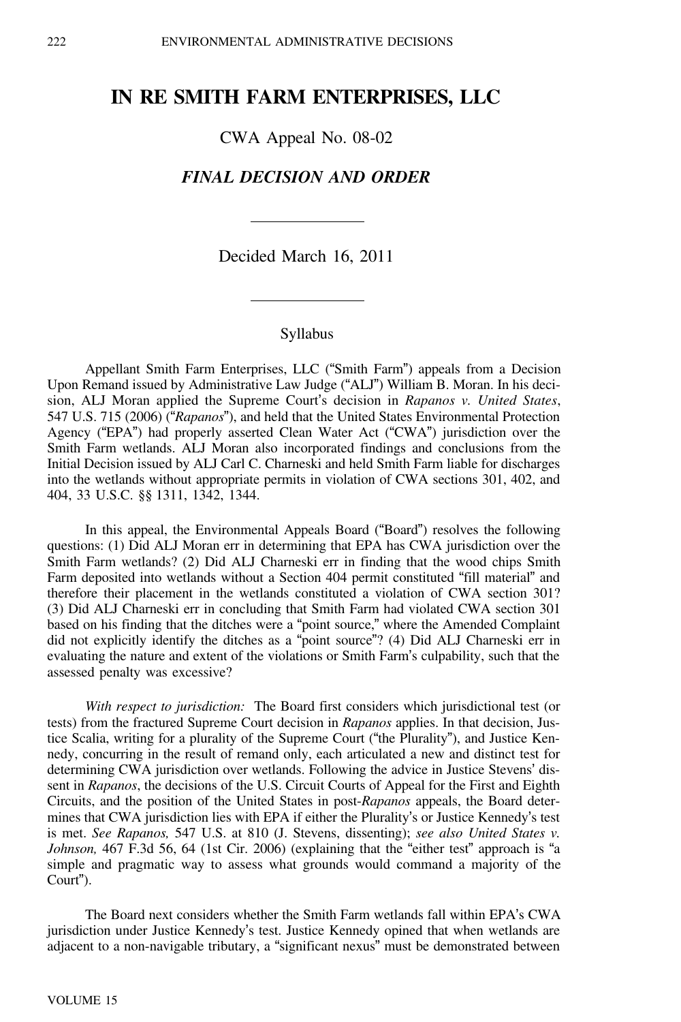# **IN RE SMITH FARM ENTERPRISES, LLC**

CWA Appeal No. 08-02

## *FINAL DECISION AND ORDER*

Decided March 16, 2011

### Syllabus

Appellant Smith Farm Enterprises, LLC ("Smith Farm") appeals from a Decision Upon Remand issued by Administrative Law Judge ("ALJ") William B. Moran. In his decision, ALJ Moran applied the Supreme Court's decision in *Rapanos v. United States*, 547 U.S. 715 (2006) ("*Rapanos*"), and held that the United States Environmental Protection Agency ("EPA") had properly asserted Clean Water Act ("CWA") jurisdiction over the Smith Farm wetlands. ALJ Moran also incorporated findings and conclusions from the Initial Decision issued by ALJ Carl C. Charneski and held Smith Farm liable for discharges into the wetlands without appropriate permits in violation of CWA sections 301, 402, and 404, 33 U.S.C. §§ 1311, 1342, 1344.

In this appeal, the Environmental Appeals Board ("Board") resolves the following questions: (1) Did ALJ Moran err in determining that EPA has CWA jurisdiction over the Smith Farm wetlands? (2) Did ALJ Charneski err in finding that the wood chips Smith Farm deposited into wetlands without a Section 404 permit constituted "fill material" and therefore their placement in the wetlands constituted a violation of CWA section 301? (3) Did ALJ Charneski err in concluding that Smith Farm had violated CWA section 301 based on his finding that the ditches were a "point source," where the Amended Complaint did not explicitly identify the ditches as a "point source"? (4) Did ALJ Charneski err in evaluating the nature and extent of the violations or Smith Farm's culpability, such that the assessed penalty was excessive?

*With respect to jurisdiction:* The Board first considers which jurisdictional test (or tests) from the fractured Supreme Court decision in *Rapanos* applies. In that decision, Justice Scalia, writing for a plurality of the Supreme Court ("the Plurality"), and Justice Kennedy, concurring in the result of remand only, each articulated a new and distinct test for determining CWA jurisdiction over wetlands. Following the advice in Justice Stevens' dissent in *Rapanos*, the decisions of the U.S. Circuit Courts of Appeal for the First and Eighth Circuits, and the position of the United States in post-*Rapanos* appeals, the Board determines that CWA jurisdiction lies with EPA if either the Plurality's or Justice Kennedy's test is met. *See Rapanos,* 547 U.S. at 810 (J. Stevens, dissenting); *see also United States v. Johnson,* 467 F.3d 56, 64 (1st Cir. 2006) (explaining that the "either test" approach is "<sup>a</sup> simple and pragmatic way to assess what grounds would command a majority of the Court").

The Board next considers whether the Smith Farm wetlands fall within EPA's CWA jurisdiction under Justice Kennedy's test. Justice Kennedy opined that when wetlands are adjacent to a non-navigable tributary, a "significant nexus" must be demonstrated between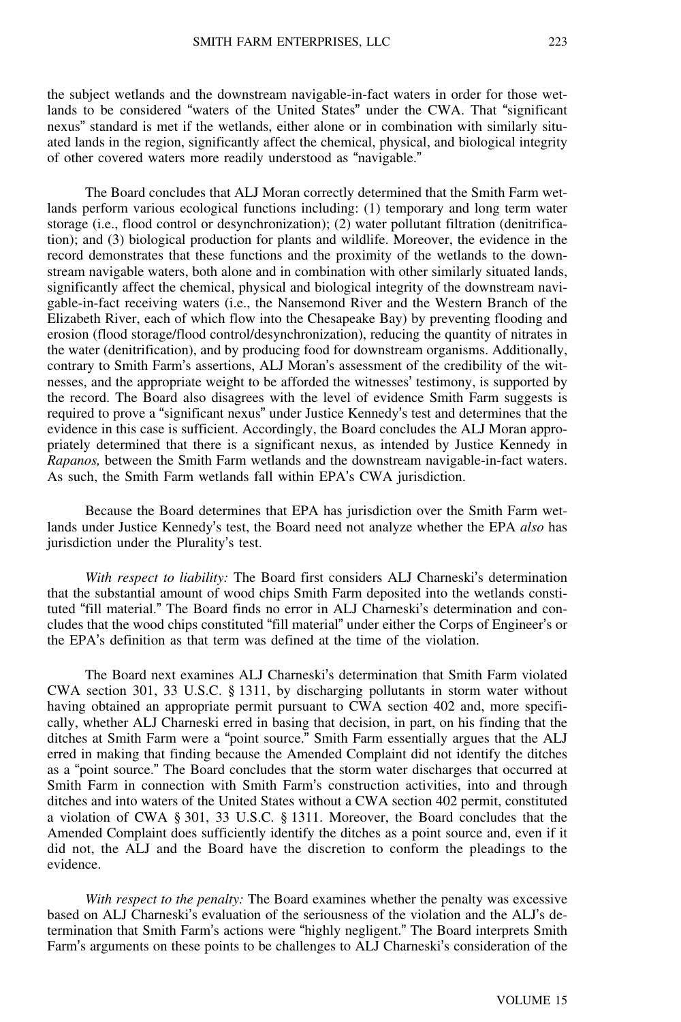the subject wetlands and the downstream navigable-in-fact waters in order for those wetlands to be considered "waters of the United States" under the CWA. That "significant nexus" standard is met if the wetlands, either alone or in combination with similarly situated lands in the region, significantly affect the chemical, physical, and biological integrity of other covered waters more readily understood as "navigable."

The Board concludes that ALJ Moran correctly determined that the Smith Farm wetlands perform various ecological functions including: (1) temporary and long term water storage (i.e., flood control or desynchronization); (2) water pollutant filtration (denitrification); and (3) biological production for plants and wildlife. Moreover, the evidence in the record demonstrates that these functions and the proximity of the wetlands to the downstream navigable waters, both alone and in combination with other similarly situated lands, significantly affect the chemical, physical and biological integrity of the downstream navigable-in-fact receiving waters (i.e., the Nansemond River and the Western Branch of the Elizabeth River, each of which flow into the Chesapeake Bay) by preventing flooding and erosion (flood storage/flood control/desynchronization), reducing the quantity of nitrates in the water (denitrification), and by producing food for downstream organisms. Additionally, contrary to Smith Farm's assertions, ALJ Moran's assessment of the credibility of the witnesses, and the appropriate weight to be afforded the witnesses' testimony, is supported by the record. The Board also disagrees with the level of evidence Smith Farm suggests is required to prove a "significant nexus" under Justice Kennedy's test and determines that the evidence in this case is sufficient. Accordingly, the Board concludes the ALJ Moran appropriately determined that there is a significant nexus, as intended by Justice Kennedy in *Rapanos,* between the Smith Farm wetlands and the downstream navigable-in-fact waters. As such, the Smith Farm wetlands fall within EPA's CWA jurisdiction.

Because the Board determines that EPA has jurisdiction over the Smith Farm wetlands under Justice Kennedy's test, the Board need not analyze whether the EPA *also* has jurisdiction under the Plurality's test.

*With respect to liability:* The Board first considers ALJ Charneski's determination that the substantial amount of wood chips Smith Farm deposited into the wetlands constituted "fill material." The Board finds no error in ALJ Charneski's determination and concludes that the wood chips constituted "fill material" under either the Corps of Engineer's or the EPA's definition as that term was defined at the time of the violation.

The Board next examines ALJ Charneski's determination that Smith Farm violated CWA section 301, 33 U.S.C. § 1311, by discharging pollutants in storm water without having obtained an appropriate permit pursuant to CWA section 402 and, more specifically, whether ALJ Charneski erred in basing that decision, in part, on his finding that the ditches at Smith Farm were a "point source." Smith Farm essentially argues that the ALJ erred in making that finding because the Amended Complaint did not identify the ditches as a "point source." The Board concludes that the storm water discharges that occurred at Smith Farm in connection with Smith Farm's construction activities, into and through ditches and into waters of the United States without a CWA section 402 permit, constituted a violation of CWA § 301, 33 U.S.C. § 1311. Moreover, the Board concludes that the Amended Complaint does sufficiently identify the ditches as a point source and, even if it did not, the ALJ and the Board have the discretion to conform the pleadings to the evidence.

*With respect to the penalty:* The Board examines whether the penalty was excessive based on ALJ Charneski's evaluation of the seriousness of the violation and the ALJ's determination that Smith Farm's actions were "highly negligent." The Board interprets Smith Farm's arguments on these points to be challenges to ALJ Charneski's consideration of the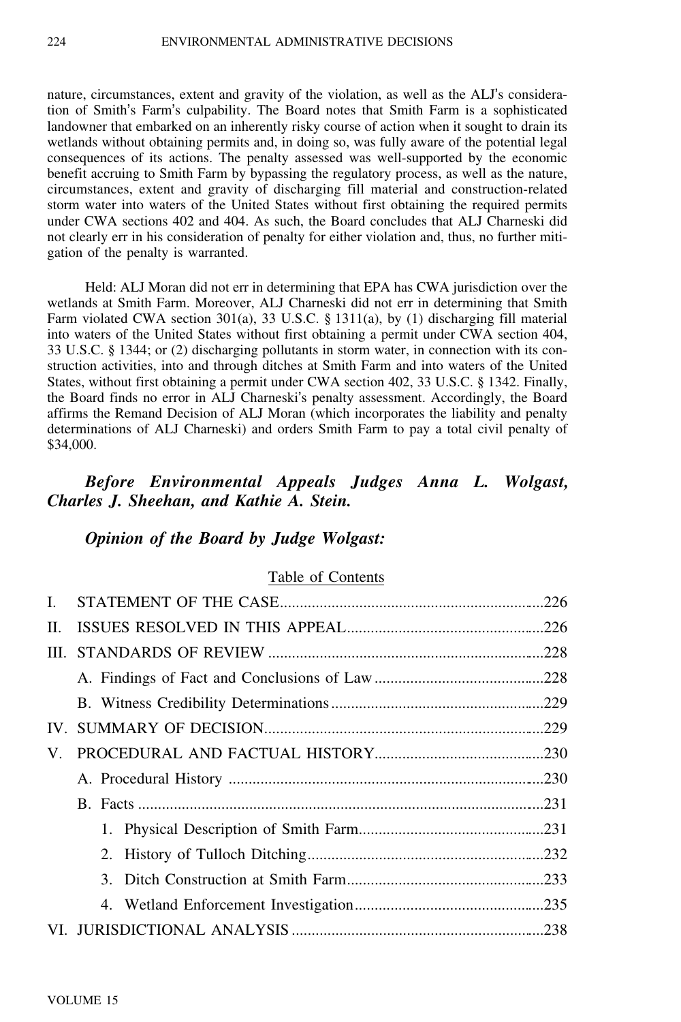nature, circumstances, extent and gravity of the violation, as well as the ALJ's consideration of Smith's Farm's culpability. The Board notes that Smith Farm is a sophisticated landowner that embarked on an inherently risky course of action when it sought to drain its wetlands without obtaining permits and, in doing so, was fully aware of the potential legal consequences of its actions. The penalty assessed was well-supported by the economic benefit accruing to Smith Farm by bypassing the regulatory process, as well as the nature, circumstances, extent and gravity of discharging fill material and construction-related storm water into waters of the United States without first obtaining the required permits under CWA sections 402 and 404. As such, the Board concludes that ALJ Charneski did not clearly err in his consideration of penalty for either violation and, thus, no further mitigation of the penalty is warranted.

Held: ALJ Moran did not err in determining that EPA has CWA jurisdiction over the wetlands at Smith Farm. Moreover, ALJ Charneski did not err in determining that Smith Farm violated CWA section 301(a), 33 U.S.C. § 1311(a), by (1) discharging fill material into waters of the United States without first obtaining a permit under CWA section 404, 33 U.S.C. § 1344; or (2) discharging pollutants in storm water, in connection with its construction activities, into and through ditches at Smith Farm and into waters of the United States, without first obtaining a permit under CWA section 402, 33 U.S.C. § 1342. Finally, the Board finds no error in ALJ Charneski's penalty assessment. Accordingly, the Board affirms the Remand Decision of ALJ Moran (which incorporates the liability and penalty determinations of ALJ Charneski) and orders Smith Farm to pay a total civil penalty of \$34,000.

## *Before Environmental Appeals Judges Anna L. Wolgast, Charles J. Sheehan, and Kathie A. Stein.*

## *Opinion of the Board by Judge Wolgast:*

### Table of Contents

| $\mathbf{L}$ |  |
|--------------|--|
| II.          |  |
|              |  |
|              |  |
|              |  |
|              |  |
| V.           |  |
|              |  |
|              |  |
|              |  |
|              |  |
|              |  |
|              |  |
|              |  |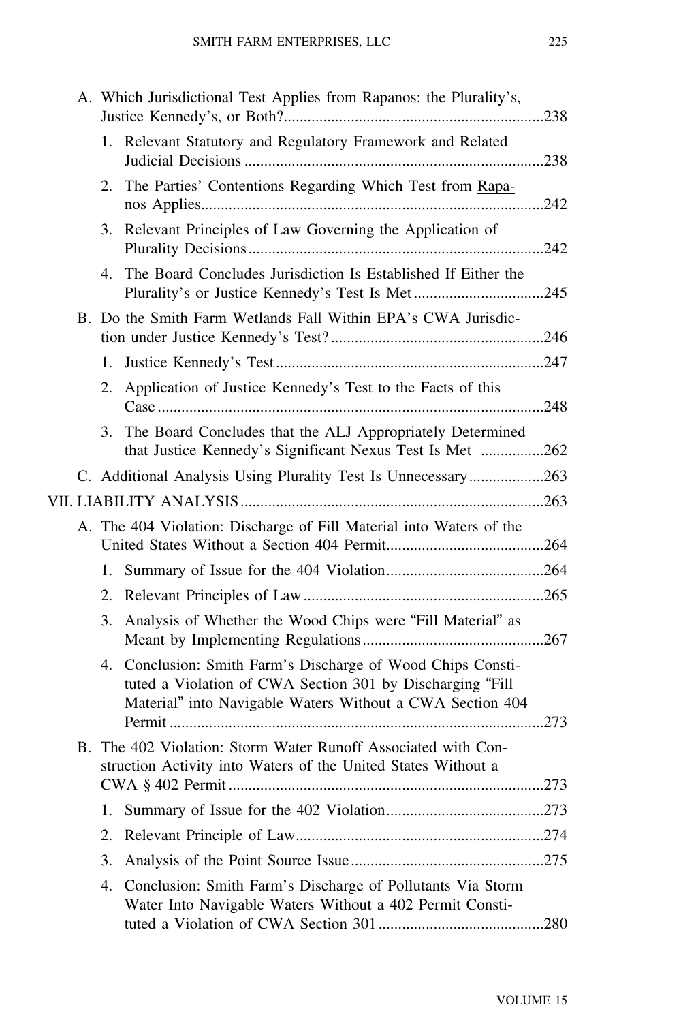|    | A. Which Jurisdictional Test Applies from Rapanos: the Plurality's,                                                                                                                   |      |
|----|---------------------------------------------------------------------------------------------------------------------------------------------------------------------------------------|------|
|    | 1. Relevant Statutory and Regulatory Framework and Related                                                                                                                            |      |
|    | 2. The Parties' Contentions Regarding Which Test from Rapa-                                                                                                                           |      |
|    | 3. Relevant Principles of Law Governing the Application of                                                                                                                            |      |
| 4. | The Board Concludes Jurisdiction Is Established If Either the                                                                                                                         |      |
|    | B. Do the Smith Farm Wetlands Fall Within EPA's CWA Jurisdic-                                                                                                                         |      |
| 1. |                                                                                                                                                                                       |      |
| 2. | Application of Justice Kennedy's Test to the Facts of this                                                                                                                            |      |
|    | 3. The Board Concludes that the ALJ Appropriately Determined<br>that Justice Kennedy's Significant Nexus Test Is Met 262                                                              |      |
|    | C. Additional Analysis Using Plurality Test Is Unnecessary263                                                                                                                         |      |
|    |                                                                                                                                                                                       |      |
|    | A. The 404 Violation: Discharge of Fill Material into Waters of the                                                                                                                   |      |
| 1. |                                                                                                                                                                                       |      |
|    |                                                                                                                                                                                       |      |
| 3. | Analysis of Whether the Wood Chips were "Fill Material" as                                                                                                                            |      |
|    | 4. Conclusion: Smith Farm's Discharge of Wood Chips Consti-<br>tuted a Violation of CWA Section 301 by Discharging "Fill<br>Material" into Navigable Waters Without a CWA Section 404 |      |
|    | B. The 402 Violation: Storm Water Runoff Associated with Con-<br>struction Activity into Waters of the United States Without a                                                        |      |
| 1. |                                                                                                                                                                                       |      |
| 2. |                                                                                                                                                                                       |      |
| 3. |                                                                                                                                                                                       |      |
| 4. | Conclusion: Smith Farm's Discharge of Pollutants Via Storm<br>Water Into Navigable Waters Without a 402 Permit Consti-<br>tuted a Violation of CWA Section 301                        | .280 |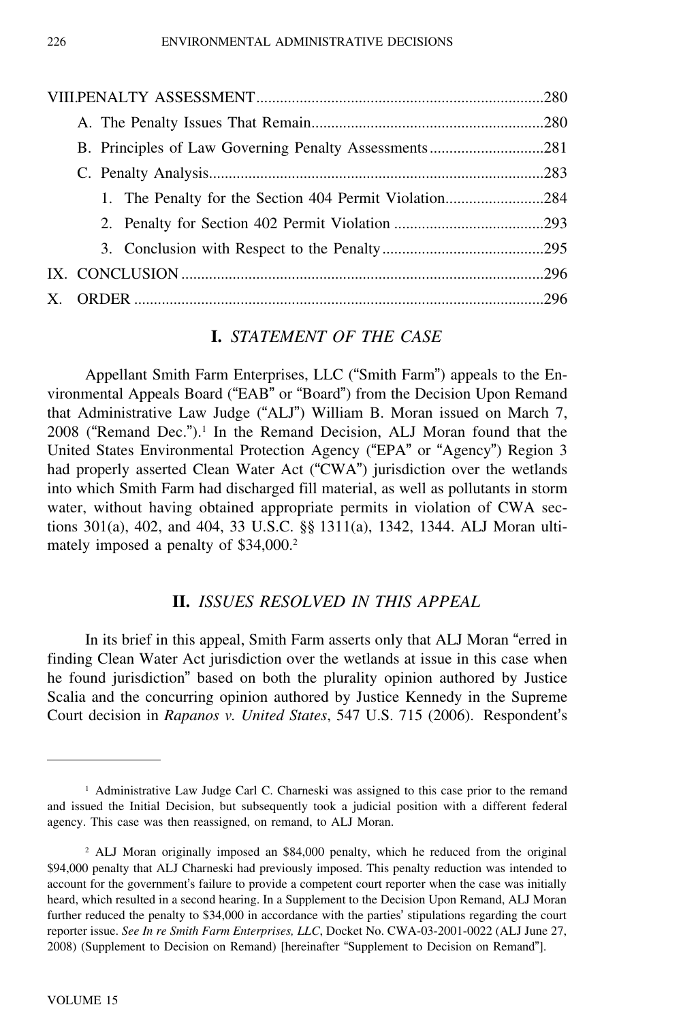| 1. The Penalty for the Section 404 Permit Violation284 |  |  |
|--------------------------------------------------------|--|--|
|                                                        |  |  |
|                                                        |  |  |
|                                                        |  |  |
|                                                        |  |  |

## **I.** *STATEMENT OF THE CASE*

Appellant Smith Farm Enterprises, LLC ("Smith Farm") appeals to the Environmental Appeals Board ("EAB" or "Board") from the Decision Upon Remand that Administrative Law Judge ("ALJ") William B. Moran issued on March 7,  $2008$  ("Remand Dec.").<sup>1</sup> In the Remand Decision, ALJ Moran found that the United States Environmental Protection Agency ("EPA" or "Agency") Region 3 had properly asserted Clean Water Act ("CWA") jurisdiction over the wetlands into which Smith Farm had discharged fill material, as well as pollutants in storm water, without having obtained appropriate permits in violation of CWA sections 301(a), 402, and 404, 33 U.S.C. §§ 1311(a), 1342, 1344. ALJ Moran ultimately imposed a penalty of \$34,000.<sup>2</sup>

## **II.** *ISSUES RESOLVED IN THIS APPEAL*

In its brief in this appeal, Smith Farm asserts only that ALJ Moran "erred in finding Clean Water Act jurisdiction over the wetlands at issue in this case when he found jurisdiction" based on both the plurality opinion authored by Justice Scalia and the concurring opinion authored by Justice Kennedy in the Supreme Court decision in *Rapanos v. United States*, 547 U.S. 715 (2006). Respondent'<sup>s</sup>

<sup>&</sup>lt;sup>1</sup> Administrative Law Judge Carl C. Charneski was assigned to this case prior to the remand and issued the Initial Decision, but subsequently took a judicial position with a different federal agency. This case was then reassigned, on remand, to ALJ Moran.

<sup>2</sup> ALJ Moran originally imposed an \$84,000 penalty, which he reduced from the original \$94,000 penalty that ALJ Charneski had previously imposed. This penalty reduction was intended to account for the government's failure to provide a competent court reporter when the case was initially heard, which resulted in a second hearing. In a Supplement to the Decision Upon Remand, ALJ Moran further reduced the penalty to \$34,000 in accordance with the parties' stipulations regarding the court reporter issue. *See In re Smith Farm Enterprises, LLC*, Docket No. CWA-03-2001-0022 (ALJ June 27, 2008) (Supplement to Decision on Remand) [hereinafter "Supplement to Decision on Remand"].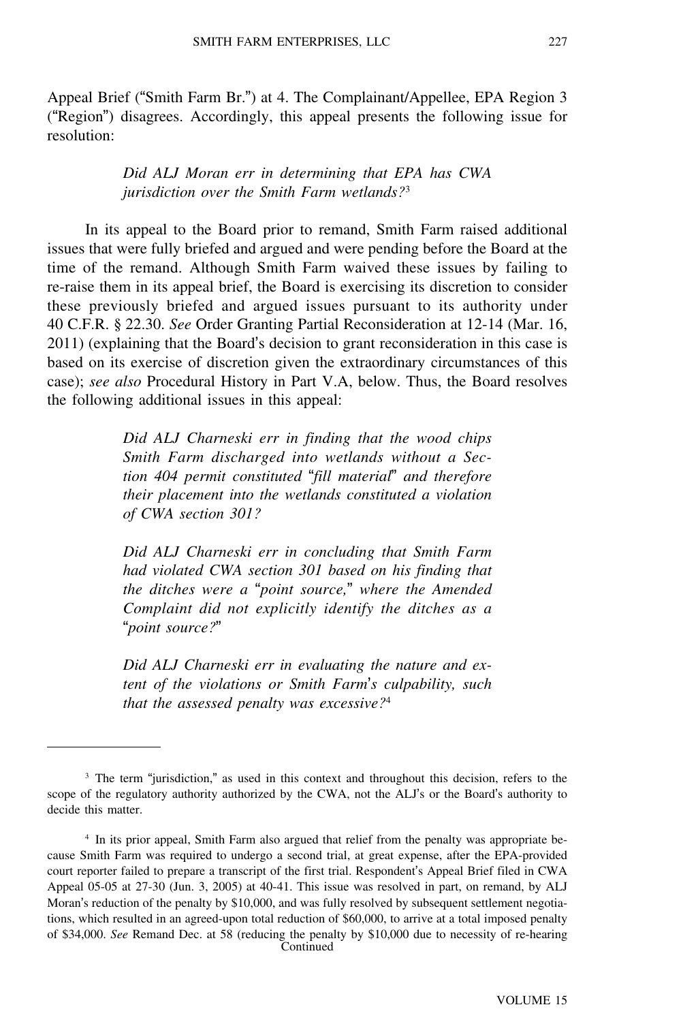Appeal Brief ("Smith Farm Br.") at 4. The Complainant/Appellee, EPA Region 3 ("Region") disagrees. Accordingly, this appeal presents the following issue for resolution:

> *Did ALJ Moran err in determining that EPA has CWA jurisdiction over the Smith Farm wetlands?*<sup>3</sup>

In its appeal to the Board prior to remand, Smith Farm raised additional issues that were fully briefed and argued and were pending before the Board at the time of the remand. Although Smith Farm waived these issues by failing to re-raise them in its appeal brief, the Board is exercising its discretion to consider these previously briefed and argued issues pursuant to its authority under 40 C.F.R. § 22.30. *See* Order Granting Partial Reconsideration at 12-14 (Mar. 16, 2011) (explaining that the Board's decision to grant reconsideration in this case is based on its exercise of discretion given the extraordinary circumstances of this case); *see also* Procedural History in Part V.A, below. Thus, the Board resolves the following additional issues in this appeal:

> *Did ALJ Charneski err in finding that the wood chips Smith Farm discharged into wetlands without a Section 404 permit constituted* "*fill material*" *and therefore their placement into the wetlands constituted a violation of CWA section 301?*

> *Did ALJ Charneski err in concluding that Smith Farm had violated CWA section 301 based on his finding that the ditches were a* "*point source,*" *where the Amended Complaint did not explicitly identify the ditches as a* "*point source?*"

> *Did ALJ Charneski err in evaluating the nature and extent of the violations or Smith Farm*'*s culpability, such that the assessed penalty was excessive?*<sup>4</sup>

<sup>&</sup>lt;sup>3</sup> The term "jurisdiction," as used in this context and throughout this decision, refers to the scope of the regulatory authority authorized by the CWA, not the ALJ's or the Board's authority to decide this matter.

<sup>4</sup> In its prior appeal, Smith Farm also argued that relief from the penalty was appropriate because Smith Farm was required to undergo a second trial, at great expense, after the EPA-provided court reporter failed to prepare a transcript of the first trial. Respondent's Appeal Brief filed in CWA Appeal 05-05 at 27-30 (Jun. 3, 2005) at 40-41. This issue was resolved in part, on remand, by ALJ Moran's reduction of the penalty by \$10,000, and was fully resolved by subsequent settlement negotiations, which resulted in an agreed-upon total reduction of \$60,000, to arrive at a total imposed penalty of \$34,000. *See* Remand Dec. at 58 (reducing the penalty by \$10,000 due to necessity of re-hearing Continued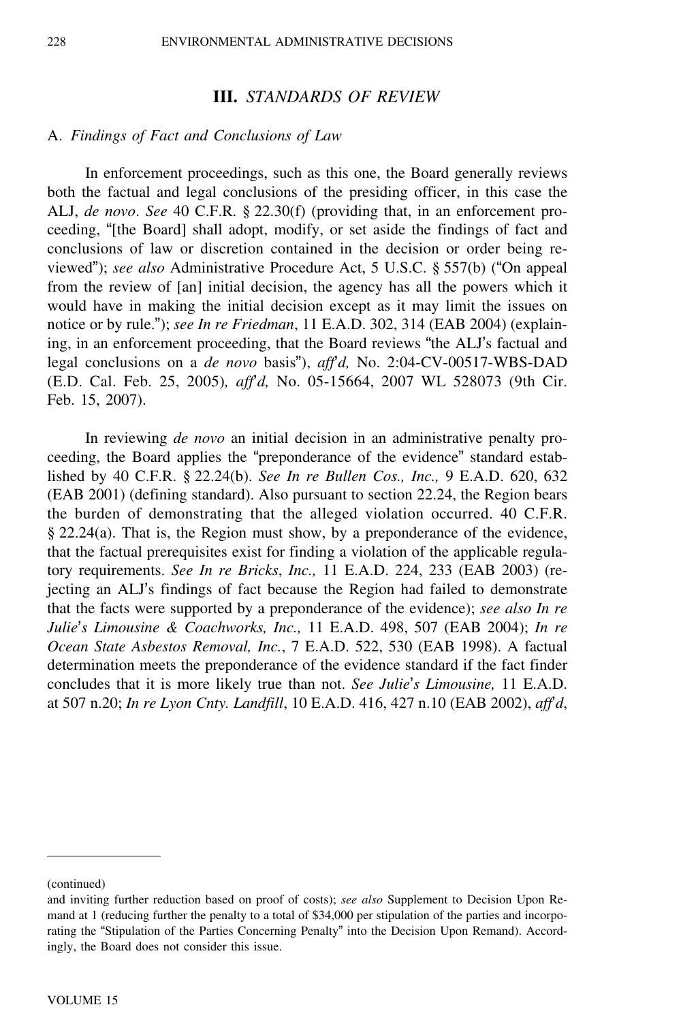#### **III.** *STANDARDS OF REVIEW*

#### A. *Findings of Fact and Conclusions of Law*

In enforcement proceedings, such as this one, the Board generally reviews both the factual and legal conclusions of the presiding officer, in this case the ALJ, *de novo*. *See* 40 C.F.R. § 22.30(f) (providing that, in an enforcement proceeding, "[the Board] shall adopt, modify, or set aside the findings of fact and conclusions of law or discretion contained in the decision or order being reviewed"); *see also* Administrative Procedure Act, 5 U.S.C. § 557(b) ("On appeal from the review of [an] initial decision, the agency has all the powers which it would have in making the initial decision except as it may limit the issues on notice or by rule."); *see In re Friedman*, 11 E.A.D. 302, 314 (EAB 2004) (explaining, in an enforcement proceeding, that the Board reviews "the ALJ's factual and legal conclusions on a *de novo* basis"), *aff*'*d,* No. 2:04-CV-00517-WBS-DAD (E.D. Cal. Feb. 25, 2005)*, aff*'*d,* No. 05-15664, 2007 WL 528073 (9th Cir. Feb. 15, 2007).

In reviewing *de novo* an initial decision in an administrative penalty proceeding, the Board applies the "preponderance of the evidence" standard established by 40 C.F.R. § 22.24(b). *See In re Bullen Cos., Inc.,* 9 E.A.D. 620, 632 (EAB 2001) (defining standard). Also pursuant to section 22.24, the Region bears the burden of demonstrating that the alleged violation occurred. 40 C.F.R. § 22.24(a). That is, the Region must show, by a preponderance of the evidence, that the factual prerequisites exist for finding a violation of the applicable regulatory requirements. *See In re Bricks*, *Inc.,* 11 E.A.D. 224, 233 (EAB 2003) (rejecting an ALJ's findings of fact because the Region had failed to demonstrate that the facts were supported by a preponderance of the evidence); *see also In re Julie*'*s Limousine & Coachworks, Inc.,* 11 E.A.D. 498, 507 (EAB 2004); *In re Ocean State Asbestos Removal, Inc.*, 7 E.A.D. 522, 530 (EAB 1998). A factual determination meets the preponderance of the evidence standard if the fact finder concludes that it is more likely true than not. *See Julie*'*s Limousine,* 11 E.A.D. at 507 n.20; *In re Lyon Cnty. Landfill*, 10 E.A.D. 416, 427 n.10 (EAB 2002), *aff*'*d*,

<sup>(</sup>continued)

and inviting further reduction based on proof of costs); *see also* Supplement to Decision Upon Remand at 1 (reducing further the penalty to a total of \$34,000 per stipulation of the parties and incorporating the "Stipulation of the Parties Concerning Penalty" into the Decision Upon Remand). Accordingly, the Board does not consider this issue.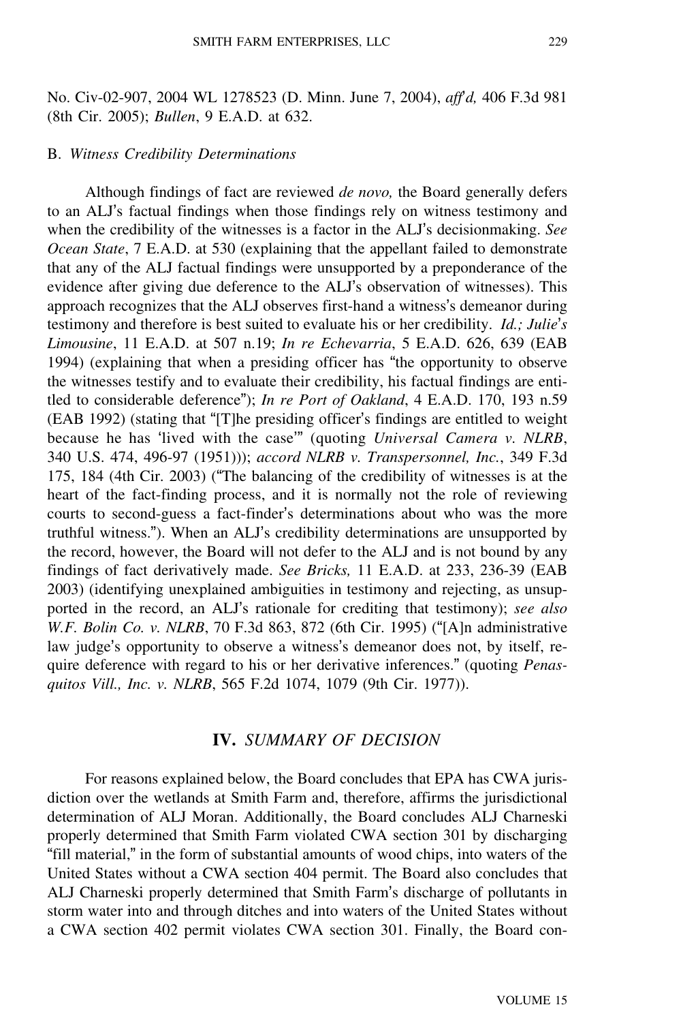No. Civ-02-907, 2004 WL 1278523 (D. Minn. June 7, 2004), *aff*'*d,* 406 F.3d 981 (8th Cir. 2005); *Bullen*, 9 E.A.D. at 632.

#### B. *Witness Credibility Determinations*

Although findings of fact are reviewed *de novo,* the Board generally defers to an ALJ's factual findings when those findings rely on witness testimony and when the credibility of the witnesses is a factor in the ALJ's decisionmaking. *See Ocean State*, 7 E.A.D. at 530 (explaining that the appellant failed to demonstrate that any of the ALJ factual findings were unsupported by a preponderance of the evidence after giving due deference to the ALJ's observation of witnesses). This approach recognizes that the ALJ observes first-hand a witness's demeanor during testimony and therefore is best suited to evaluate his or her credibility. *Id.; Julie*'*<sup>s</sup> Limousine*, 11 E.A.D. at 507 n.19; *In re Echevarria*, 5 E.A.D. 626, 639 (EAB 1994) (explaining that when a presiding officer has "the opportunity to observe the witnesses testify and to evaluate their credibility, his factual findings are entitled to considerable deference"); *In re Port of Oakland*, 4 E.A.D. 170, 193 n.59 (EAB 1992) (stating that "[T]he presiding officer's findings are entitled to weight because he has 'lived with the case'" (quoting *Universal Camera v. NLRB*, 340 U.S. 474, 496-97 (1951))); *accord NLRB v. Transpersonnel, Inc.*, 349 F.3d 175, 184 (4th Cir. 2003) ("The balancing of the credibility of witnesses is at the heart of the fact-finding process, and it is normally not the role of reviewing courts to second-guess a fact-finder's determinations about who was the more truthful witness."). When an ALJ's credibility determinations are unsupported by the record, however, the Board will not defer to the ALJ and is not bound by any findings of fact derivatively made. *See Bricks,* 11 E.A.D. at 233, 236-39 (EAB 2003) (identifying unexplained ambiguities in testimony and rejecting, as unsupported in the record, an ALJ's rationale for crediting that testimony); *see also W.F. Bolin Co. v. NLRB*, 70 F.3d 863, 872 (6th Cir. 1995) ("[A]n administrative law judge's opportunity to observe a witness's demeanor does not, by itself, require deference with regard to his or her derivative inferences." (quoting *Penasquitos Vill., Inc. v. NLRB*, 565 F.2d 1074, 1079 (9th Cir. 1977)).

## **IV.** *SUMMARY OF DECISION*

For reasons explained below, the Board concludes that EPA has CWA jurisdiction over the wetlands at Smith Farm and, therefore, affirms the jurisdictional determination of ALJ Moran. Additionally, the Board concludes ALJ Charneski properly determined that Smith Farm violated CWA section 301 by discharging "fill material," in the form of substantial amounts of wood chips, into waters of the United States without a CWA section 404 permit. The Board also concludes that ALJ Charneski properly determined that Smith Farm's discharge of pollutants in storm water into and through ditches and into waters of the United States without a CWA section 402 permit violates CWA section 301. Finally, the Board con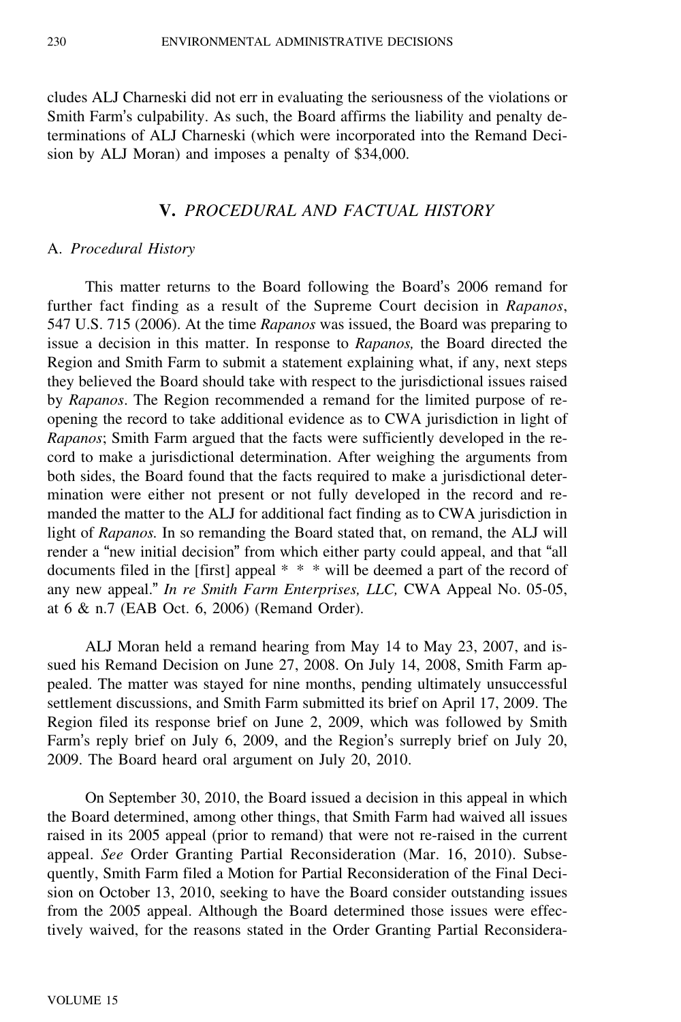cludes ALJ Charneski did not err in evaluating the seriousness of the violations or Smith Farm's culpability. As such, the Board affirms the liability and penalty determinations of ALJ Charneski (which were incorporated into the Remand Decision by ALJ Moran) and imposes a penalty of \$34,000.

## **V.** *PROCEDURAL AND FACTUAL HISTORY*

### A. *Procedural History*

This matter returns to the Board following the Board's 2006 remand for further fact finding as a result of the Supreme Court decision in *Rapanos*, 547 U.S. 715 (2006). At the time *Rapanos* was issued, the Board was preparing to issue a decision in this matter. In response to *Rapanos,* the Board directed the Region and Smith Farm to submit a statement explaining what, if any, next steps they believed the Board should take with respect to the jurisdictional issues raised by *Rapanos*. The Region recommended a remand for the limited purpose of reopening the record to take additional evidence as to CWA jurisdiction in light of *Rapanos*; Smith Farm argued that the facts were sufficiently developed in the record to make a jurisdictional determination. After weighing the arguments from both sides, the Board found that the facts required to make a jurisdictional determination were either not present or not fully developed in the record and remanded the matter to the ALJ for additional fact finding as to CWA jurisdiction in light of *Rapanos.* In so remanding the Board stated that, on remand, the ALJ will render a "new initial decision" from which either party could appeal, and that "all documents filed in the [first] appeal \* \* \* will be deemed a part of the record of any new appeal." *In re Smith Farm Enterprises, LLC,* CWA Appeal No. 05-05, at 6 & n.7 (EAB Oct. 6, 2006) (Remand Order).

ALJ Moran held a remand hearing from May 14 to May 23, 2007, and issued his Remand Decision on June 27, 2008. On July 14, 2008, Smith Farm appealed. The matter was stayed for nine months, pending ultimately unsuccessful settlement discussions, and Smith Farm submitted its brief on April 17, 2009. The Region filed its response brief on June 2, 2009, which was followed by Smith Farm's reply brief on July 6, 2009, and the Region's surreply brief on July 20, 2009. The Board heard oral argument on July 20, 2010.

On September 30, 2010, the Board issued a decision in this appeal in which the Board determined, among other things, that Smith Farm had waived all issues raised in its 2005 appeal (prior to remand) that were not re-raised in the current appeal. *See* Order Granting Partial Reconsideration (Mar. 16, 2010). Subsequently, Smith Farm filed a Motion for Partial Reconsideration of the Final Decision on October 13, 2010, seeking to have the Board consider outstanding issues from the 2005 appeal. Although the Board determined those issues were effectively waived, for the reasons stated in the Order Granting Partial Reconsidera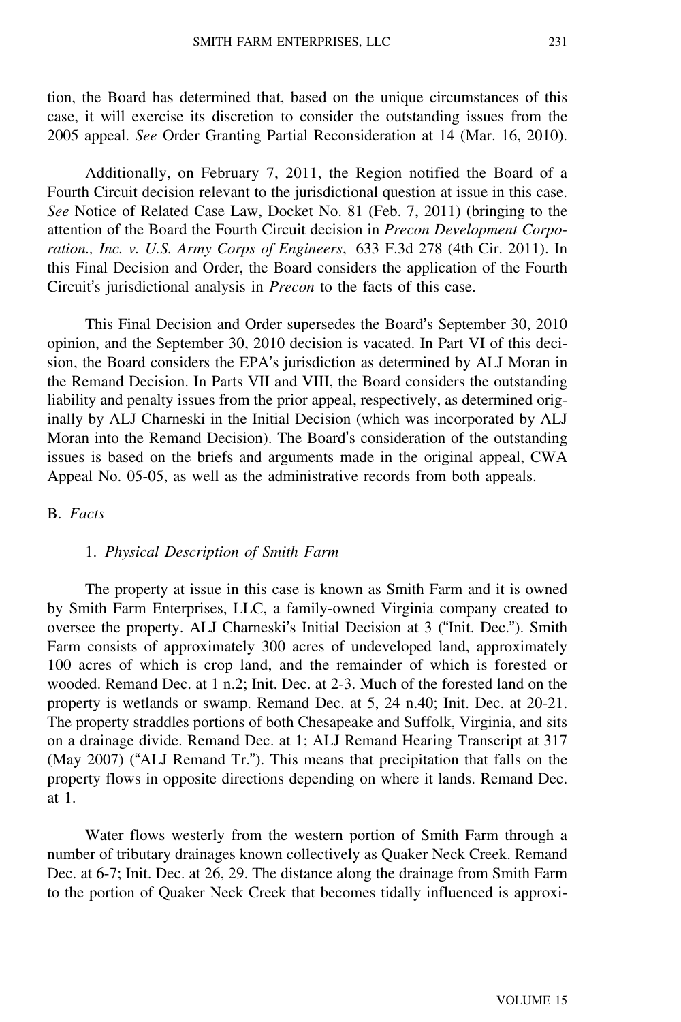tion, the Board has determined that, based on the unique circumstances of this case, it will exercise its discretion to consider the outstanding issues from the 2005 appeal. *See* Order Granting Partial Reconsideration at 14 (Mar. 16, 2010).

Additionally, on February 7, 2011, the Region notified the Board of a Fourth Circuit decision relevant to the jurisdictional question at issue in this case. *See* Notice of Related Case Law, Docket No. 81 (Feb. 7, 2011) (bringing to the attention of the Board the Fourth Circuit decision in *Precon Development Corporation., Inc. v. U.S. Army Corps of Engineers*, 633 F.3d 278 (4th Cir. 2011). In this Final Decision and Order, the Board considers the application of the Fourth Circuit's jurisdictional analysis in *Precon* to the facts of this case.

This Final Decision and Order supersedes the Board's September 30, 2010 opinion, and the September 30, 2010 decision is vacated. In Part VI of this decision, the Board considers the EPA's jurisdiction as determined by ALJ Moran in the Remand Decision. In Parts VII and VIII, the Board considers the outstanding liability and penalty issues from the prior appeal, respectively, as determined originally by ALJ Charneski in the Initial Decision (which was incorporated by ALJ Moran into the Remand Decision). The Board's consideration of the outstanding issues is based on the briefs and arguments made in the original appeal, CWA Appeal No. 05-05, as well as the administrative records from both appeals.

#### B. *Facts*

#### 1. *Physical Description of Smith Farm*

The property at issue in this case is known as Smith Farm and it is owned by Smith Farm Enterprises, LLC, a family-owned Virginia company created to oversee the property. ALJ Charneski's Initial Decision at 3 ("Init. Dec."). Smith Farm consists of approximately 300 acres of undeveloped land, approximately 100 acres of which is crop land, and the remainder of which is forested or wooded. Remand Dec. at 1 n.2; Init. Dec. at 2-3. Much of the forested land on the property is wetlands or swamp. Remand Dec. at 5, 24 n.40; Init. Dec. at 20-21. The property straddles portions of both Chesapeake and Suffolk, Virginia, and sits on a drainage divide. Remand Dec. at 1; ALJ Remand Hearing Transcript at 317 (May 2007) ("ALJ Remand Tr."). This means that precipitation that falls on the property flows in opposite directions depending on where it lands. Remand Dec. at 1.

Water flows westerly from the western portion of Smith Farm through a number of tributary drainages known collectively as Quaker Neck Creek. Remand Dec. at 6-7; Init. Dec. at 26, 29. The distance along the drainage from Smith Farm to the portion of Quaker Neck Creek that becomes tidally influenced is approxi-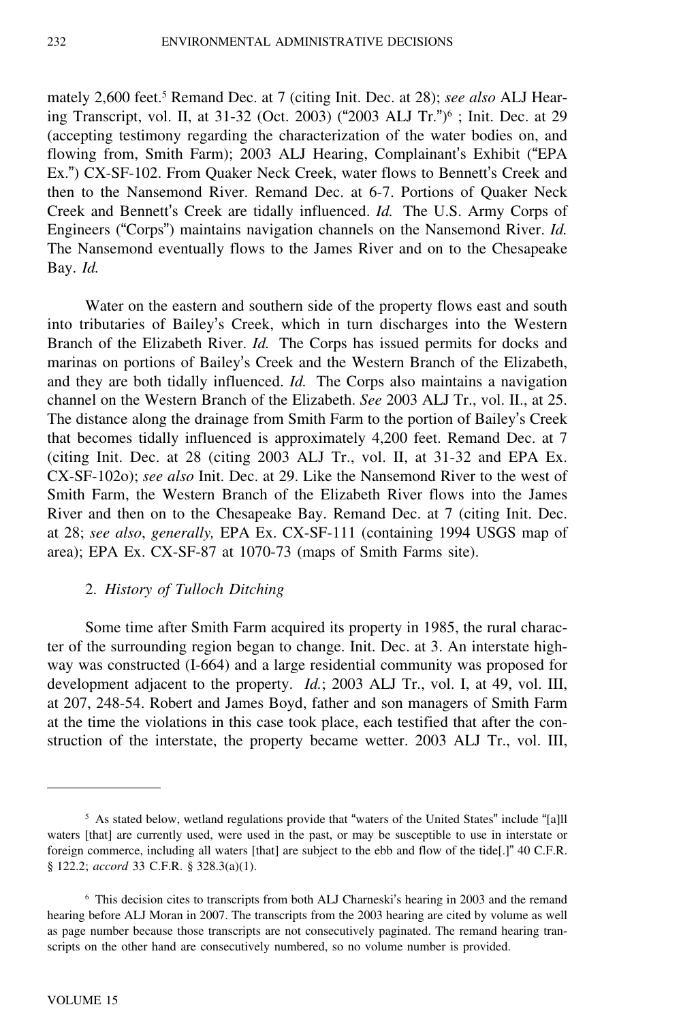mately 2,600 feet.<sup>5</sup> Remand Dec. at 7 (citing Init. Dec. at 28); *see also* ALJ Hearing Transcript, vol. II, at 31-32 (Oct. 2003) ("2003 ALJ Tr.")<sup>6</sup> ; Init. Dec. at 29 (accepting testimony regarding the characterization of the water bodies on, and flowing from, Smith Farm); 2003 ALJ Hearing, Complainant's Exhibit ("EPA Ex.") CX-SF-102. From Quaker Neck Creek, water flows to Bennett's Creek and then to the Nansemond River. Remand Dec. at 6-7. Portions of Quaker Neck Creek and Bennett's Creek are tidally influenced. *Id.* The U.S. Army Corps of Engineers ("Corps") maintains navigation channels on the Nansemond River. *Id.* The Nansemond eventually flows to the James River and on to the Chesapeake Bay. *Id.*

Water on the eastern and southern side of the property flows east and south into tributaries of Bailey's Creek, which in turn discharges into the Western Branch of the Elizabeth River. *Id.* The Corps has issued permits for docks and marinas on portions of Bailey's Creek and the Western Branch of the Elizabeth, and they are both tidally influenced. *Id.* The Corps also maintains a navigation channel on the Western Branch of the Elizabeth. *See* 2003 ALJ Tr., vol. II., at 25. The distance along the drainage from Smith Farm to the portion of Bailey's Creek that becomes tidally influenced is approximately 4,200 feet. Remand Dec. at 7 (citing Init. Dec. at 28 (citing 2003 ALJ Tr., vol. II, at 31-32 and EPA Ex. CX-SF-102o); *see also* Init. Dec. at 29. Like the Nansemond River to the west of Smith Farm, the Western Branch of the Elizabeth River flows into the James River and then on to the Chesapeake Bay. Remand Dec. at 7 (citing Init. Dec. at 28; *see also*, *generally,* EPA Ex. CX-SF-111 (containing 1994 USGS map of area); EPA Ex. CX-SF-87 at 1070-73 (maps of Smith Farms site).

### 2. *History of Tulloch Ditching*

Some time after Smith Farm acquired its property in 1985, the rural character of the surrounding region began to change. Init. Dec. at 3. An interstate highway was constructed (I-664) and a large residential community was proposed for development adjacent to the property. *Id.*; 2003 ALJ Tr., vol. I, at 49, vol. III, at 207, 248-54. Robert and James Boyd, father and son managers of Smith Farm at the time the violations in this case took place, each testified that after the construction of the interstate, the property became wetter. 2003 ALJ Tr., vol. III,

<sup>5</sup> As stated below, wetland regulations provide that "waters of the United States" include "[a]ll waters [that] are currently used, were used in the past, or may be susceptible to use in interstate or foreign commerce, including all waters [that] are subject to the ebb and flow of the tide[.]" 40 C.F.R. § 122.2; *accord* 33 C.F.R. § 328.3(a)(1).

<sup>6</sup> This decision cites to transcripts from both ALJ Charneski's hearing in 2003 and the remand hearing before ALJ Moran in 2007. The transcripts from the 2003 hearing are cited by volume as well as page number because those transcripts are not consecutively paginated. The remand hearing transcripts on the other hand are consecutively numbered, so no volume number is provided.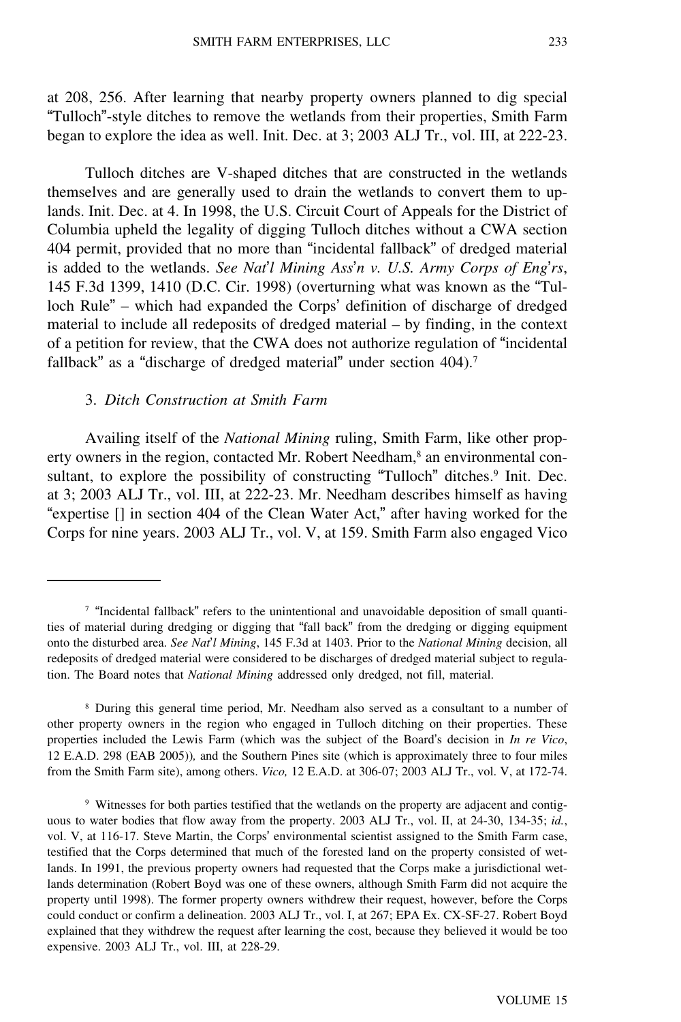at 208, 256. After learning that nearby property owners planned to dig special "Tulloch"-style ditches to remove the wetlands from their properties, Smith Farm began to explore the idea as well. Init. Dec. at 3; 2003 ALJ Tr., vol. III, at 222-23.

Tulloch ditches are V-shaped ditches that are constructed in the wetlands themselves and are generally used to drain the wetlands to convert them to uplands. Init. Dec. at 4. In 1998, the U.S. Circuit Court of Appeals for the District of Columbia upheld the legality of digging Tulloch ditches without a CWA section 404 permit, provided that no more than "incidental fallback" of dredged material is added to the wetlands. *See Nat*'*l Mining Ass*'*n v. U.S. Army Corps of Eng*'*rs*, 145 F.3d 1399, 1410 (D.C. Cir. 1998) (overturning what was known as the "Tulloch Rule" – which had expanded the Corps' definition of discharge of dredged material to include all redeposits of dredged material – by finding, in the context of a petition for review, that the CWA does not authorize regulation of "incidental fallback" as a "discharge of dredged material" under section 404).<sup>7</sup>

#### 3. *Ditch Construction at Smith Farm*

Availing itself of the *National Mining* ruling, Smith Farm, like other property owners in the region, contacted Mr. Robert Needham,<sup>8</sup> an environmental consultant, to explore the possibility of constructing "Tulloch" ditches.<sup>9</sup> Init. Dec. at 3; 2003 ALJ Tr., vol. III, at 222-23. Mr. Needham describes himself as having "expertise [] in section 404 of the Clean Water Act," after having worked for the Corps for nine years. 2003 ALJ Tr., vol. V, at 159. Smith Farm also engaged Vico

<sup>8</sup> During this general time period, Mr. Needham also served as a consultant to a number of other property owners in the region who engaged in Tulloch ditching on their properties. These properties included the Lewis Farm (which was the subject of the Board's decision in *In re Vico*, 12 E.A.D. 298 (EAB 2005))*,* and the Southern Pines site (which is approximately three to four miles from the Smith Farm site), among others. *Vico,* 12 E.A.D. at 306-07; 2003 ALJ Tr., vol. V, at 172-74.

<sup>9</sup> Witnesses for both parties testified that the wetlands on the property are adjacent and contiguous to water bodies that flow away from the property. 2003 ALJ Tr., vol. II, at 24-30, 134-35; *id.*, vol. V, at 116-17. Steve Martin, the Corps' environmental scientist assigned to the Smith Farm case, testified that the Corps determined that much of the forested land on the property consisted of wetlands. In 1991, the previous property owners had requested that the Corps make a jurisdictional wetlands determination (Robert Boyd was one of these owners, although Smith Farm did not acquire the property until 1998). The former property owners withdrew their request, however, before the Corps could conduct or confirm a delineation. 2003 ALJ Tr., vol. I, at 267; EPA Ex. CX-SF-27. Robert Boyd explained that they withdrew the request after learning the cost, because they believed it would be too expensive. 2003 ALJ Tr., vol. III, at 228-29.

 $\frac{7}{10}$  "Incidental fallback" refers to the unintentional and unavoidable deposition of small quantities of material during dredging or digging that "fall back" from the dredging or digging equipment onto the disturbed area. *See Nat*'*l Mining*, 145 F.3d at 1403. Prior to the *National Mining* decision, all redeposits of dredged material were considered to be discharges of dredged material subject to regulation. The Board notes that *National Mining* addressed only dredged, not fill, material.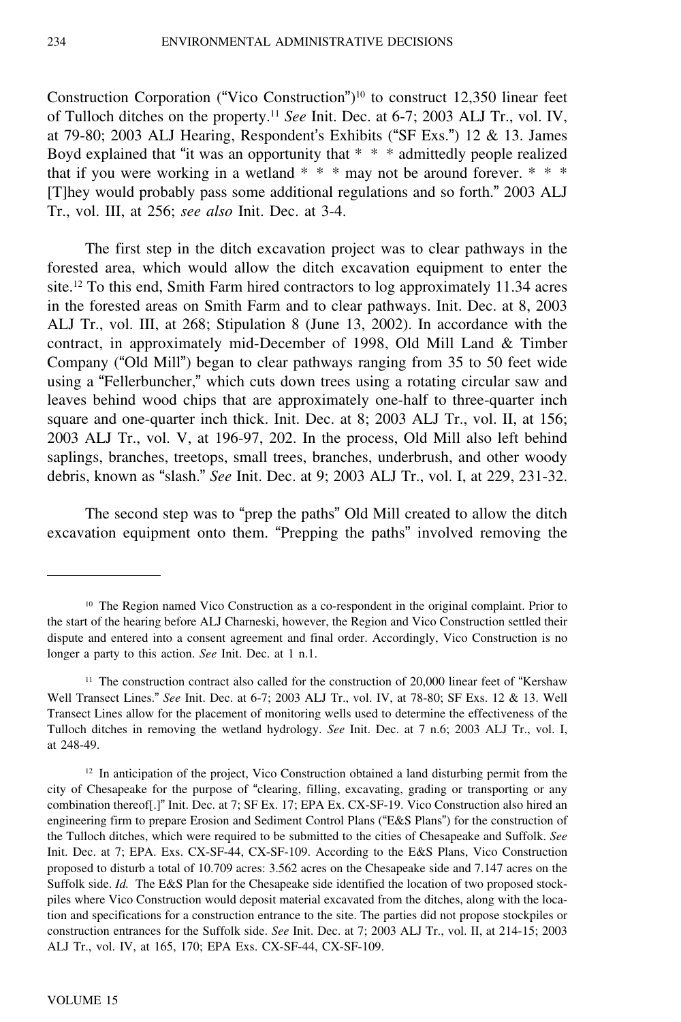Construction Corporation ("Vico Construction")<sup>10</sup> to construct 12,350 linear feet of Tulloch ditches on the property.<sup>11</sup> *See* Init. Dec. at 6-7; 2003 ALJ Tr., vol. IV, at 79-80; 2003 ALJ Hearing, Respondent's Exhibits ("SF Exs.") 12 & 13. James Boyd explained that "it was an opportunity that \* \* \* admittedly people realized that if you were working in a wetland  $* * *$  may not be around forever.  $* * *$ [T]hey would probably pass some additional regulations and so forth." 2003 ALJ Tr., vol. III, at 256; *see also* Init. Dec. at 3-4.

The first step in the ditch excavation project was to clear pathways in the forested area, which would allow the ditch excavation equipment to enter the site.<sup>12</sup> To this end, Smith Farm hired contractors to log approximately 11.34 acres in the forested areas on Smith Farm and to clear pathways. Init. Dec. at 8, 2003 ALJ Tr., vol. III, at 268; Stipulation 8 (June 13, 2002). In accordance with the contract, in approximately mid-December of 1998, Old Mill Land & Timber Company ("Old Mill") began to clear pathways ranging from 35 to 50 feet wide using a "Fellerbuncher," which cuts down trees using a rotating circular saw and leaves behind wood chips that are approximately one-half to three-quarter inch square and one-quarter inch thick. Init. Dec. at 8; 2003 ALJ Tr., vol. II, at 156; 2003 ALJ Tr., vol. V, at 196-97, 202. In the process, Old Mill also left behind saplings, branches, treetops, small trees, branches, underbrush, and other woody debris, known as "slash." *See* Init. Dec. at 9; 2003 ALJ Tr., vol. I, at 229, 231-32.

The second step was to "prep the paths" Old Mill created to allow the ditch excavation equipment onto them. "Prepping the paths" involved removing the

<sup>10</sup> The Region named Vico Construction as a co-respondent in the original complaint. Prior to the start of the hearing before ALJ Charneski, however, the Region and Vico Construction settled their dispute and entered into a consent agreement and final order. Accordingly, Vico Construction is no longer a party to this action. *See* Init. Dec. at 1 n.1.

<sup>&</sup>lt;sup>11</sup> The construction contract also called for the construction of 20,000 linear feet of "Kershaw" Well Transect Lines." *See* Init. Dec. at 6-7; 2003 ALJ Tr., vol. IV, at 78-80; SF Exs. 12 & 13. Well Transect Lines allow for the placement of monitoring wells used to determine the effectiveness of the Tulloch ditches in removing the wetland hydrology. *See* Init. Dec. at 7 n.6; 2003 ALJ Tr., vol. I, at 248-49.

 $12$  In anticipation of the project, Vico Construction obtained a land disturbing permit from the city of Chesapeake for the purpose of "clearing, filling, excavating, grading or transporting or any combination thereof[.]" Init. Dec. at 7; SF Ex. 17; EPA Ex. CX-SF-19. Vico Construction also hired an engineering firm to prepare Erosion and Sediment Control Plans ("E&S Plans") for the construction of the Tulloch ditches, which were required to be submitted to the cities of Chesapeake and Suffolk. *See* Init. Dec. at 7; EPA. Exs. CX-SF-44, CX-SF-109. According to the E&S Plans, Vico Construction proposed to disturb a total of 10.709 acres: 3.562 acres on the Chesapeake side and 7.147 acres on the Suffolk side. *Id.* The E&S Plan for the Chesapeake side identified the location of two proposed stockpiles where Vico Construction would deposit material excavated from the ditches, along with the location and specifications for a construction entrance to the site. The parties did not propose stockpiles or construction entrances for the Suffolk side. *See* Init. Dec. at 7; 2003 ALJ Tr., vol. II, at 214-15; 2003 ALJ Tr., vol. IV, at 165, 170; EPA Exs. CX-SF-44, CX-SF-109.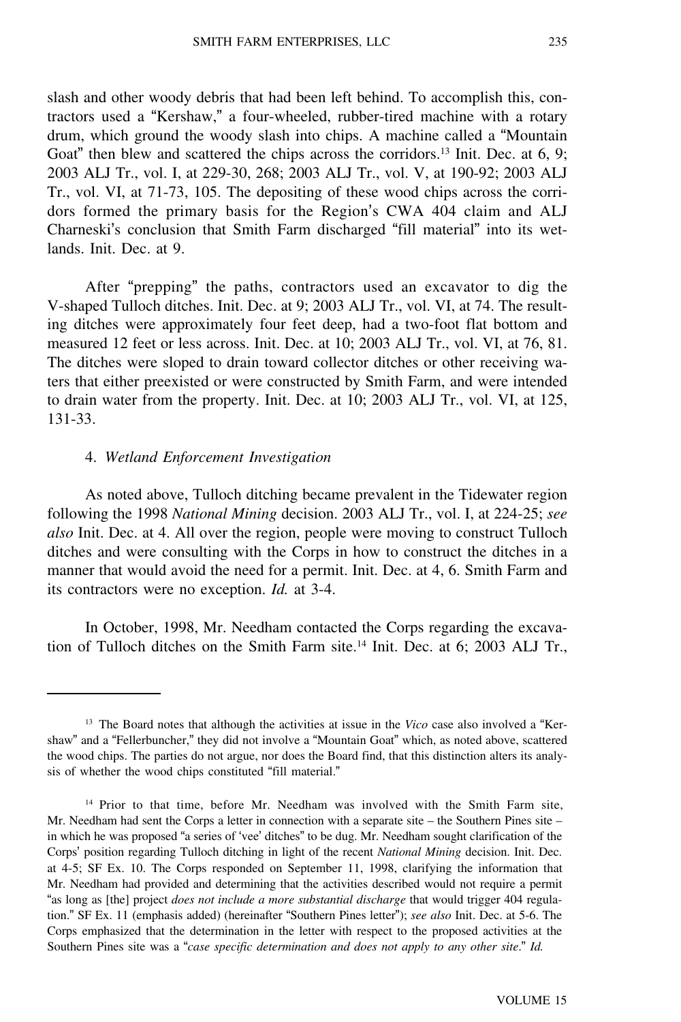slash and other woody debris that had been left behind. To accomplish this, contractors used a "Kershaw," a four-wheeled, rubber-tired machine with a rotary drum, which ground the woody slash into chips. A machine called a "Mountain Goat" then blew and scattered the chips across the corridors.<sup>13</sup> Init. Dec. at 6, 9; 2003 ALJ Tr., vol. I, at 229-30, 268; 2003 ALJ Tr., vol. V, at 190-92; 2003 ALJ Tr., vol. VI, at 71-73, 105. The depositing of these wood chips across the corridors formed the primary basis for the Region's CWA 404 claim and ALJ Charneski's conclusion that Smith Farm discharged "fill material" into its wetlands. Init. Dec. at 9.

After "prepping" the paths, contractors used an excavator to dig the V-shaped Tulloch ditches. Init. Dec. at 9; 2003 ALJ Tr., vol. VI, at 74. The resulting ditches were approximately four feet deep, had a two-foot flat bottom and measured 12 feet or less across. Init. Dec. at 10; 2003 ALJ Tr., vol. VI, at 76, 81. The ditches were sloped to drain toward collector ditches or other receiving waters that either preexisted or were constructed by Smith Farm, and were intended to drain water from the property. Init. Dec. at 10; 2003 ALJ Tr., vol. VI, at 125, 131-33.

#### 4. *Wetland Enforcement Investigation*

As noted above, Tulloch ditching became prevalent in the Tidewater region following the 1998 *National Mining* decision. 2003 ALJ Tr., vol. I, at 224-25; *see also* Init. Dec. at 4. All over the region, people were moving to construct Tulloch ditches and were consulting with the Corps in how to construct the ditches in a manner that would avoid the need for a permit. Init. Dec. at 4, 6. Smith Farm and its contractors were no exception. *Id.* at 3-4.

In October, 1998, Mr. Needham contacted the Corps regarding the excavation of Tulloch ditches on the Smith Farm site.<sup>14</sup> Init. Dec. at 6; 2003 ALJ Tr.,

<sup>13</sup> The Board notes that although the activities at issue in the *Vico* case also involved a "Kershaw" and a "Fellerbuncher," they did not involve a "Mountain Goat" which, as noted above, scattered the wood chips. The parties do not argue, nor does the Board find, that this distinction alters its analysis of whether the wood chips constituted "fill material."

<sup>14</sup> Prior to that time, before Mr. Needham was involved with the Smith Farm site, Mr. Needham had sent the Corps a letter in connection with a separate site – the Southern Pines site – in which he was proposed "a series of 'vee' ditches" to be dug. Mr. Needham sought clarification of the Corps' position regarding Tulloch ditching in light of the recent *National Mining* decision. Init. Dec. at 4-5; SF Ex. 10. The Corps responded on September 11, 1998, clarifying the information that Mr. Needham had provided and determining that the activities described would not require a permit "as long as [the] project *does not include a more substantial discharge* that would trigger 404 regulation." SF Ex. 11 (emphasis added) (hereinafter "Southern Pines letter"); *see also* Init. Dec. at 5-6. The Corps emphasized that the determination in the letter with respect to the proposed activities at the Southern Pines site was a "*case specific determination and does not apply to any other site*." *Id.*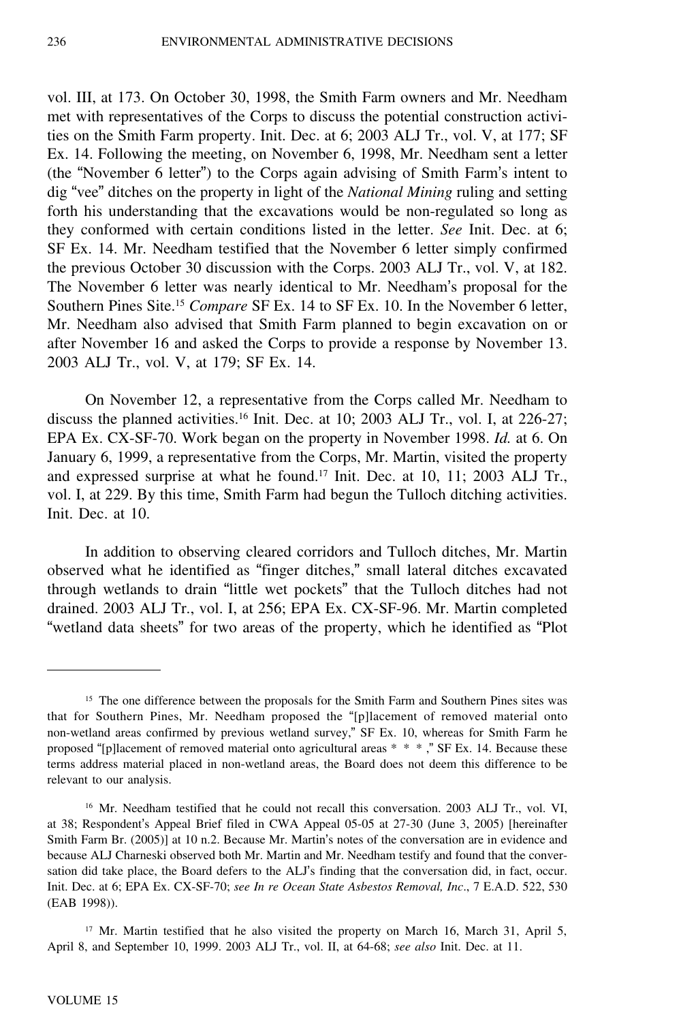vol. III, at 173. On October 30, 1998, the Smith Farm owners and Mr. Needham met with representatives of the Corps to discuss the potential construction activities on the Smith Farm property. Init. Dec. at 6; 2003 ALJ Tr., vol. V, at 177; SF Ex. 14. Following the meeting, on November 6, 1998, Mr. Needham sent a letter (the "November 6 letter") to the Corps again advising of Smith Farm's intent to dig "vee" ditches on the property in light of the *National Mining* ruling and setting forth his understanding that the excavations would be non-regulated so long as they conformed with certain conditions listed in the letter. *See* Init. Dec. at 6; SF Ex. 14. Mr. Needham testified that the November 6 letter simply confirmed the previous October 30 discussion with the Corps. 2003 ALJ Tr., vol. V, at 182. The November 6 letter was nearly identical to Mr. Needham's proposal for the Southern Pines Site.<sup>15</sup> *Compare* SF Ex. 14 to SF Ex. 10. In the November 6 letter, Mr. Needham also advised that Smith Farm planned to begin excavation on or after November 16 and asked the Corps to provide a response by November 13. 2003 ALJ Tr., vol. V, at 179; SF Ex. 14.

On November 12, a representative from the Corps called Mr. Needham to discuss the planned activities.<sup>16</sup> Init. Dec. at 10; 2003 ALJ Tr., vol. I, at 226-27; EPA Ex. CX-SF-70. Work began on the property in November 1998. *Id.* at 6. On January 6, 1999, a representative from the Corps, Mr. Martin, visited the property and expressed surprise at what he found.<sup>17</sup> Init. Dec. at 10, 11; 2003 ALJ Tr., vol. I, at 229. By this time, Smith Farm had begun the Tulloch ditching activities. Init. Dec. at 10.

In addition to observing cleared corridors and Tulloch ditches, Mr. Martin observed what he identified as "finger ditches," small lateral ditches excavated through wetlands to drain "little wet pockets" that the Tulloch ditches had not drained. 2003 ALJ Tr., vol. I, at 256; EPA Ex. CX-SF-96. Mr. Martin completed "wetland data sheets" for two areas of the property, which he identified as "Plot

<sup>&</sup>lt;sup>15</sup> The one difference between the proposals for the Smith Farm and Southern Pines sites was that for Southern Pines, Mr. Needham proposed the "[p]lacement of removed material onto non-wetland areas confirmed by previous wetland survey," SF Ex. 10, whereas for Smith Farm he proposed "[p]lacement of removed material onto agricultural areas \* \* \* ," SF Ex. 14. Because these terms address material placed in non-wetland areas, the Board does not deem this difference to be relevant to our analysis.

<sup>16</sup> Mr. Needham testified that he could not recall this conversation. 2003 ALJ Tr., vol. VI, at 38; Respondent's Appeal Brief filed in CWA Appeal 05-05 at 27-30 (June 3, 2005) [hereinafter Smith Farm Br. (2005)] at 10 n.2. Because Mr. Martin's notes of the conversation are in evidence and because ALJ Charneski observed both Mr. Martin and Mr. Needham testify and found that the conversation did take place, the Board defers to the ALJ's finding that the conversation did, in fact, occur. Init. Dec. at 6; EPA Ex. CX-SF-70; *see In re Ocean State Asbestos Removal, Inc*., 7 E.A.D. 522, 530 (EAB 1998)).

<sup>&</sup>lt;sup>17</sup> Mr. Martin testified that he also visited the property on March 16, March 31, April 5, April 8, and September 10, 1999. 2003 ALJ Tr., vol. II, at 64-68; *see also* Init. Dec. at 11.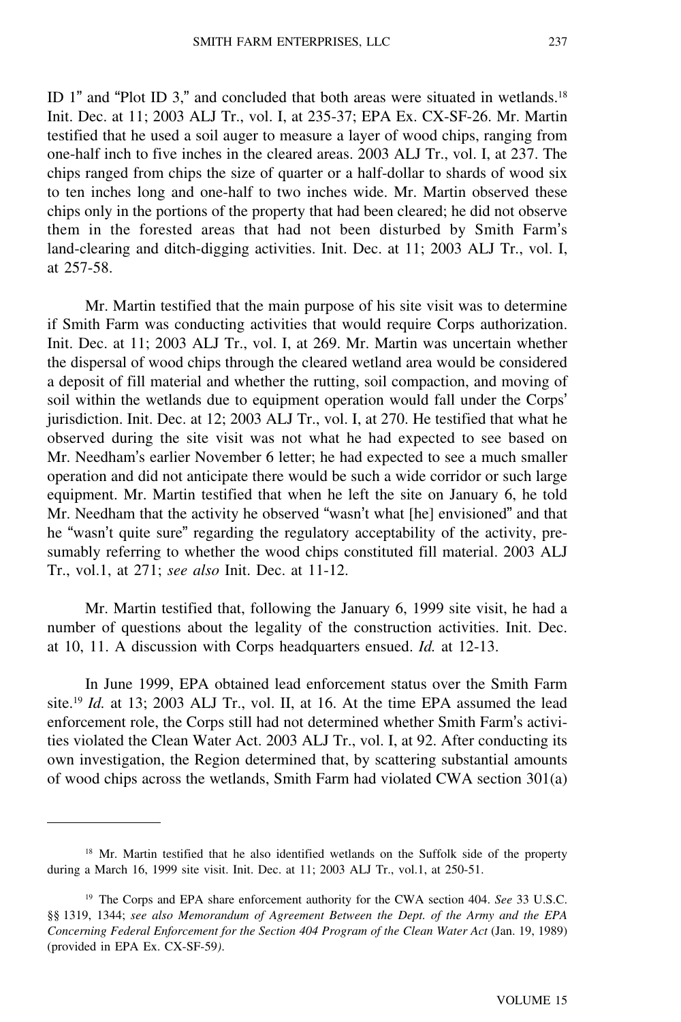ID 1" and "Plot ID 3," and concluded that both areas were situated in wetlands.<sup>18</sup> Init. Dec. at 11; 2003 ALJ Tr., vol. I, at 235-37; EPA Ex. CX-SF-26. Mr. Martin testified that he used a soil auger to measure a layer of wood chips, ranging from one-half inch to five inches in the cleared areas. 2003 ALJ Tr., vol. I, at 237. The chips ranged from chips the size of quarter or a half-dollar to shards of wood six to ten inches long and one-half to two inches wide. Mr. Martin observed these chips only in the portions of the property that had been cleared; he did not observe them in the forested areas that had not been disturbed by Smith Farm'<sup>s</sup> land-clearing and ditch-digging activities. Init. Dec. at 11; 2003 ALJ Tr., vol. I, at 257-58.

Mr. Martin testified that the main purpose of his site visit was to determine if Smith Farm was conducting activities that would require Corps authorization. Init. Dec. at 11; 2003 ALJ Tr., vol. I, at 269. Mr. Martin was uncertain whether the dispersal of wood chips through the cleared wetland area would be considered a deposit of fill material and whether the rutting, soil compaction, and moving of soil within the wetlands due to equipment operation would fall under the Corps' jurisdiction. Init. Dec. at 12; 2003 ALJ Tr., vol. I, at 270. He testified that what he observed during the site visit was not what he had expected to see based on Mr. Needham's earlier November 6 letter; he had expected to see a much smaller operation and did not anticipate there would be such a wide corridor or such large equipment. Mr. Martin testified that when he left the site on January 6, he told Mr. Needham that the activity he observed "wasn't what [he] envisioned" and that he "wasn't quite sure" regarding the regulatory acceptability of the activity, presumably referring to whether the wood chips constituted fill material. 2003 ALJ Tr., vol.1, at 271; *see also* Init. Dec. at 11-12.

Mr. Martin testified that, following the January 6, 1999 site visit, he had a number of questions about the legality of the construction activities. Init. Dec. at 10, 11. A discussion with Corps headquarters ensued. *Id.* at 12-13.

In June 1999, EPA obtained lead enforcement status over the Smith Farm site.<sup>19</sup> *Id.* at 13; 2003 ALJ Tr., vol. II, at 16. At the time EPA assumed the lead enforcement role, the Corps still had not determined whether Smith Farm's activities violated the Clean Water Act. 2003 ALJ Tr., vol. I, at 92. After conducting its own investigation, the Region determined that, by scattering substantial amounts of wood chips across the wetlands, Smith Farm had violated CWA section 301(a)

<sup>&</sup>lt;sup>18</sup> Mr. Martin testified that he also identified wetlands on the Suffolk side of the property during a March 16, 1999 site visit. Init. Dec. at 11; 2003 ALJ Tr., vol.1, at 250-51.

<sup>19</sup> The Corps and EPA share enforcement authority for the CWA section 404. *See* 33 U.S.C. §§ 1319, 1344; *see also Memorandum of Agreement Between the Dept. of the Army and the EPA Concerning Federal Enforcement for the Section 404 Program of the Clean Water Act* (Jan. 19, 1989) (provided in EPA Ex. CX-SF-59*)*.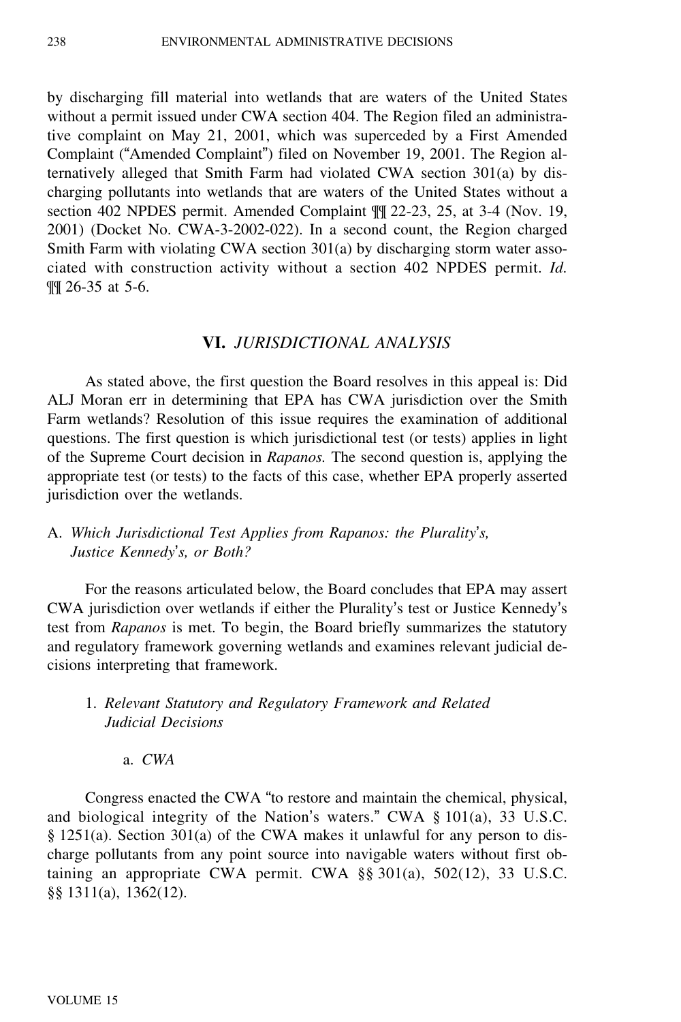by discharging fill material into wetlands that are waters of the United States without a permit issued under CWA section 404. The Region filed an administrative complaint on May 21, 2001, which was superceded by a First Amended Complaint ("Amended Complaint") filed on November 19, 2001. The Region alternatively alleged that Smith Farm had violated CWA section 301(a) by discharging pollutants into wetlands that are waters of the United States without a section 402 NPDES permit. Amended Complaint ¶¶ 22-23, 25, at 3-4 (Nov. 19, 2001) (Docket No. CWA-3-2002-022). In a second count, the Region charged Smith Farm with violating CWA section 301(a) by discharging storm water associated with construction activity without a section 402 NPDES permit. *Id.* ¶¶ 26-35 at 5-6.

### **VI.** *JURISDICTIONAL ANALYSIS*

As stated above, the first question the Board resolves in this appeal is: Did ALJ Moran err in determining that EPA has CWA jurisdiction over the Smith Farm wetlands? Resolution of this issue requires the examination of additional questions. The first question is which jurisdictional test (or tests) applies in light of the Supreme Court decision in *Rapanos.* The second question is, applying the appropriate test (or tests) to the facts of this case, whether EPA properly asserted jurisdiction over the wetlands.

## A. *Which Jurisdictional Test Applies from Rapanos: the Plurality*'*s, Justice Kennedy*'*s, or Both?*

For the reasons articulated below, the Board concludes that EPA may assert CWA jurisdiction over wetlands if either the Plurality's test or Justice Kennedy'<sup>s</sup> test from *Rapanos* is met. To begin, the Board briefly summarizes the statutory and regulatory framework governing wetlands and examines relevant judicial decisions interpreting that framework.

## 1. *Relevant Statutory and Regulatory Framework and Related Judicial Decisions*

### a. *CWA*

Congress enacted the CWA "to restore and maintain the chemical, physical, and biological integrity of the Nation's waters." CWA § 101(a), 33 U.S.C. § 1251(a). Section 301(a) of the CWA makes it unlawful for any person to discharge pollutants from any point source into navigable waters without first obtaining an appropriate CWA permit. CWA  $\S$ § 301(a), 502(12), 33 U.S.C. §§ 1311(a), 1362(12).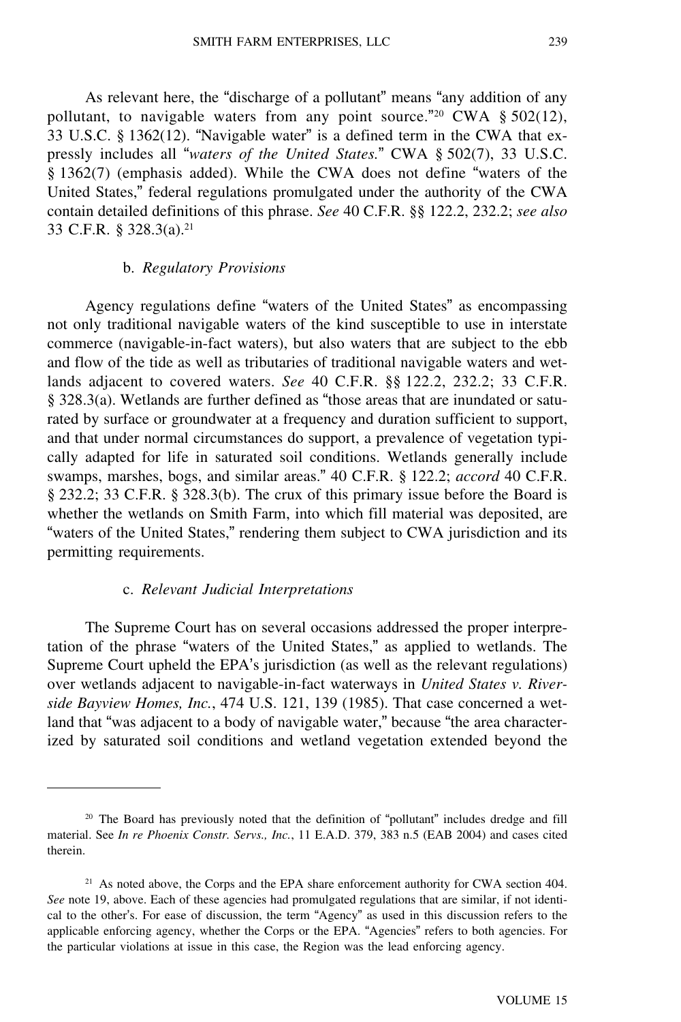As relevant here, the "discharge of a pollutant" means "any addition of any pollutant, to navigable waters from any point source."<sup>20</sup> CWA § 502(12), 33 U.S.C. § 1362(12). "Navigable water" is a defined term in the CWA that expressly includes all "*waters of the United States.*" CWA § 502(7), 33 U.S.C. § 1362(7) (emphasis added). While the CWA does not define "waters of the United States," federal regulations promulgated under the authority of the CWA contain detailed definitions of this phrase. *See* 40 C.F.R. §§ 122.2, 232.2; *see also* 33 C.F.R. § 328.3(a).<sup>21</sup>

### b. *Regulatory Provisions*

Agency regulations define "waters of the United States" as encompassing not only traditional navigable waters of the kind susceptible to use in interstate commerce (navigable-in-fact waters), but also waters that are subject to the ebb and flow of the tide as well as tributaries of traditional navigable waters and wetlands adjacent to covered waters. *See* 40 C.F.R. §§ 122.2, 232.2; 33 C.F.R. § 328.3(a). Wetlands are further defined as "those areas that are inundated or saturated by surface or groundwater at a frequency and duration sufficient to support, and that under normal circumstances do support, a prevalence of vegetation typically adapted for life in saturated soil conditions. Wetlands generally include swamps, marshes, bogs, and similar areas." 40 C.F.R. § 122.2; *accord* 40 C.F.R. § 232.2; 33 C.F.R. § 328.3(b). The crux of this primary issue before the Board is whether the wetlands on Smith Farm, into which fill material was deposited, are "waters of the United States," rendering them subject to CWA jurisdiction and its permitting requirements.

#### c. *Relevant Judicial Interpretations*

The Supreme Court has on several occasions addressed the proper interpretation of the phrase "waters of the United States," as applied to wetlands. The Supreme Court upheld the EPA's jurisdiction (as well as the relevant regulations) over wetlands adjacent to navigable-in-fact waterways in *United States v. Riverside Bayview Homes, Inc.*, 474 U.S. 121, 139 (1985). That case concerned a wetland that "was adjacent to a body of navigable water," because "the area characterized by saturated soil conditions and wetland vegetation extended beyond the

<sup>20</sup> The Board has previously noted that the definition of "pollutant" includes dredge and fill material. See *In re Phoenix Constr. Servs., Inc.*, 11 E.A.D. 379, 383 n.5 (EAB 2004) and cases cited therein.

<sup>&</sup>lt;sup>21</sup> As noted above, the Corps and the EPA share enforcement authority for CWA section 404. *See* note 19, above. Each of these agencies had promulgated regulations that are similar, if not identical to the other's. For ease of discussion, the term "Agency" as used in this discussion refers to the applicable enforcing agency, whether the Corps or the EPA. "Agencies" refers to both agencies. For the particular violations at issue in this case, the Region was the lead enforcing agency.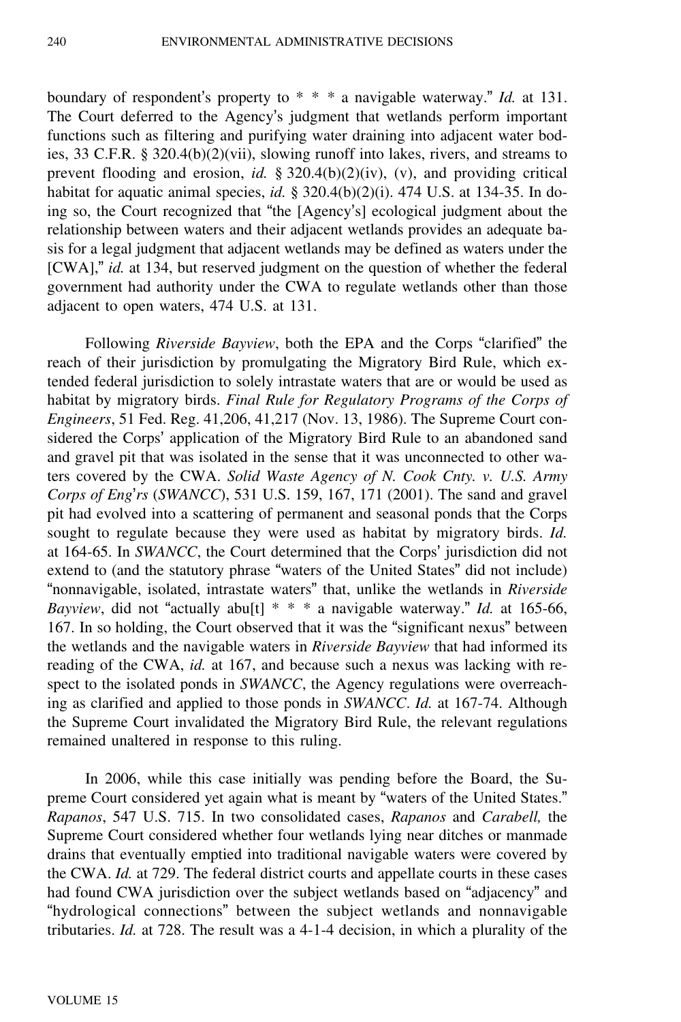boundary of respondent's property to \* \* \* a navigable waterway." *Id.* at 131. The Court deferred to the Agency's judgment that wetlands perform important functions such as filtering and purifying water draining into adjacent water bodies, 33 C.F.R. § 320.4(b)(2)(vii), slowing runoff into lakes, rivers, and streams to prevent flooding and erosion, *id.* § 320.4(b)(2)(iv), (v), and providing critical habitat for aquatic animal species, *id.* § 320.4(b)(2)(i). 474 U.S. at 134-35. In doing so, the Court recognized that "the [Agency's] ecological judgment about the relationship between waters and their adjacent wetlands provides an adequate basis for a legal judgment that adjacent wetlands may be defined as waters under the [CWA]," *id.* at 134, but reserved judgment on the question of whether the federal government had authority under the CWA to regulate wetlands other than those adjacent to open waters, 474 U.S. at 131.

Following *Riverside Bayview*, both the EPA and the Corps "clarified" the reach of their jurisdiction by promulgating the Migratory Bird Rule, which extended federal jurisdiction to solely intrastate waters that are or would be used as habitat by migratory birds. *Final Rule for Regulatory Programs of the Corps of Engineers*, 51 Fed. Reg. 41,206, 41,217 (Nov. 13, 1986). The Supreme Court considered the Corps' application of the Migratory Bird Rule to an abandoned sand and gravel pit that was isolated in the sense that it was unconnected to other waters covered by the CWA. *Solid Waste Agency of N. Cook Cnty. v. U.S. Army Corps of Eng*'*rs* (*SWANCC*), 531 U.S. 159, 167, 171 (2001). The sand and gravel pit had evolved into a scattering of permanent and seasonal ponds that the Corps sought to regulate because they were used as habitat by migratory birds. *Id.* at 164-65. In *SWANCC*, the Court determined that the Corps' jurisdiction did not extend to (and the statutory phrase "waters of the United States" did not include) "nonnavigable, isolated, intrastate waters" that, unlike the wetlands in *Riverside Bayview*, did not "actually abu[t] \* \* \* a navigable waterway." *Id.* at 165-66, 167. In so holding, the Court observed that it was the "significant nexus" between the wetlands and the navigable waters in *Riverside Bayview* that had informed its reading of the CWA, *id.* at 167, and because such a nexus was lacking with respect to the isolated ponds in *SWANCC*, the Agency regulations were overreaching as clarified and applied to those ponds in *SWANCC*. *Id.* at 167-74. Although the Supreme Court invalidated the Migratory Bird Rule, the relevant regulations remained unaltered in response to this ruling.

In 2006, while this case initially was pending before the Board, the Supreme Court considered yet again what is meant by "waters of the United States." *Rapanos*, 547 U.S. 715. In two consolidated cases, *Rapanos* and *Carabell,* the Supreme Court considered whether four wetlands lying near ditches or manmade drains that eventually emptied into traditional navigable waters were covered by the CWA. *Id.* at 729. The federal district courts and appellate courts in these cases had found CWA jurisdiction over the subject wetlands based on "adjacency" and "hydrological connections" between the subject wetlands and nonnavigable tributaries. *Id.* at 728. The result was a 4-1-4 decision, in which a plurality of the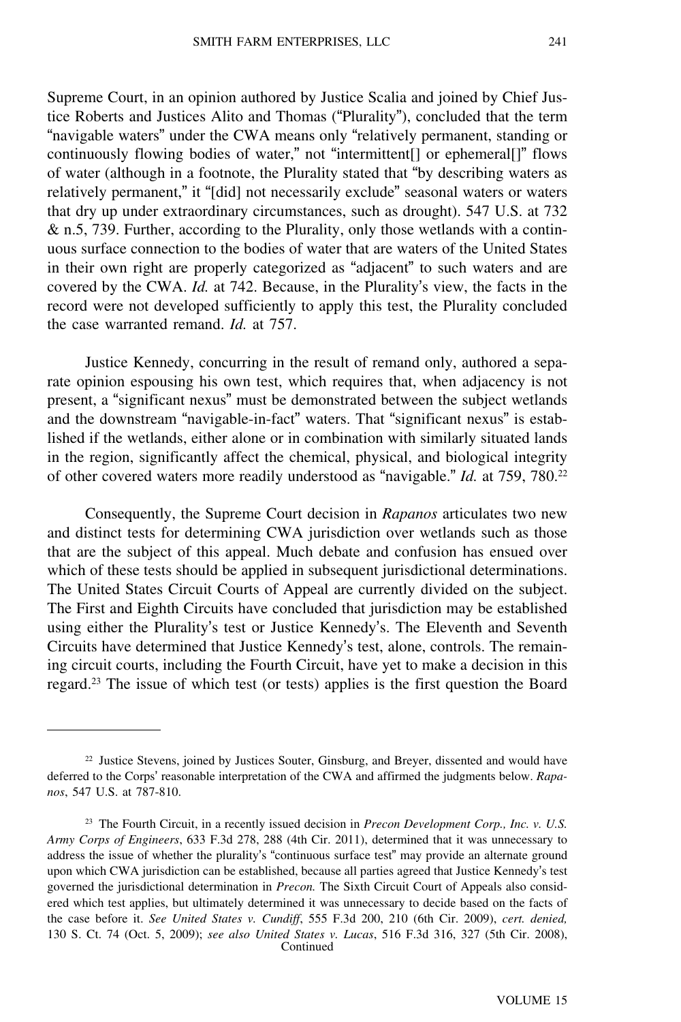Supreme Court, in an opinion authored by Justice Scalia and joined by Chief Justice Roberts and Justices Alito and Thomas ("Plurality"), concluded that the term "navigable waters" under the CWA means only "relatively permanent, standing or continuously flowing bodies of water," not "intermittent[] or ephemeral[]" flows of water (although in a footnote, the Plurality stated that "by describing waters as relatively permanent," it "[did] not necessarily exclude" seasonal waters or waters that dry up under extraordinary circumstances, such as drought). 547 U.S. at 732 & n.5, 739. Further, according to the Plurality, only those wetlands with a continuous surface connection to the bodies of water that are waters of the United States in their own right are properly categorized as "adjacent" to such waters and are covered by the CWA. *Id.* at 742. Because, in the Plurality's view, the facts in the record were not developed sufficiently to apply this test, the Plurality concluded the case warranted remand. *Id.* at 757.

Justice Kennedy, concurring in the result of remand only, authored a separate opinion espousing his own test, which requires that, when adjacency is not present, a "significant nexus" must be demonstrated between the subject wetlands and the downstream "navigable-in-fact" waters. That "significant nexus" is established if the wetlands, either alone or in combination with similarly situated lands in the region, significantly affect the chemical, physical, and biological integrity of other covered waters more readily understood as "navigable." *Id.* at 759, 780.<sup>22</sup>

Consequently, the Supreme Court decision in *Rapanos* articulates two new and distinct tests for determining CWA jurisdiction over wetlands such as those that are the subject of this appeal. Much debate and confusion has ensued over which of these tests should be applied in subsequent jurisdictional determinations. The United States Circuit Courts of Appeal are currently divided on the subject. The First and Eighth Circuits have concluded that jurisdiction may be established using either the Plurality's test or Justice Kennedy's. The Eleventh and Seventh Circuits have determined that Justice Kennedy's test, alone, controls. The remaining circuit courts, including the Fourth Circuit, have yet to make a decision in this regard.<sup>23</sup> The issue of which test (or tests) applies is the first question the Board

<sup>&</sup>lt;sup>22</sup> Justice Stevens, joined by Justices Souter, Ginsburg, and Breyer, dissented and would have deferred to the Corps' reasonable interpretation of the CWA and affirmed the judgments below. *Rapanos*, 547 U.S. at 787-810.

<sup>23</sup> The Fourth Circuit, in a recently issued decision in *Precon Development Corp., Inc. v. U.S. Army Corps of Engineers*, 633 F.3d 278, 288 (4th Cir. 2011), determined that it was unnecessary to address the issue of whether the plurality's "continuous surface test" may provide an alternate ground upon which CWA jurisdiction can be established, because all parties agreed that Justice Kennedy's test governed the jurisdictional determination in *Precon.* The Sixth Circuit Court of Appeals also considered which test applies, but ultimately determined it was unnecessary to decide based on the facts of the case before it. *See United States v. Cundiff*, 555 F.3d 200, 210 (6th Cir. 2009), *cert. denied,* 130 S. Ct. 74 (Oct. 5, 2009); *see also United States v. Lucas*, 516 F.3d 316, 327 (5th Cir. 2008), Continued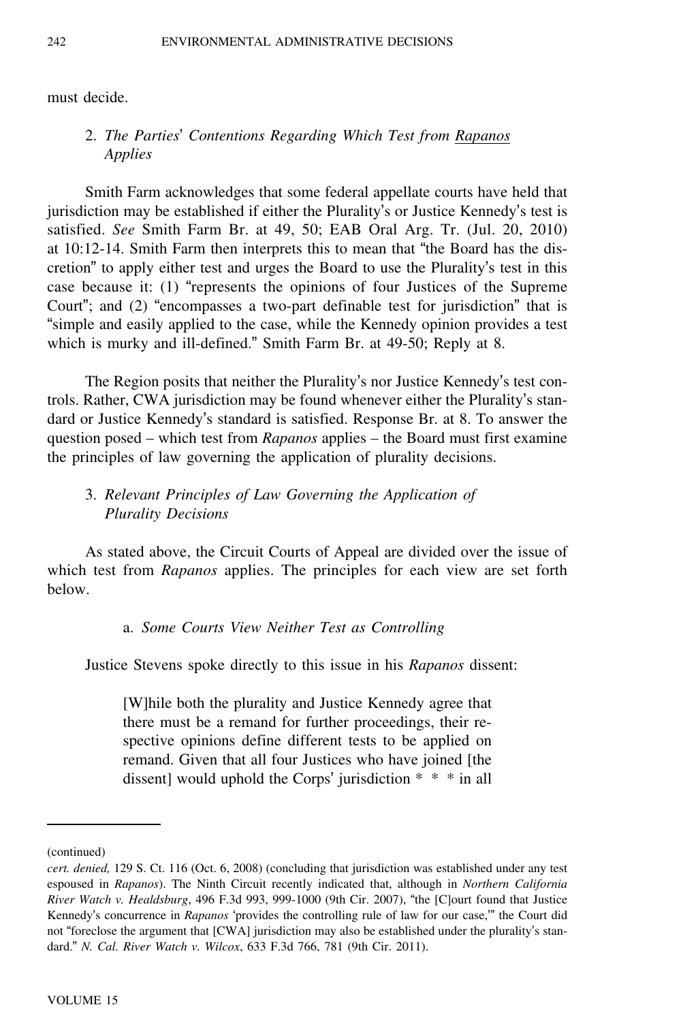must decide.

## 2. *The Parties*' *Contentions Regarding Which Test from Rapanos Applies*

Smith Farm acknowledges that some federal appellate courts have held that jurisdiction may be established if either the Plurality's or Justice Kennedy's test is satisfied. *See* Smith Farm Br. at 49, 50; EAB Oral Arg. Tr. (Jul. 20, 2010) at 10:12-14. Smith Farm then interprets this to mean that "the Board has the discretion" to apply either test and urges the Board to use the Plurality's test in this case because it: (1) "represents the opinions of four Justices of the Supreme Court"; and (2) "encompasses a two-part definable test for jurisdiction" that is "simple and easily applied to the case, while the Kennedy opinion provides a test which is murky and ill-defined." Smith Farm Br. at 49-50; Reply at 8.

The Region posits that neither the Plurality's nor Justice Kennedy's test controls. Rather, CWA jurisdiction may be found whenever either the Plurality's standard or Justice Kennedy's standard is satisfied. Response Br. at 8. To answer the question posed – which test from *Rapanos* applies – the Board must first examine the principles of law governing the application of plurality decisions.

## 3. *Relevant Principles of Law Governing the Application of Plurality Decisions*

As stated above, the Circuit Courts of Appeal are divided over the issue of which test from *Rapanos* applies. The principles for each view are set forth below.

#### a. *Some Courts View Neither Test as Controlling*

Justice Stevens spoke directly to this issue in his *Rapanos* dissent:

[W]hile both the plurality and Justice Kennedy agree that there must be a remand for further proceedings, their respective opinions define different tests to be applied on remand. Given that all four Justices who have joined [the dissent] would uphold the Corps' jurisdiction \* \* \* in all

<sup>(</sup>continued)

*cert. denied,* 129 S. Ct. 116 (Oct. 6, 2008) (concluding that jurisdiction was established under any test espoused in *Rapanos*). The Ninth Circuit recently indicated that, although in *Northern California River Watch v. Healdsburg*, 496 F.3d 993, 999-1000 (9th Cir. 2007), "the [C]ourt found that Justice Kennedy's concurrence in *Rapanos* 'provides the controlling rule of law for our case,'" the Court did not "foreclose the argument that [CWA] jurisdiction may also be established under the plurality's standard." *N. Cal. River Watch v. Wilcox*, 633 F.3d 766, 781 (9th Cir. 2011).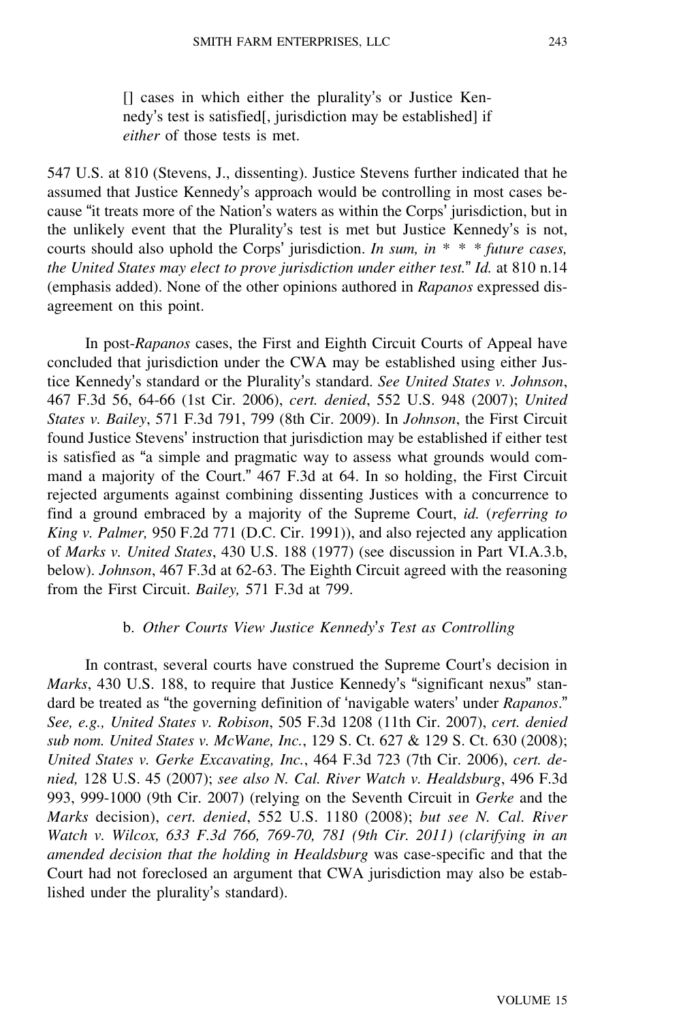[] cases in which either the plurality's or Justice Kennedy's test is satisfied[, jurisdiction may be established] if *either* of those tests is met.

547 U.S. at 810 (Stevens, J., dissenting). Justice Stevens further indicated that he assumed that Justice Kennedy's approach would be controlling in most cases because "it treats more of the Nation's waters as within the Corps' jurisdiction, but in the unlikely event that the Plurality's test is met but Justice Kennedy's is not, courts should also uphold the Corps' jurisdiction. *In sum, in \* \* \* future cases, the United States may elect to prove jurisdiction under either test.*" *Id.* at 810 n.14 (emphasis added). None of the other opinions authored in *Rapanos* expressed disagreement on this point.

In post-*Rapanos* cases, the First and Eighth Circuit Courts of Appeal have concluded that jurisdiction under the CWA may be established using either Justice Kennedy's standard or the Plurality's standard. *See United States v. Johnson*, 467 F.3d 56, 64-66 (1st Cir. 2006), *cert. denied*, 552 U.S. 948 (2007); *United States v. Bailey*, 571 F.3d 791, 799 (8th Cir. 2009). In *Johnson*, the First Circuit found Justice Stevens' instruction that jurisdiction may be established if either test is satisfied as "a simple and pragmatic way to assess what grounds would command a majority of the Court." 467 F.3d at 64. In so holding, the First Circuit rejected arguments against combining dissenting Justices with a concurrence to find a ground embraced by a majority of the Supreme Court, *id.* (*referring to King v. Palmer,* 950 F.2d 771 (D.C. Cir. 1991)), and also rejected any application of *Marks v. United States*, 430 U.S. 188 (1977) (see discussion in Part VI.A.3.b, below). *Johnson*, 467 F.3d at 62-63. The Eighth Circuit agreed with the reasoning from the First Circuit. *Bailey,* 571 F.3d at 799.

#### b. *Other Courts View Justice Kennedy*'*s Test as Controlling*

In contrast, several courts have construed the Supreme Court's decision in *Marks*, 430 U.S. 188, to require that Justice Kennedy's "significant nexus" standard be treated as "the governing definition of 'navigable waters' under *Rapanos*." *See, e.g., United States v. Robison*, 505 F.3d 1208 (11th Cir. 2007), *cert. denied sub nom. United States v. McWane, Inc.*, 129 S. Ct. 627 & 129 S. Ct. 630 (2008); *United States v. Gerke Excavating, Inc.*, 464 F.3d 723 (7th Cir. 2006), *cert. denied,* 128 U.S. 45 (2007); *see also N. Cal. River Watch v. Healdsburg*, 496 F.3d 993, 999-1000 (9th Cir. 2007) (relying on the Seventh Circuit in *Gerke* and the *Marks* decision), *cert. denied*, 552 U.S. 1180 (2008); *but see N. Cal. River Watch v. Wilcox, 633 F.3d 766, 769-70, 781 (9th Cir. 2011) (clarifying in an amended decision that the holding in Healdsburg* was case-specific and that the Court had not foreclosed an argument that CWA jurisdiction may also be established under the plurality's standard).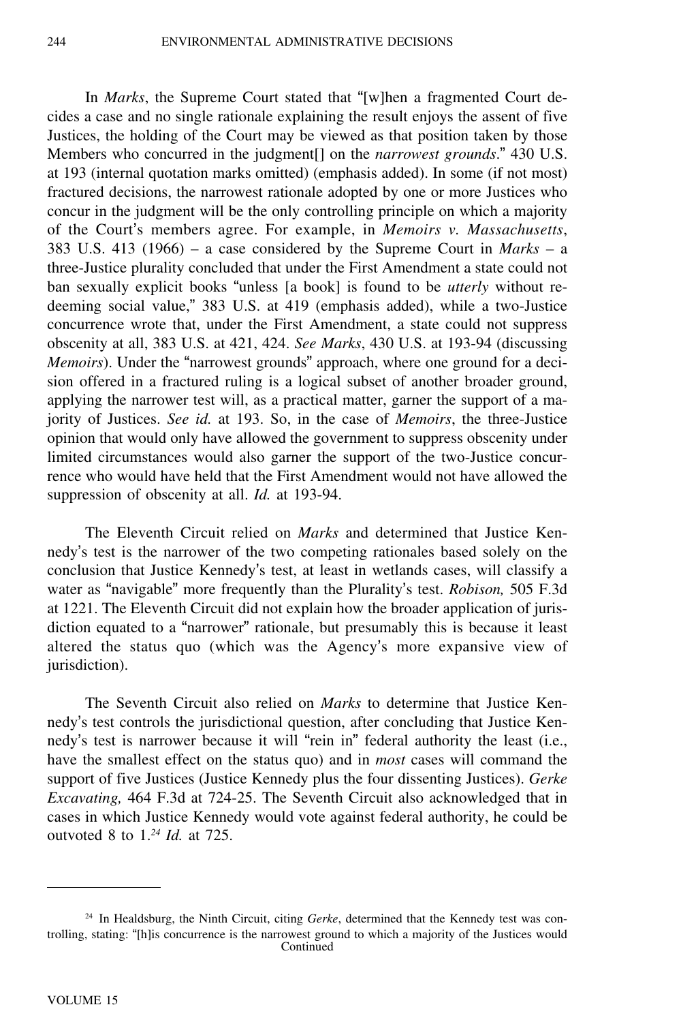In *Marks*, the Supreme Court stated that "[w]hen a fragmented Court decides a case and no single rationale explaining the result enjoys the assent of five Justices, the holding of the Court may be viewed as that position taken by those Members who concurred in the judgment[] on the *narrowest grounds*." 430 U.S. at 193 (internal quotation marks omitted) (emphasis added). In some (if not most) fractured decisions, the narrowest rationale adopted by one or more Justices who concur in the judgment will be the only controlling principle on which a majority of the Court's members agree. For example, in *Memoirs v. Massachusetts*, 383 U.S. 413 (1966) – a case considered by the Supreme Court in *Marks –* <sup>a</sup> three-Justice plurality concluded that under the First Amendment a state could not ban sexually explicit books "unless [a book] is found to be *utterly* without redeeming social value," 383 U.S. at 419 (emphasis added), while a two-Justice concurrence wrote that, under the First Amendment, a state could not suppress obscenity at all, 383 U.S. at 421, 424. *See Marks*, 430 U.S. at 193-94 (discussing *Memoirs*). Under the "narrowest grounds" approach, where one ground for a decision offered in a fractured ruling is a logical subset of another broader ground, applying the narrower test will, as a practical matter, garner the support of a majority of Justices. *See id.* at 193. So, in the case of *Memoirs*, the three-Justice opinion that would only have allowed the government to suppress obscenity under limited circumstances would also garner the support of the two-Justice concurrence who would have held that the First Amendment would not have allowed the suppression of obscenity at all. *Id.* at 193-94.

The Eleventh Circuit relied on *Marks* and determined that Justice Kennedy's test is the narrower of the two competing rationales based solely on the conclusion that Justice Kennedy's test, at least in wetlands cases, will classify a water as "navigable" more frequently than the Plurality's test. *Robison,* 505 F.3d at 1221. The Eleventh Circuit did not explain how the broader application of jurisdiction equated to a "narrower" rationale, but presumably this is because it least altered the status quo (which was the Agency's more expansive view of jurisdiction).

The Seventh Circuit also relied on *Marks* to determine that Justice Kennedy's test controls the jurisdictional question, after concluding that Justice Kennedy's test is narrower because it will "rein in" federal authority the least (i.e., have the smallest effect on the status quo) and in *most* cases will command the support of five Justices (Justice Kennedy plus the four dissenting Justices). *Gerke Excavating,* 464 F.3d at 724-25. The Seventh Circuit also acknowledged that in cases in which Justice Kennedy would vote against federal authority, he could be outvoted 8 to 1.*<sup>24</sup> Id.* at 725.

<sup>24</sup> In Healdsburg, the Ninth Circuit, citing *Gerke*, determined that the Kennedy test was controlling, stating: "[h]is concurrence is the narrowest ground to which a majority of the Justices would Continued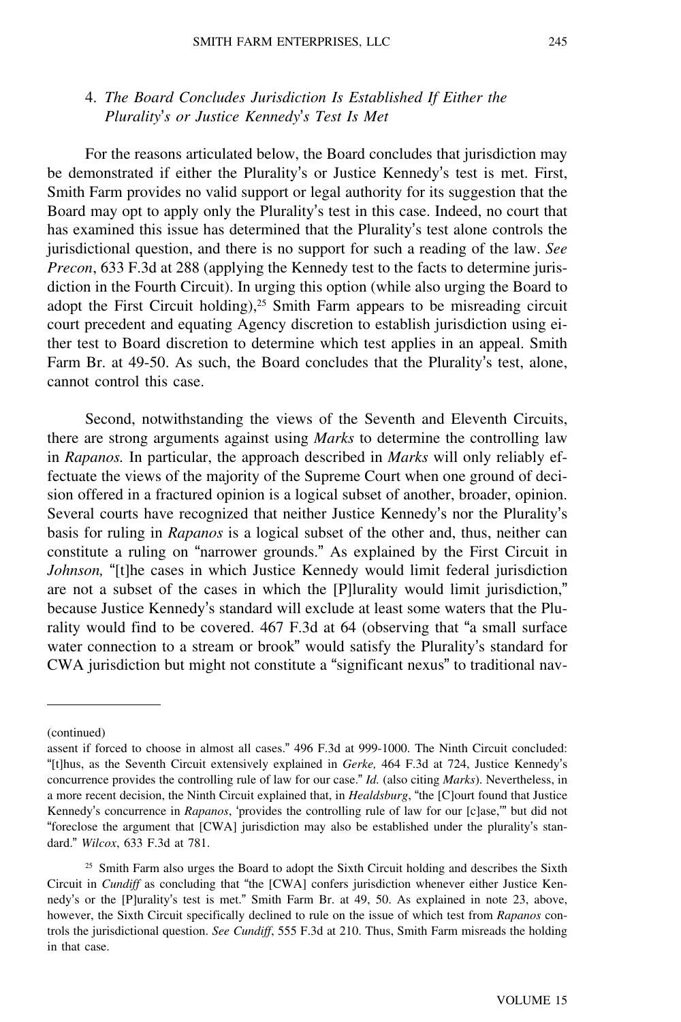### 4. *The Board Concludes Jurisdiction Is Established If Either the Plurality*'*s or Justice Kennedy*'*s Test Is Met*

For the reasons articulated below, the Board concludes that jurisdiction may be demonstrated if either the Plurality's or Justice Kennedy's test is met. First, Smith Farm provides no valid support or legal authority for its suggestion that the Board may opt to apply only the Plurality's test in this case. Indeed, no court that has examined this issue has determined that the Plurality's test alone controls the jurisdictional question, and there is no support for such a reading of the law. *See Precon*, 633 F.3d at 288 (applying the Kennedy test to the facts to determine jurisdiction in the Fourth Circuit). In urging this option (while also urging the Board to adopt the First Circuit holding), $25$  Smith Farm appears to be misreading circuit court precedent and equating Agency discretion to establish jurisdiction using either test to Board discretion to determine which test applies in an appeal. Smith Farm Br. at 49-50. As such, the Board concludes that the Plurality's test, alone, cannot control this case.

Second, notwithstanding the views of the Seventh and Eleventh Circuits, there are strong arguments against using *Marks* to determine the controlling law in *Rapanos.* In particular, the approach described in *Marks* will only reliably effectuate the views of the majority of the Supreme Court when one ground of decision offered in a fractured opinion is a logical subset of another, broader, opinion. Several courts have recognized that neither Justice Kennedy's nor the Plurality'<sup>s</sup> basis for ruling in *Rapanos* is a logical subset of the other and, thus, neither can constitute a ruling on "narrower grounds." As explained by the First Circuit in *Johnson*, "[t]he cases in which Justice Kennedy would limit federal jurisdiction are not a subset of the cases in which the [P]lurality would limit jurisdiction," because Justice Kennedy's standard will exclude at least some waters that the Plurality would find to be covered. 467 F.3d at 64 (observing that "a small surface water connection to a stream or brook" would satisfy the Plurality's standard for CWA jurisdiction but might not constitute a "significant nexus" to traditional nav-

<sup>(</sup>continued)

assent if forced to choose in almost all cases." 496 F.3d at 999-1000. The Ninth Circuit concluded: "[t]hus, as the Seventh Circuit extensively explained in *Gerke,* 464 F.3d at 724, Justice Kennedy'<sup>s</sup> concurrence provides the controlling rule of law for our case." *Id.* (also citing *Marks*). Nevertheless, in a more recent decision, the Ninth Circuit explained that, in *Healdsburg*, "the [C]ourt found that Justice Kennedy's concurrence in *Rapanos*, 'provides the controlling rule of law for our [c]ase,'" but did not "foreclose the argument that [CWA] jurisdiction may also be established under the plurality's standard." *Wilcox*, 633 F.3d at 781.

 $25$  Smith Farm also urges the Board to adopt the Sixth Circuit holding and describes the Sixth Circuit in *Cundiff* as concluding that "the [CWA] confers jurisdiction whenever either Justice Kennedy's or the [P]urality's test is met." Smith Farm Br. at 49, 50. As explained in note 23, above, however, the Sixth Circuit specifically declined to rule on the issue of which test from *Rapanos* controls the jurisdictional question. *See Cundiff*, 555 F.3d at 210. Thus, Smith Farm misreads the holding in that case.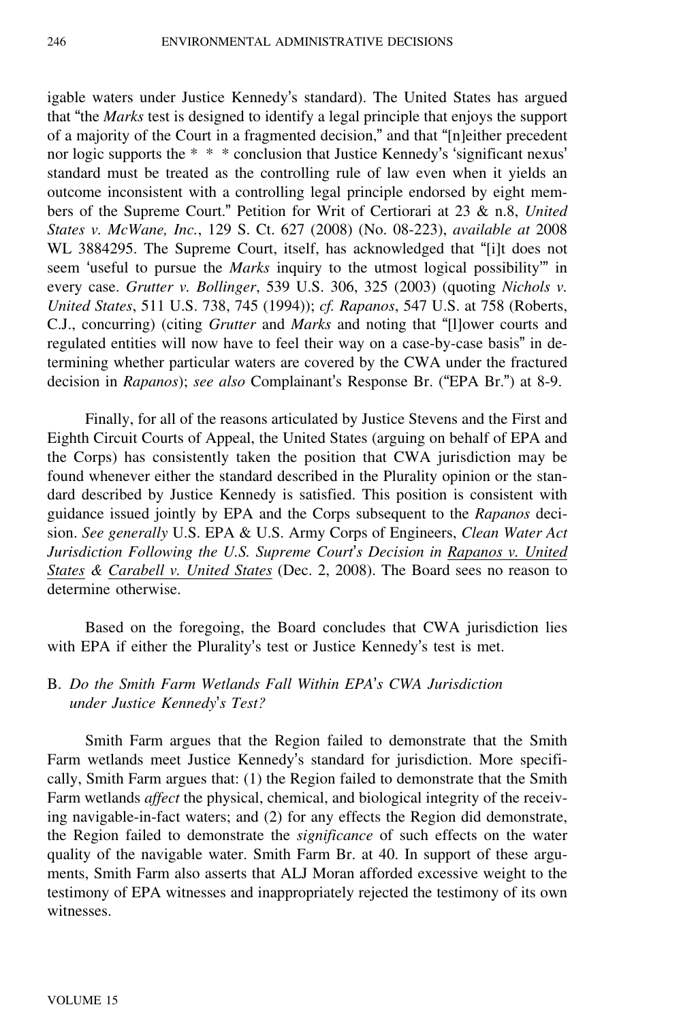igable waters under Justice Kennedy's standard). The United States has argued that "the *Marks* test is designed to identify a legal principle that enjoys the support of a majority of the Court in a fragmented decision," and that "[n]either precedent nor logic supports the \* \* \* conclusion that Justice Kennedy's 'significant nexus' standard must be treated as the controlling rule of law even when it yields an outcome inconsistent with a controlling legal principle endorsed by eight members of the Supreme Court." Petition for Writ of Certiorari at 23 & n.8, *United States v. McWane, Inc.*, 129 S. Ct. 627 (2008) (No. 08-223), *available at* 2008 WL 3884295. The Supreme Court, itself, has acknowledged that "[i]t does not seem 'useful to pursue the *Marks* inquiry to the utmost logical possibility'" in every case. *Grutter v. Bollinger*, 539 U.S. 306, 325 (2003) (quoting *Nichols v. United States*, 511 U.S. 738, 745 (1994)); *cf. Rapanos*, 547 U.S. at 758 (Roberts, C.J., concurring) (citing *Grutter* and *Marks* and noting that "[l]ower courts and regulated entities will now have to feel their way on a case-by-case basis" in determining whether particular waters are covered by the CWA under the fractured decision in *Rapanos*); *see also* Complainant's Response Br. ("EPA Br.") at 8-9.

Finally, for all of the reasons articulated by Justice Stevens and the First and Eighth Circuit Courts of Appeal, the United States (arguing on behalf of EPA and the Corps) has consistently taken the position that CWA jurisdiction may be found whenever either the standard described in the Plurality opinion or the standard described by Justice Kennedy is satisfied. This position is consistent with guidance issued jointly by EPA and the Corps subsequent to the *Rapanos* decision. *See generally* U.S. EPA & U.S. Army Corps of Engineers, *Clean Water Act Jurisdiction Following the U.S. Supreme Court*'*s Decision in Rapanos v. United States & Carabell v. United States* (Dec. 2, 2008). The Board sees no reason to determine otherwise.

Based on the foregoing, the Board concludes that CWA jurisdiction lies with EPA if either the Plurality's test or Justice Kennedy's test is met.

### B. *Do the Smith Farm Wetlands Fall Within EPA*'*s CWA Jurisdiction under Justice Kennedy*'*s Test?*

Smith Farm argues that the Region failed to demonstrate that the Smith Farm wetlands meet Justice Kennedy's standard for jurisdiction. More specifically, Smith Farm argues that: (1) the Region failed to demonstrate that the Smith Farm wetlands *affect* the physical, chemical, and biological integrity of the receiving navigable-in-fact waters; and (2) for any effects the Region did demonstrate, the Region failed to demonstrate the *significance* of such effects on the water quality of the navigable water. Smith Farm Br. at 40. In support of these arguments, Smith Farm also asserts that ALJ Moran afforded excessive weight to the testimony of EPA witnesses and inappropriately rejected the testimony of its own witnesses.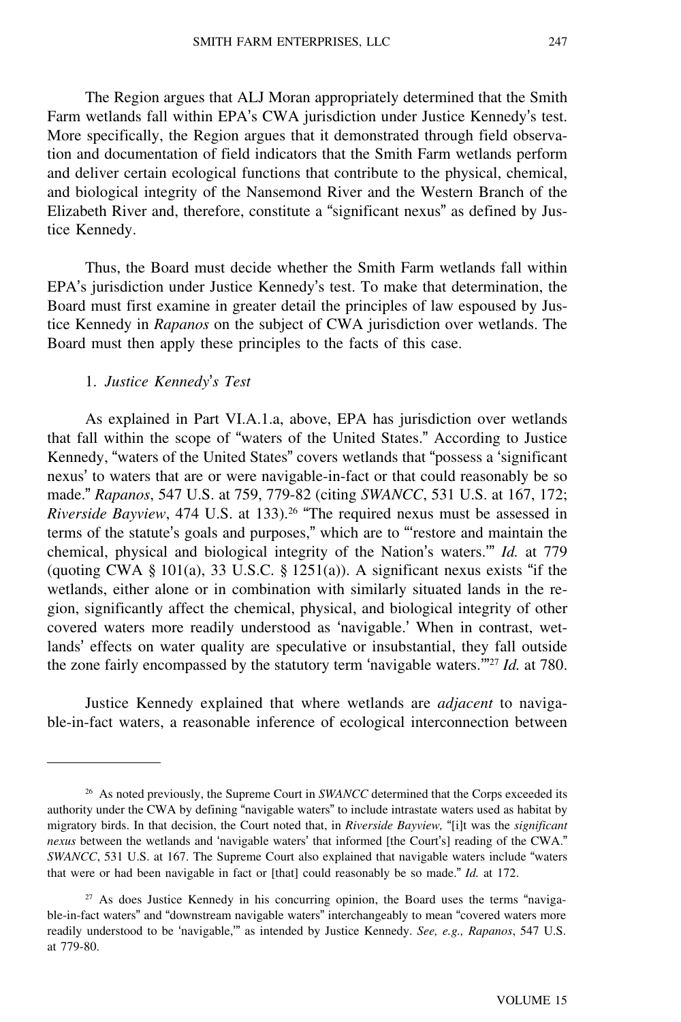The Region argues that ALJ Moran appropriately determined that the Smith Farm wetlands fall within EPA's CWA jurisdiction under Justice Kennedy's test. More specifically, the Region argues that it demonstrated through field observation and documentation of field indicators that the Smith Farm wetlands perform and deliver certain ecological functions that contribute to the physical, chemical, and biological integrity of the Nansemond River and the Western Branch of the Elizabeth River and, therefore, constitute a "significant nexus" as defined by Justice Kennedy.

Thus, the Board must decide whether the Smith Farm wetlands fall within EPA's jurisdiction under Justice Kennedy's test. To make that determination, the Board must first examine in greater detail the principles of law espoused by Justice Kennedy in *Rapanos* on the subject of CWA jurisdiction over wetlands. The Board must then apply these principles to the facts of this case.

#### 1. *Justice Kennedy*'*s Test*

As explained in Part VI.A.1.a, above, EPA has jurisdiction over wetlands that fall within the scope of "waters of the United States." According to Justice Kennedy, "waters of the United States" covers wetlands that "possess a 'significant nexus' to waters that are or were navigable-in-fact or that could reasonably be so made." *Rapanos*, 547 U.S. at 759, 779-82 (citing *SWANCC*, 531 U.S. at 167, 172; *Riverside Bayview*, 474 U.S. at 133).<sup>26</sup> "The required nexus must be assessed in terms of the statute's goals and purposes," which are to "'restore and maintain the chemical, physical and biological integrity of the Nation's waters.'" *Id.* at 779 (quoting CWA  $\S$  101(a), 33 U.S.C.  $\S$  1251(a)). A significant nexus exists "if the wetlands, either alone or in combination with similarly situated lands in the region, significantly affect the chemical, physical, and biological integrity of other covered waters more readily understood as 'navigable.' When in contrast, wetlands' effects on water quality are speculative or insubstantial, they fall outside the zone fairly encompassed by the statutory term 'navigable waters.'"<sup>27</sup> *Id.* at 780.

Justice Kennedy explained that where wetlands are *adjacent* to navigable-in-fact waters, a reasonable inference of ecological interconnection between

<sup>&</sup>lt;sup>26</sup> As noted previously, the Supreme Court in *SWANCC* determined that the Corps exceeded its authority under the CWA by defining "navigable waters" to include intrastate waters used as habitat by migratory birds. In that decision, the Court noted that, in *Riverside Bayview,* "[i]t was the *significant nexus* between the wetlands and 'navigable waters' that informed [the Court's] reading of the CWA." *SWANCC*, 531 U.S. at 167. The Supreme Court also explained that navigable waters include "waters that were or had been navigable in fact or [that] could reasonably be so made." *Id.* at 172.

<sup>&</sup>lt;sup>27</sup> As does Justice Kennedy in his concurring opinion, the Board uses the terms "navigable-in-fact waters" and "downstream navigable waters" interchangeably to mean "covered waters more readily understood to be 'navigable,'" as intended by Justice Kennedy. *See, e.g., Rapanos*, 547 U.S. at 779-80.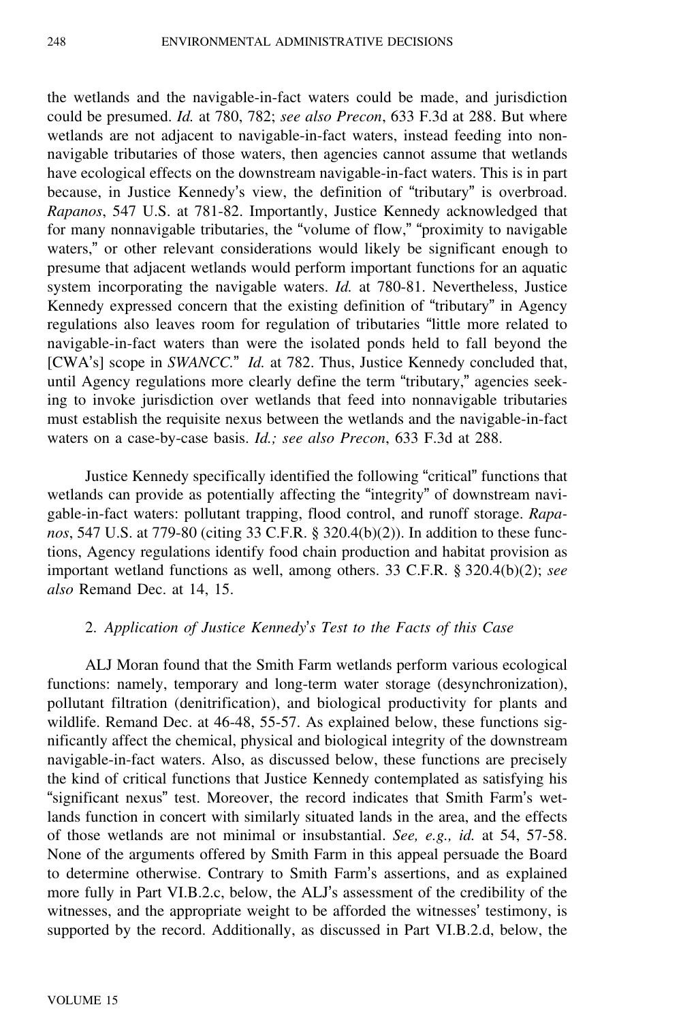the wetlands and the navigable-in-fact waters could be made, and jurisdiction could be presumed. *Id.* at 780, 782; *see also Precon*, 633 F.3d at 288. But where wetlands are not adjacent to navigable-in-fact waters, instead feeding into nonnavigable tributaries of those waters, then agencies cannot assume that wetlands have ecological effects on the downstream navigable-in-fact waters. This is in part because, in Justice Kennedy's view, the definition of "tributary" is overbroad. *Rapanos*, 547 U.S. at 781-82. Importantly, Justice Kennedy acknowledged that for many nonnavigable tributaries, the "volume of flow," "proximity to navigable waters," or other relevant considerations would likely be significant enough to presume that adjacent wetlands would perform important functions for an aquatic system incorporating the navigable waters. *Id.* at 780-81. Nevertheless, Justice Kennedy expressed concern that the existing definition of "tributary" in Agency regulations also leaves room for regulation of tributaries "little more related to navigable-in-fact waters than were the isolated ponds held to fall beyond the [CWA's] scope in *SWANCC.*" *Id.* at 782. Thus, Justice Kennedy concluded that, until Agency regulations more clearly define the term "tributary," agencies seeking to invoke jurisdiction over wetlands that feed into nonnavigable tributaries must establish the requisite nexus between the wetlands and the navigable-in-fact waters on a case-by-case basis. *Id.; see also Precon*, 633 F.3d at 288.

Justice Kennedy specifically identified the following "critical" functions that wetlands can provide as potentially affecting the "integrity" of downstream navigable-in-fact waters: pollutant trapping, flood control, and runoff storage. *Rapanos*, 547 U.S. at 779-80 (citing 33 C.F.R. § 320.4(b)(2)). In addition to these functions, Agency regulations identify food chain production and habitat provision as important wetland functions as well, among others. 33 C.F.R. § 320.4(b)(2); *see also* Remand Dec. at 14, 15.

### 2. *Application of Justice Kennedy*'*s Test to the Facts of this Case*

ALJ Moran found that the Smith Farm wetlands perform various ecological functions: namely, temporary and long-term water storage (desynchronization), pollutant filtration (denitrification), and biological productivity for plants and wildlife. Remand Dec. at 46-48, 55-57. As explained below, these functions significantly affect the chemical, physical and biological integrity of the downstream navigable-in-fact waters. Also, as discussed below, these functions are precisely the kind of critical functions that Justice Kennedy contemplated as satisfying his "significant nexus" test. Moreover, the record indicates that Smith Farm's wetlands function in concert with similarly situated lands in the area, and the effects of those wetlands are not minimal or insubstantial. *See, e.g., id.* at 54, 57-58. None of the arguments offered by Smith Farm in this appeal persuade the Board to determine otherwise. Contrary to Smith Farm's assertions, and as explained more fully in Part VI.B.2.c, below, the ALJ's assessment of the credibility of the witnesses, and the appropriate weight to be afforded the witnesses' testimony, is supported by the record. Additionally, as discussed in Part VI.B.2.d, below, the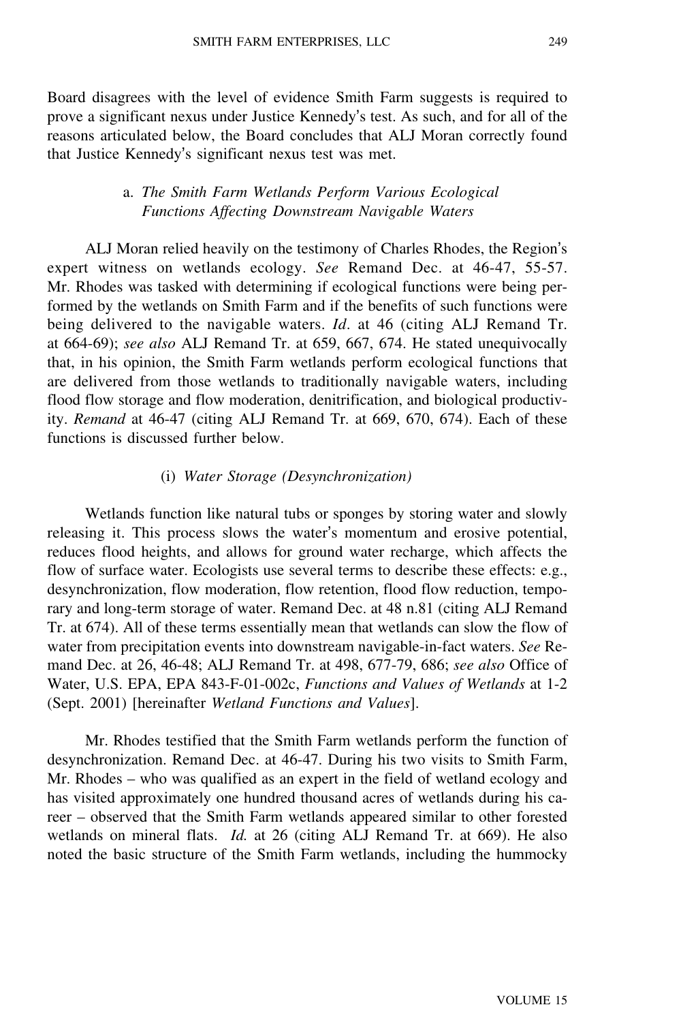Board disagrees with the level of evidence Smith Farm suggests is required to prove a significant nexus under Justice Kennedy's test. As such, and for all of the reasons articulated below, the Board concludes that ALJ Moran correctly found that Justice Kennedy's significant nexus test was met.

## a. *The Smith Farm Wetlands Perform Various Ecological Functions Affecting Downstream Navigable Waters*

ALJ Moran relied heavily on the testimony of Charles Rhodes, the Region'<sup>s</sup> expert witness on wetlands ecology. *See* Remand Dec. at 46-47, 55-57. Mr. Rhodes was tasked with determining if ecological functions were being performed by the wetlands on Smith Farm and if the benefits of such functions were being delivered to the navigable waters. *Id*. at 46 (citing ALJ Remand Tr. at 664-69); *see also* ALJ Remand Tr. at 659, 667, 674. He stated unequivocally that, in his opinion, the Smith Farm wetlands perform ecological functions that are delivered from those wetlands to traditionally navigable waters, including flood flow storage and flow moderation, denitrification, and biological productivity. *Remand* at 46-47 (citing ALJ Remand Tr. at 669, 670, 674). Each of these functions is discussed further below.

#### (i) *Water Storage (Desynchronization)*

Wetlands function like natural tubs or sponges by storing water and slowly releasing it. This process slows the water's momentum and erosive potential, reduces flood heights, and allows for ground water recharge, which affects the flow of surface water. Ecologists use several terms to describe these effects: e.g., desynchronization, flow moderation, flow retention, flood flow reduction, temporary and long-term storage of water. Remand Dec. at 48 n.81 (citing ALJ Remand Tr. at 674). All of these terms essentially mean that wetlands can slow the flow of water from precipitation events into downstream navigable-in-fact waters. *See* Remand Dec. at 26, 46-48; ALJ Remand Tr. at 498, 677-79, 686; *see also* Office of Water, U.S. EPA, EPA 843-F-01-002c, *Functions and Values of Wetlands* at 1-2 (Sept. 2001) [hereinafter *Wetland Functions and Values*].

Mr. Rhodes testified that the Smith Farm wetlands perform the function of desynchronization. Remand Dec. at 46-47. During his two visits to Smith Farm, Mr. Rhodes – who was qualified as an expert in the field of wetland ecology and has visited approximately one hundred thousand acres of wetlands during his career – observed that the Smith Farm wetlands appeared similar to other forested wetlands on mineral flats. *Id.* at 26 (citing ALJ Remand Tr. at 669). He also noted the basic structure of the Smith Farm wetlands, including the hummocky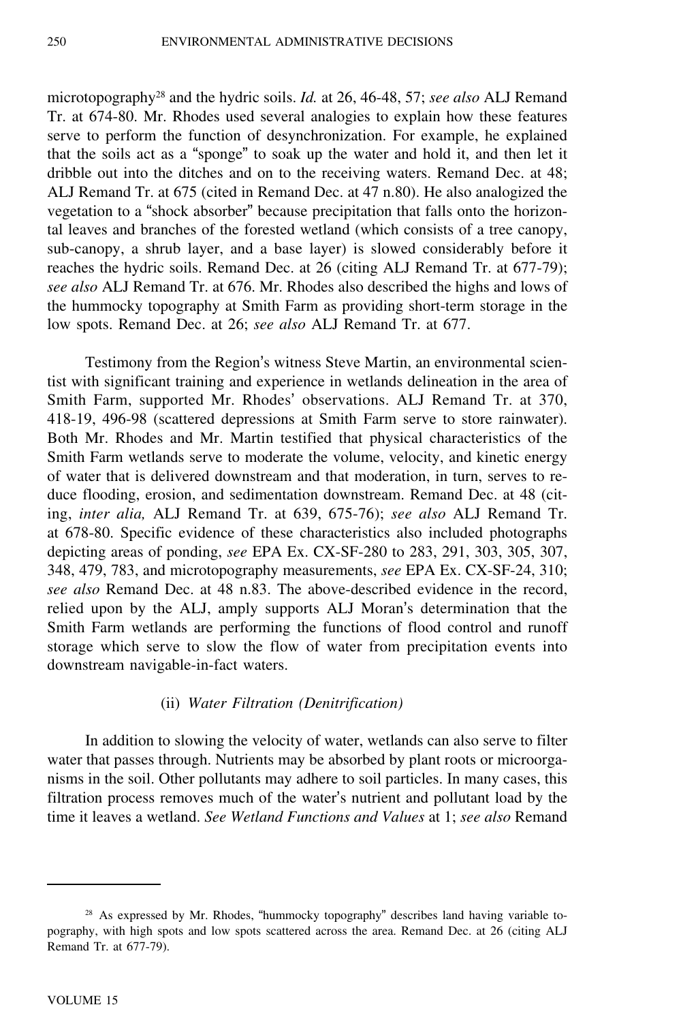microtopography<sup>28</sup> and the hydric soils. *Id.* at 26, 46-48, 57; *see also* ALJ Remand Tr. at 674-80. Mr. Rhodes used several analogies to explain how these features serve to perform the function of desynchronization. For example, he explained that the soils act as a "sponge" to soak up the water and hold it, and then let it dribble out into the ditches and on to the receiving waters. Remand Dec. at 48; ALJ Remand Tr. at 675 (cited in Remand Dec. at 47 n.80). He also analogized the vegetation to a "shock absorber" because precipitation that falls onto the horizontal leaves and branches of the forested wetland (which consists of a tree canopy, sub-canopy, a shrub layer, and a base layer) is slowed considerably before it reaches the hydric soils. Remand Dec. at 26 (citing ALJ Remand Tr. at 677-79); *see also* ALJ Remand Tr. at 676. Mr. Rhodes also described the highs and lows of the hummocky topography at Smith Farm as providing short-term storage in the low spots. Remand Dec. at 26; *see also* ALJ Remand Tr. at 677.

Testimony from the Region's witness Steve Martin, an environmental scientist with significant training and experience in wetlands delineation in the area of Smith Farm, supported Mr. Rhodes' observations. ALJ Remand Tr. at 370, 418-19, 496-98 (scattered depressions at Smith Farm serve to store rainwater). Both Mr. Rhodes and Mr. Martin testified that physical characteristics of the Smith Farm wetlands serve to moderate the volume, velocity, and kinetic energy of water that is delivered downstream and that moderation, in turn, serves to reduce flooding, erosion, and sedimentation downstream. Remand Dec. at 48 (citing, *inter alia,* ALJ Remand Tr. at 639, 675-76); *see also* ALJ Remand Tr. at 678-80. Specific evidence of these characteristics also included photographs depicting areas of ponding, *see* EPA Ex. CX-SF-280 to 283, 291, 303, 305, 307, 348, 479, 783, and microtopography measurements, *see* EPA Ex. CX-SF-24, 310; *see also* Remand Dec. at 48 n.83. The above-described evidence in the record, relied upon by the ALJ, amply supports ALJ Moran's determination that the Smith Farm wetlands are performing the functions of flood control and runoff storage which serve to slow the flow of water from precipitation events into downstream navigable-in-fact waters.

### (ii) *Water Filtration (Denitrification)*

In addition to slowing the velocity of water, wetlands can also serve to filter water that passes through. Nutrients may be absorbed by plant roots or microorganisms in the soil. Other pollutants may adhere to soil particles. In many cases, this filtration process removes much of the water's nutrient and pollutant load by the time it leaves a wetland. *See Wetland Functions and Values* at 1; *see also* Remand

<sup>&</sup>lt;sup>28</sup> As expressed by Mr. Rhodes, "hummocky topography" describes land having variable topography, with high spots and low spots scattered across the area. Remand Dec. at 26 (citing ALJ Remand Tr. at 677-79).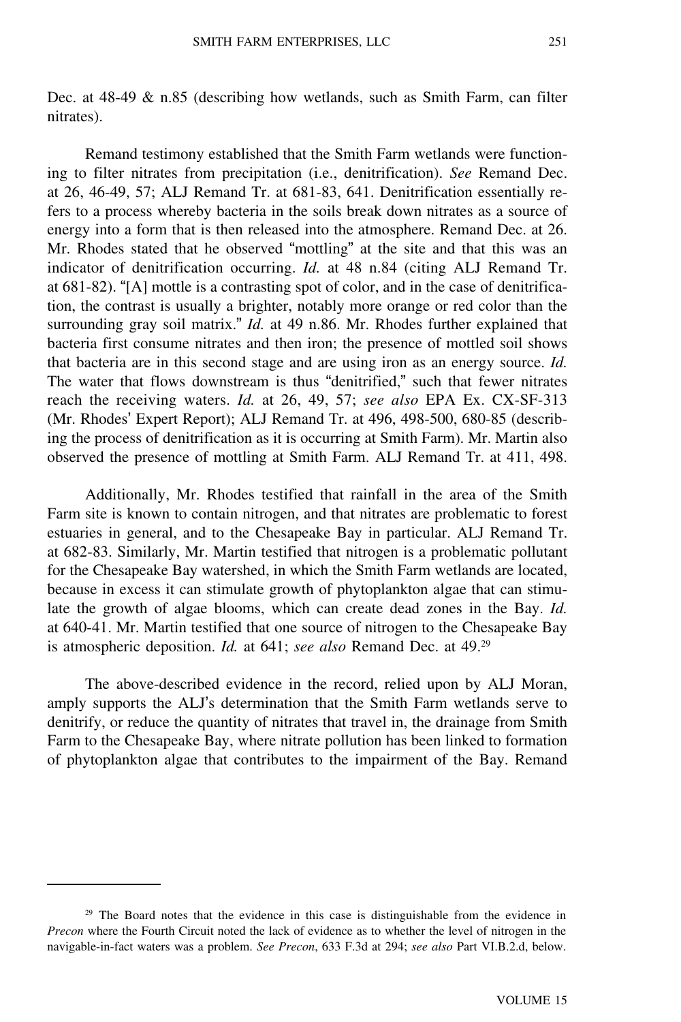Dec. at 48-49 & n.85 (describing how wetlands, such as Smith Farm, can filter nitrates).

Remand testimony established that the Smith Farm wetlands were functioning to filter nitrates from precipitation (i.e., denitrification). *See* Remand Dec. at 26, 46-49, 57; ALJ Remand Tr. at 681-83, 641. Denitrification essentially refers to a process whereby bacteria in the soils break down nitrates as a source of energy into a form that is then released into the atmosphere. Remand Dec. at 26. Mr. Rhodes stated that he observed "mottling" at the site and that this was an indicator of denitrification occurring. *Id.* at 48 n.84 (citing ALJ Remand Tr. at 681-82). "[A] mottle is a contrasting spot of color, and in the case of denitrification, the contrast is usually a brighter, notably more orange or red color than the surrounding gray soil matrix." *Id.* at 49 n.86. Mr. Rhodes further explained that bacteria first consume nitrates and then iron; the presence of mottled soil shows that bacteria are in this second stage and are using iron as an energy source. *Id.* The water that flows downstream is thus "denitrified," such that fewer nitrates reach the receiving waters. *Id.* at 26, 49, 57; *see also* EPA Ex. CX-SF-313 (Mr. Rhodes' Expert Report); ALJ Remand Tr. at 496, 498-500, 680-85 (describing the process of denitrification as it is occurring at Smith Farm). Mr. Martin also observed the presence of mottling at Smith Farm. ALJ Remand Tr. at 411, 498.

Additionally, Mr. Rhodes testified that rainfall in the area of the Smith Farm site is known to contain nitrogen, and that nitrates are problematic to forest estuaries in general, and to the Chesapeake Bay in particular. ALJ Remand Tr. at 682-83. Similarly, Mr. Martin testified that nitrogen is a problematic pollutant for the Chesapeake Bay watershed, in which the Smith Farm wetlands are located, because in excess it can stimulate growth of phytoplankton algae that can stimulate the growth of algae blooms, which can create dead zones in the Bay. *Id.* at 640-41. Mr. Martin testified that one source of nitrogen to the Chesapeake Bay is atmospheric deposition. *Id.* at 641; *see also* Remand Dec. at 49.<sup>29</sup>

The above-described evidence in the record, relied upon by ALJ Moran, amply supports the ALJ's determination that the Smith Farm wetlands serve to denitrify, or reduce the quantity of nitrates that travel in, the drainage from Smith Farm to the Chesapeake Bay, where nitrate pollution has been linked to formation of phytoplankton algae that contributes to the impairment of the Bay. Remand

<sup>&</sup>lt;sup>29</sup> The Board notes that the evidence in this case is distinguishable from the evidence in *Precon* where the Fourth Circuit noted the lack of evidence as to whether the level of nitrogen in the navigable-in-fact waters was a problem. *See Precon*, 633 F.3d at 294; *see also* Part VI.B.2.d, below.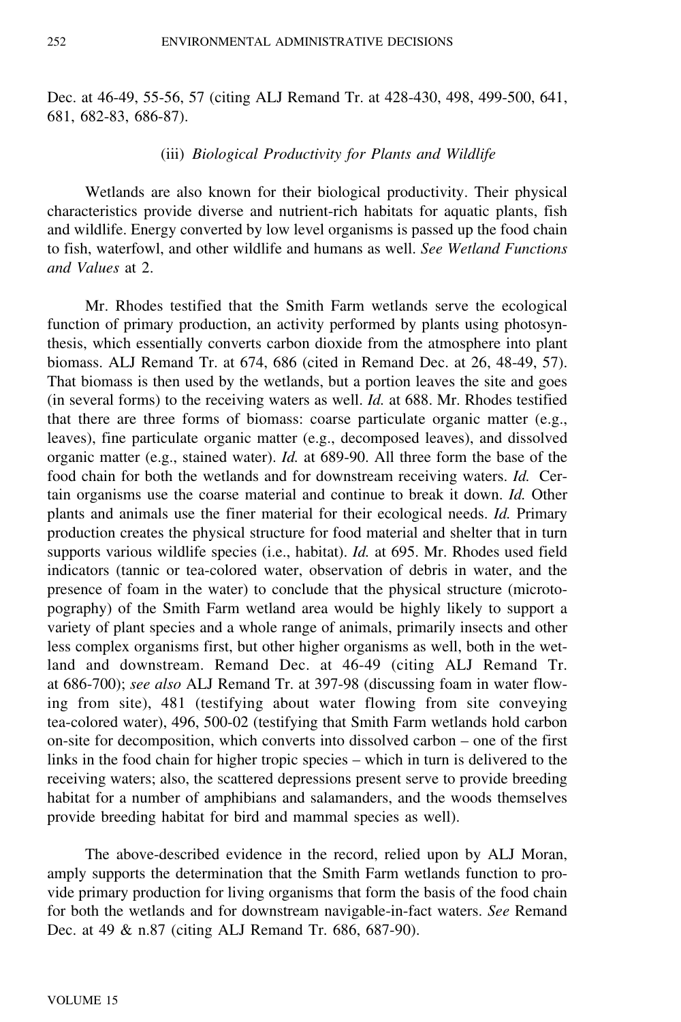Dec. at 46-49, 55-56, 57 (citing ALJ Remand Tr. at 428-430, 498, 499-500, 641, 681, 682-83, 686-87).

#### (iii) *Biological Productivity for Plants and Wildlife*

Wetlands are also known for their biological productivity. Their physical characteristics provide diverse and nutrient-rich habitats for aquatic plants, fish and wildlife. Energy converted by low level organisms is passed up the food chain to fish, waterfowl, and other wildlife and humans as well. *See Wetland Functions and Values* at 2.

Mr. Rhodes testified that the Smith Farm wetlands serve the ecological function of primary production, an activity performed by plants using photosynthesis, which essentially converts carbon dioxide from the atmosphere into plant biomass. ALJ Remand Tr. at 674, 686 (cited in Remand Dec. at 26, 48-49, 57). That biomass is then used by the wetlands, but a portion leaves the site and goes (in several forms) to the receiving waters as well. *Id.* at 688. Mr. Rhodes testified that there are three forms of biomass: coarse particulate organic matter (e.g., leaves), fine particulate organic matter (e.g., decomposed leaves), and dissolved organic matter (e.g., stained water). *Id.* at 689-90. All three form the base of the food chain for both the wetlands and for downstream receiving waters. *Id.* Certain organisms use the coarse material and continue to break it down. *Id.* Other plants and animals use the finer material for their ecological needs. *Id.* Primary production creates the physical structure for food material and shelter that in turn supports various wildlife species (i.e., habitat). *Id.* at 695. Mr. Rhodes used field indicators (tannic or tea-colored water, observation of debris in water, and the presence of foam in the water) to conclude that the physical structure (microtopography) of the Smith Farm wetland area would be highly likely to support a variety of plant species and a whole range of animals, primarily insects and other less complex organisms first, but other higher organisms as well, both in the wetland and downstream. Remand Dec. at 46-49 (citing ALJ Remand Tr. at 686-700); *see also* ALJ Remand Tr. at 397-98 (discussing foam in water flowing from site), 481 (testifying about water flowing from site conveying tea-colored water), 496, 500-02 (testifying that Smith Farm wetlands hold carbon on-site for decomposition, which converts into dissolved carbon – one of the first links in the food chain for higher tropic species – which in turn is delivered to the receiving waters; also, the scattered depressions present serve to provide breeding habitat for a number of amphibians and salamanders, and the woods themselves provide breeding habitat for bird and mammal species as well).

The above-described evidence in the record, relied upon by ALJ Moran, amply supports the determination that the Smith Farm wetlands function to provide primary production for living organisms that form the basis of the food chain for both the wetlands and for downstream navigable-in-fact waters. *See* Remand Dec. at 49 & n.87 (citing ALJ Remand Tr. 686, 687-90).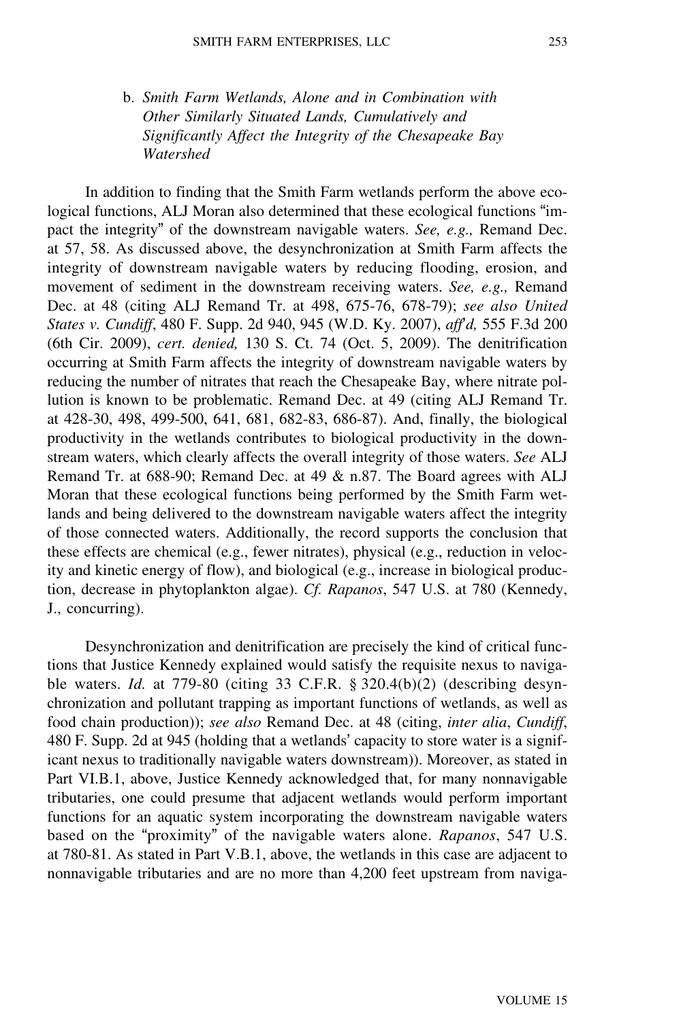b. *Smith Farm Wetlands, Alone and in Combination with Other Similarly Situated Lands, Cumulatively and Significantly Affect the Integrity of the Chesapeake Bay Watershed*

In addition to finding that the Smith Farm wetlands perform the above ecological functions, ALJ Moran also determined that these ecological functions "impact the integrity" of the downstream navigable waters. *See, e.g.,* Remand Dec. at 57, 58. As discussed above, the desynchronization at Smith Farm affects the integrity of downstream navigable waters by reducing flooding, erosion, and movement of sediment in the downstream receiving waters. *See, e.g.,* Remand Dec. at 48 (citing ALJ Remand Tr. at 498, 675-76, 678-79); *see also United States v. Cundiff*, 480 F. Supp. 2d 940, 945 (W.D. Ky. 2007), *aff*'*d,* 555 F.3d 200 (6th Cir. 2009), *cert. denied,* 130 S. Ct. 74 (Oct. 5, 2009). The denitrification occurring at Smith Farm affects the integrity of downstream navigable waters by reducing the number of nitrates that reach the Chesapeake Bay, where nitrate pollution is known to be problematic. Remand Dec. at 49 (citing ALJ Remand Tr. at 428-30, 498, 499-500, 641, 681, 682-83, 686-87). And, finally, the biological productivity in the wetlands contributes to biological productivity in the downstream waters, which clearly affects the overall integrity of those waters. *See* ALJ Remand Tr. at 688-90; Remand Dec. at 49 & n.87. The Board agrees with ALJ Moran that these ecological functions being performed by the Smith Farm wetlands and being delivered to the downstream navigable waters affect the integrity of those connected waters. Additionally, the record supports the conclusion that these effects are chemical (e.g., fewer nitrates), physical (e.g., reduction in velocity and kinetic energy of flow), and biological (e.g., increase in biological production, decrease in phytoplankton algae). *Cf. Rapanos*, 547 U.S. at 780 (Kennedy, J., concurring).

Desynchronization and denitrification are precisely the kind of critical functions that Justice Kennedy explained would satisfy the requisite nexus to navigable waters. *Id.* at 779-80 (citing 33 C.F.R. § 320.4(b)(2) (describing desynchronization and pollutant trapping as important functions of wetlands, as well as food chain production)); *see also* Remand Dec. at 48 (citing, *inter alia*, *Cundiff*, 480 F. Supp. 2d at 945 (holding that a wetlands' capacity to store water is a significant nexus to traditionally navigable waters downstream)). Moreover, as stated in Part VI.B.1, above, Justice Kennedy acknowledged that, for many nonnavigable tributaries, one could presume that adjacent wetlands would perform important functions for an aquatic system incorporating the downstream navigable waters based on the "proximity" of the navigable waters alone. *Rapanos*, 547 U.S. at 780-81. As stated in Part V.B.1, above, the wetlands in this case are adjacent to nonnavigable tributaries and are no more than 4,200 feet upstream from naviga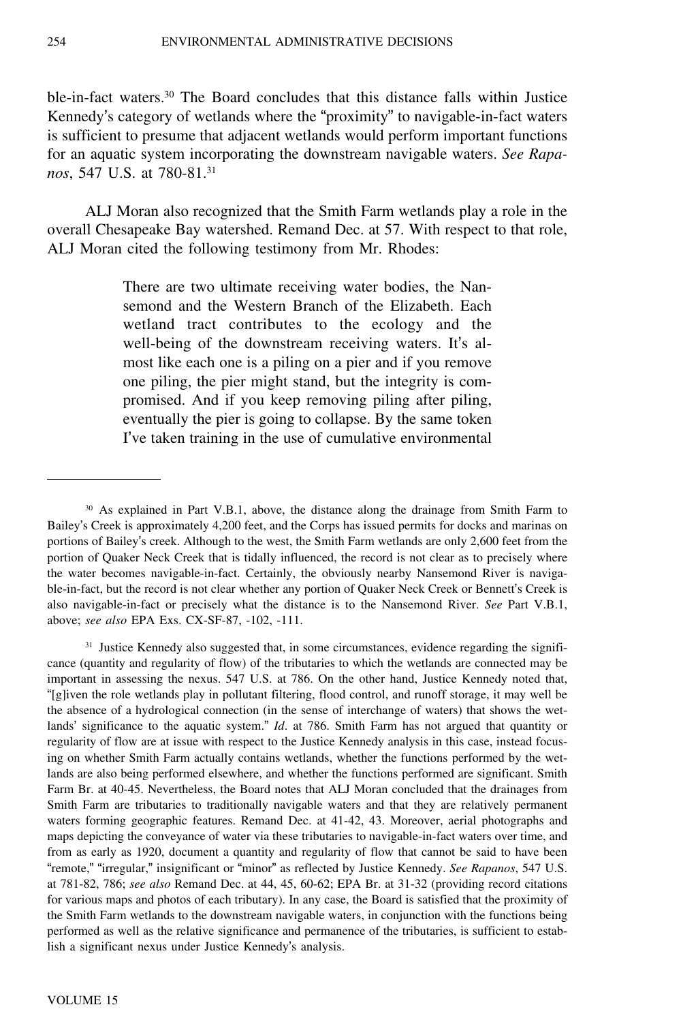ble-in-fact waters.<sup>30</sup> The Board concludes that this distance falls within Justice Kennedy's category of wetlands where the "proximity" to navigable-in-fact waters is sufficient to presume that adjacent wetlands would perform important functions for an aquatic system incorporating the downstream navigable waters. *See Rapanos*, 547 U.S. at 780-81.<sup>31</sup>

ALJ Moran also recognized that the Smith Farm wetlands play a role in the overall Chesapeake Bay watershed. Remand Dec. at 57. With respect to that role, ALJ Moran cited the following testimony from Mr. Rhodes:

> There are two ultimate receiving water bodies, the Nansemond and the Western Branch of the Elizabeth. Each wetland tract contributes to the ecology and the well-being of the downstream receiving waters. It's almost like each one is a piling on a pier and if you remove one piling, the pier might stand, but the integrity is compromised. And if you keep removing piling after piling, eventually the pier is going to collapse. By the same token I've taken training in the use of cumulative environmental

<sup>31</sup> Justice Kennedy also suggested that, in some circumstances, evidence regarding the significance (quantity and regularity of flow) of the tributaries to which the wetlands are connected may be important in assessing the nexus. 547 U.S. at 786. On the other hand, Justice Kennedy noted that, "[g]iven the role wetlands play in pollutant filtering, flood control, and runoff storage, it may well be the absence of a hydrological connection (in the sense of interchange of waters) that shows the wetlands' significance to the aquatic system." *Id.* at 786. Smith Farm has not argued that quantity or regularity of flow are at issue with respect to the Justice Kennedy analysis in this case, instead focusing on whether Smith Farm actually contains wetlands, whether the functions performed by the wetlands are also being performed elsewhere, and whether the functions performed are significant. Smith Farm Br. at 40-45. Nevertheless, the Board notes that ALJ Moran concluded that the drainages from Smith Farm are tributaries to traditionally navigable waters and that they are relatively permanent waters forming geographic features. Remand Dec. at 41-42, 43. Moreover, aerial photographs and maps depicting the conveyance of water via these tributaries to navigable-in-fact waters over time, and from as early as 1920, document a quantity and regularity of flow that cannot be said to have been "remote," "irregular," insignificant or "minor" as reflected by Justice Kennedy. *See Rapanos*, 547 U.S. at 781-82, 786; *see also* Remand Dec. at 44, 45, 60-62; EPA Br. at 31-32 (providing record citations for various maps and photos of each tributary). In any case, the Board is satisfied that the proximity of the Smith Farm wetlands to the downstream navigable waters, in conjunction with the functions being performed as well as the relative significance and permanence of the tributaries, is sufficient to establish a significant nexus under Justice Kennedy's analysis.

<sup>30</sup> As explained in Part V.B.1, above, the distance along the drainage from Smith Farm to Bailey's Creek is approximately 4,200 feet, and the Corps has issued permits for docks and marinas on portions of Bailey's creek. Although to the west, the Smith Farm wetlands are only 2,600 feet from the portion of Quaker Neck Creek that is tidally influenced, the record is not clear as to precisely where the water becomes navigable-in-fact. Certainly, the obviously nearby Nansemond River is navigable-in-fact, but the record is not clear whether any portion of Quaker Neck Creek or Bennett's Creek is also navigable-in-fact or precisely what the distance is to the Nansemond River. *See* Part V.B.1, above; *see also* EPA Exs. CX-SF-87, -102, -111.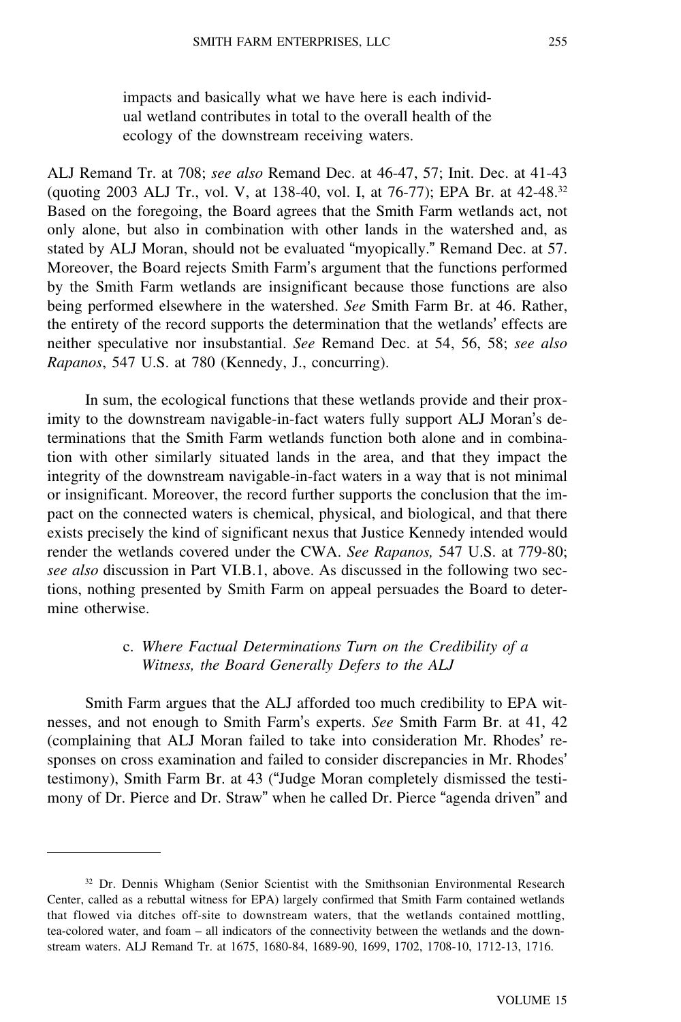impacts and basically what we have here is each individual wetland contributes in total to the overall health of the ecology of the downstream receiving waters.

ALJ Remand Tr. at 708; *see also* Remand Dec. at 46-47, 57; Init. Dec. at 41-43 (quoting 2003 ALJ Tr., vol. V, at 138-40, vol. I, at 76-77); EPA Br. at 42-48.<sup>32</sup> Based on the foregoing, the Board agrees that the Smith Farm wetlands act, not only alone, but also in combination with other lands in the watershed and, as stated by ALJ Moran, should not be evaluated "myopically." Remand Dec. at 57. Moreover, the Board rejects Smith Farm's argument that the functions performed by the Smith Farm wetlands are insignificant because those functions are also being performed elsewhere in the watershed. *See* Smith Farm Br. at 46. Rather, the entirety of the record supports the determination that the wetlands' effects are neither speculative nor insubstantial. *See* Remand Dec. at 54, 56, 58; *see also Rapanos*, 547 U.S. at 780 (Kennedy, J., concurring).

In sum, the ecological functions that these wetlands provide and their proximity to the downstream navigable-in-fact waters fully support ALJ Moran's determinations that the Smith Farm wetlands function both alone and in combination with other similarly situated lands in the area, and that they impact the integrity of the downstream navigable-in-fact waters in a way that is not minimal or insignificant. Moreover, the record further supports the conclusion that the impact on the connected waters is chemical, physical, and biological, and that there exists precisely the kind of significant nexus that Justice Kennedy intended would render the wetlands covered under the CWA. *See Rapanos,* 547 U.S. at 779-80; *see also* discussion in Part VI.B.1, above. As discussed in the following two sections, nothing presented by Smith Farm on appeal persuades the Board to determine otherwise.

## c. *Where Factual Determinations Turn on the Credibility of a Witness, the Board Generally Defers to the ALJ*

Smith Farm argues that the ALJ afforded too much credibility to EPA witnesses, and not enough to Smith Farm's experts. *See* Smith Farm Br. at 41, 42 (complaining that ALJ Moran failed to take into consideration Mr. Rhodes' responses on cross examination and failed to consider discrepancies in Mr. Rhodes' testimony), Smith Farm Br. at 43 ("Judge Moran completely dismissed the testimony of Dr. Pierce and Dr. Straw" when he called Dr. Pierce "agenda driven" and

<sup>&</sup>lt;sup>32</sup> Dr. Dennis Whigham (Senior Scientist with the Smithsonian Environmental Research Center, called as a rebuttal witness for EPA) largely confirmed that Smith Farm contained wetlands that flowed via ditches off-site to downstream waters, that the wetlands contained mottling, tea-colored water, and foam – all indicators of the connectivity between the wetlands and the downstream waters. ALJ Remand Tr. at 1675, 1680-84, 1689-90, 1699, 1702, 1708-10, 1712-13, 1716.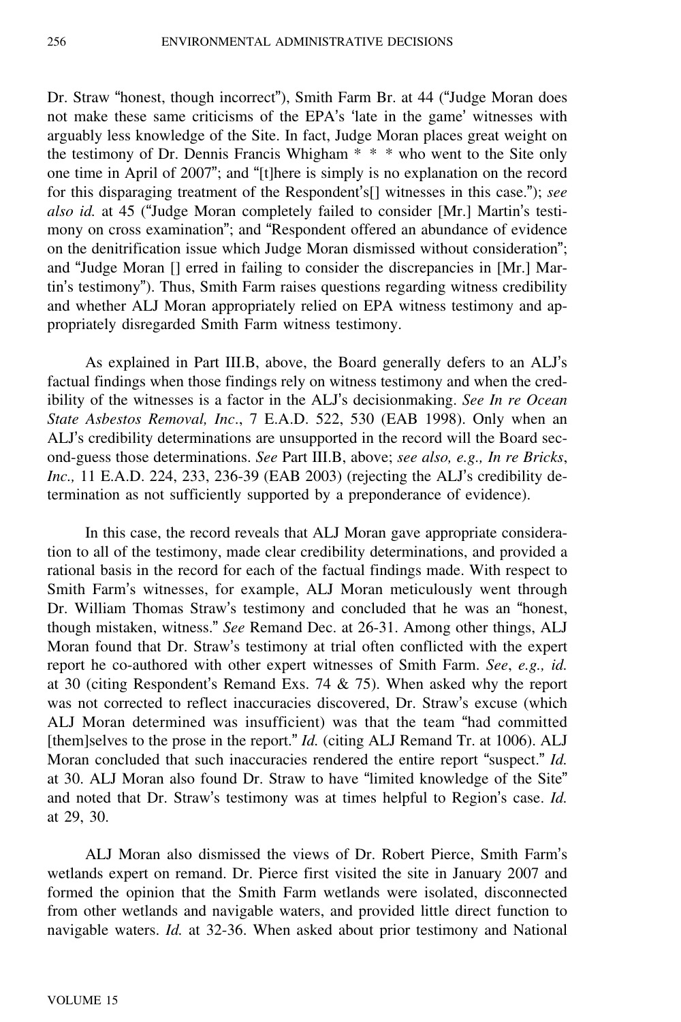Dr. Straw "honest, though incorrect"), Smith Farm Br. at 44 ("Judge Moran does not make these same criticisms of the EPA's 'late in the game' witnesses with arguably less knowledge of the Site. In fact, Judge Moran places great weight on the testimony of Dr. Dennis Francis Whigham \* \* \* who went to the Site only one time in April of 2007"; and "[t]here is simply is no explanation on the record for this disparaging treatment of the Respondent's[] witnesses in this case."); *see also id.* at 45 ("Judge Moran completely failed to consider [Mr.] Martin's testimony on cross examination"; and "Respondent offered an abundance of evidence on the denitrification issue which Judge Moran dismissed without consideration"; and "Judge Moran [] erred in failing to consider the discrepancies in [Mr.] Martin's testimony"). Thus, Smith Farm raises questions regarding witness credibility and whether ALJ Moran appropriately relied on EPA witness testimony and appropriately disregarded Smith Farm witness testimony.

As explained in Part III.B, above, the Board generally defers to an ALJ'<sup>s</sup> factual findings when those findings rely on witness testimony and when the credibility of the witnesses is a factor in the ALJ's decisionmaking. *See In re Ocean State Asbestos Removal, Inc*., 7 E.A.D. 522, 530 (EAB 1998). Only when an ALJ's credibility determinations are unsupported in the record will the Board second-guess those determinations. *See* Part III.B, above; *see also, e.g., In re Bricks*, *Inc.,* 11 E.A.D. 224, 233, 236-39 (EAB 2003) (rejecting the ALJ's credibility determination as not sufficiently supported by a preponderance of evidence).

In this case, the record reveals that ALJ Moran gave appropriate consideration to all of the testimony, made clear credibility determinations, and provided a rational basis in the record for each of the factual findings made. With respect to Smith Farm's witnesses, for example, ALJ Moran meticulously went through Dr. William Thomas Straw's testimony and concluded that he was an "honest, though mistaken, witness." *See* Remand Dec. at 26-31. Among other things, ALJ Moran found that Dr. Straw's testimony at trial often conflicted with the expert report he co-authored with other expert witnesses of Smith Farm. *See*, *e.g., id.* at 30 (citing Respondent's Remand Exs. 74 & 75). When asked why the report was not corrected to reflect inaccuracies discovered, Dr. Straw's excuse (which ALJ Moran determined was insufficient) was that the team "had committed [them]selves to the prose in the report." *Id.* (citing ALJ Remand Tr. at 1006). ALJ Moran concluded that such inaccuracies rendered the entire report "suspect." *Id.* at 30. ALJ Moran also found Dr. Straw to have "limited knowledge of the Site" and noted that Dr. Straw's testimony was at times helpful to Region's case. *Id.* at 29, 30.

ALJ Moran also dismissed the views of Dr. Robert Pierce, Smith Farm'<sup>s</sup> wetlands expert on remand. Dr. Pierce first visited the site in January 2007 and formed the opinion that the Smith Farm wetlands were isolated, disconnected from other wetlands and navigable waters, and provided little direct function to navigable waters. *Id.* at 32-36. When asked about prior testimony and National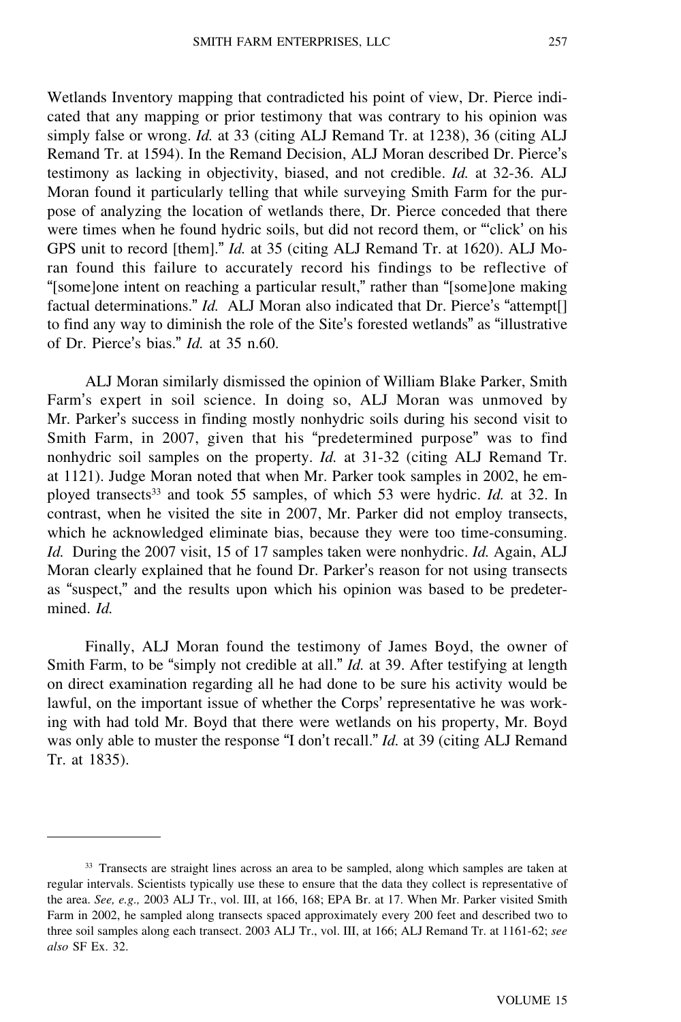Wetlands Inventory mapping that contradicted his point of view, Dr. Pierce indicated that any mapping or prior testimony that was contrary to his opinion was simply false or wrong. *Id.* at 33 (citing ALJ Remand Tr. at 1238), 36 (citing ALJ Remand Tr. at 1594). In the Remand Decision, ALJ Moran described Dr. Pierce'<sup>s</sup> testimony as lacking in objectivity, biased, and not credible. *Id.* at 32-36. ALJ Moran found it particularly telling that while surveying Smith Farm for the purpose of analyzing the location of wetlands there, Dr. Pierce conceded that there were times when he found hydric soils, but did not record them, or "'click' on his GPS unit to record [them]." *Id.* at 35 (citing ALJ Remand Tr. at 1620). ALJ Moran found this failure to accurately record his findings to be reflective of "[some]one intent on reaching a particular result," rather than "[some]one making factual determinations." *Id.* ALJ Moran also indicated that Dr. Pierce's "attempt[] to find any way to diminish the role of the Site's forested wetlands" as "illustrative of Dr. Pierce's bias." *Id.* at 35 n.60.

ALJ Moran similarly dismissed the opinion of William Blake Parker, Smith Farm's expert in soil science. In doing so, ALJ Moran was unmoved by Mr. Parker's success in finding mostly nonhydric soils during his second visit to Smith Farm, in 2007, given that his "predetermined purpose" was to find nonhydric soil samples on the property. *Id.* at 31-32 (citing ALJ Remand Tr. at 1121). Judge Moran noted that when Mr. Parker took samples in 2002, he employed transects<sup>33</sup> and took 55 samples, of which 53 were hydric. *Id.* at 32. In contrast, when he visited the site in 2007, Mr. Parker did not employ transects, which he acknowledged eliminate bias, because they were too time-consuming. *Id.* During the 2007 visit, 15 of 17 samples taken were nonhydric. *Id.* Again, ALJ Moran clearly explained that he found Dr. Parker's reason for not using transects as "suspect," and the results upon which his opinion was based to be predetermined. *Id.*

Finally, ALJ Moran found the testimony of James Boyd, the owner of Smith Farm, to be "simply not credible at all." *Id.* at 39. After testifying at length on direct examination regarding all he had done to be sure his activity would be lawful, on the important issue of whether the Corps' representative he was working with had told Mr. Boyd that there were wetlands on his property, Mr. Boyd was only able to muster the response "I don't recall." *Id.* at 39 (citing ALJ Remand Tr. at 1835).

<sup>&</sup>lt;sup>33</sup> Transects are straight lines across an area to be sampled, along which samples are taken at regular intervals. Scientists typically use these to ensure that the data they collect is representative of the area. *See, e.g.,* 2003 ALJ Tr., vol. III, at 166, 168; EPA Br. at 17. When Mr. Parker visited Smith Farm in 2002, he sampled along transects spaced approximately every 200 feet and described two to three soil samples along each transect. 2003 ALJ Tr., vol. III, at 166; ALJ Remand Tr. at 1161-62; *see also* SF Ex. 32.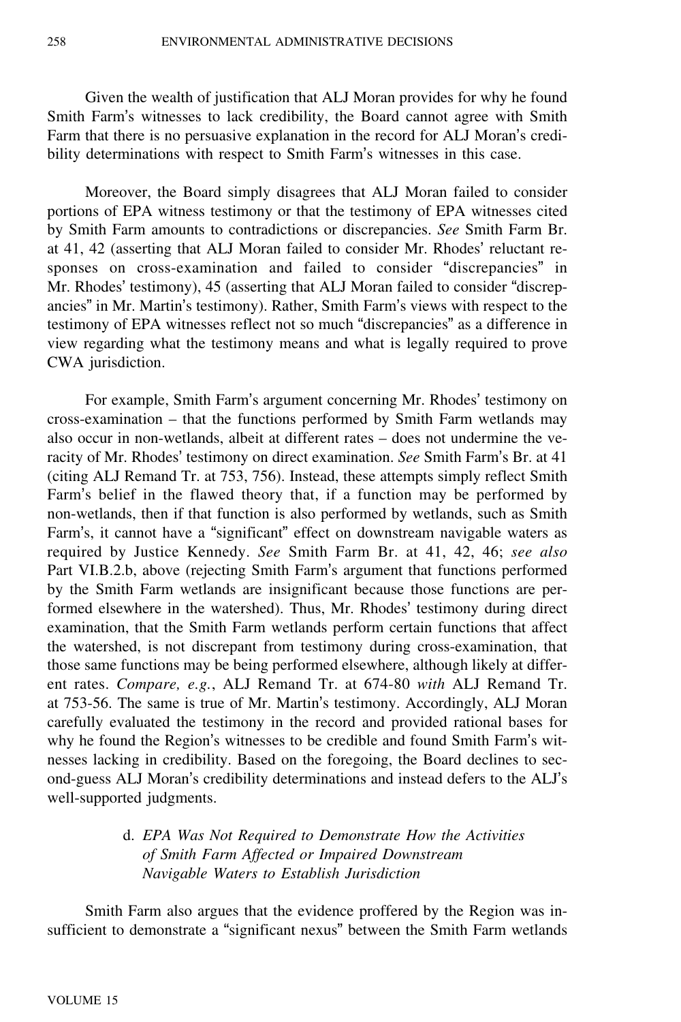Given the wealth of justification that ALJ Moran provides for why he found Smith Farm's witnesses to lack credibility, the Board cannot agree with Smith Farm that there is no persuasive explanation in the record for ALJ Moran's credibility determinations with respect to Smith Farm's witnesses in this case.

Moreover, the Board simply disagrees that ALJ Moran failed to consider portions of EPA witness testimony or that the testimony of EPA witnesses cited by Smith Farm amounts to contradictions or discrepancies. *See* Smith Farm Br. at 41, 42 (asserting that ALJ Moran failed to consider Mr. Rhodes' reluctant responses on cross-examination and failed to consider "discrepancies" in Mr. Rhodes' testimony), 45 (asserting that ALJ Moran failed to consider "discrepancies" in Mr. Martin's testimony). Rather, Smith Farm's views with respect to the testimony of EPA witnesses reflect not so much "discrepancies" as a difference in view regarding what the testimony means and what is legally required to prove CWA jurisdiction.

For example, Smith Farm's argument concerning Mr. Rhodes' testimony on cross-examination – that the functions performed by Smith Farm wetlands may also occur in non-wetlands, albeit at different rates – does not undermine the veracity of Mr. Rhodes' testimony on direct examination. *See* Smith Farm's Br. at 41 (citing ALJ Remand Tr. at 753, 756). Instead, these attempts simply reflect Smith Farm's belief in the flawed theory that, if a function may be performed by non-wetlands, then if that function is also performed by wetlands, such as Smith Farm's, it cannot have a "significant" effect on downstream navigable waters as required by Justice Kennedy. *See* Smith Farm Br. at 41, 42, 46; *see also* Part VI.B.2.b, above (rejecting Smith Farm's argument that functions performed by the Smith Farm wetlands are insignificant because those functions are performed elsewhere in the watershed). Thus, Mr. Rhodes' testimony during direct examination, that the Smith Farm wetlands perform certain functions that affect the watershed, is not discrepant from testimony during cross-examination, that those same functions may be being performed elsewhere, although likely at different rates. *Compare, e.g.*, ALJ Remand Tr. at 674-80 *with* ALJ Remand Tr. at 753-56. The same is true of Mr. Martin's testimony. Accordingly, ALJ Moran carefully evaluated the testimony in the record and provided rational bases for why he found the Region's witnesses to be credible and found Smith Farm's witnesses lacking in credibility. Based on the foregoing, the Board declines to second-guess ALJ Moran's credibility determinations and instead defers to the ALJ'<sup>s</sup> well-supported judgments.

# d. *EPA Was Not Required to Demonstrate How the Activities of Smith Farm Affected or Impaired Downstream Navigable Waters to Establish Jurisdiction*

Smith Farm also argues that the evidence proffered by the Region was insufficient to demonstrate a "significant nexus" between the Smith Farm wetlands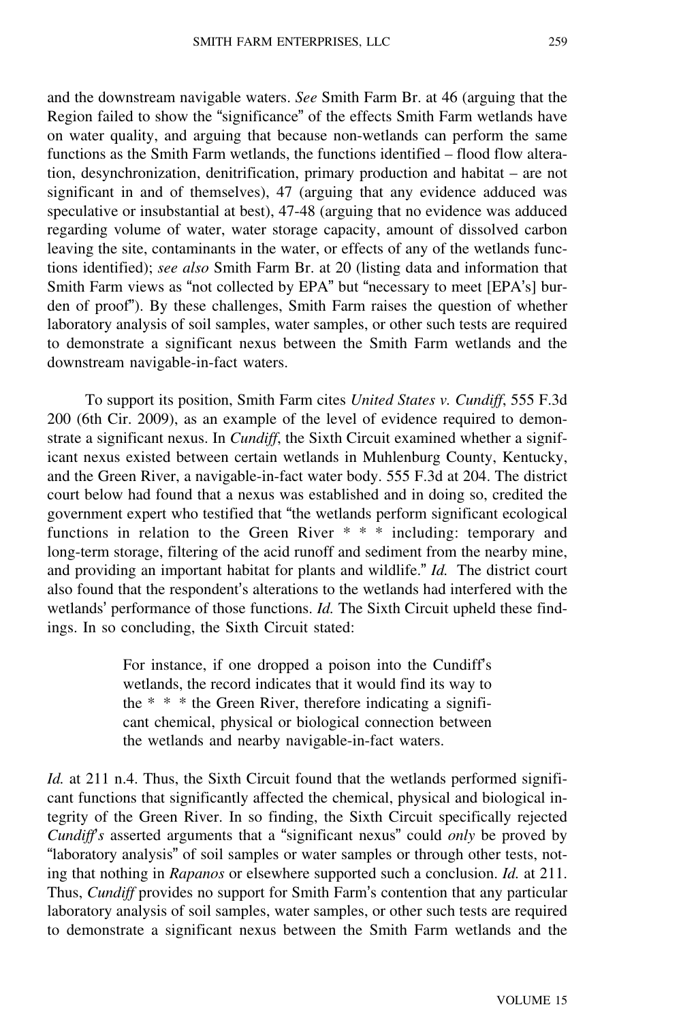and the downstream navigable waters. *See* Smith Farm Br. at 46 (arguing that the Region failed to show the "significance" of the effects Smith Farm wetlands have on water quality, and arguing that because non-wetlands can perform the same functions as the Smith Farm wetlands, the functions identified – flood flow alteration, desynchronization, denitrification, primary production and habitat – are not significant in and of themselves), 47 (arguing that any evidence adduced was speculative or insubstantial at best), 47-48 (arguing that no evidence was adduced regarding volume of water, water storage capacity, amount of dissolved carbon leaving the site, contaminants in the water, or effects of any of the wetlands functions identified); *see also* Smith Farm Br. at 20 (listing data and information that Smith Farm views as "not collected by EPA" but "necessary to meet [EPA's] burden of proof"). By these challenges, Smith Farm raises the question of whether laboratory analysis of soil samples, water samples, or other such tests are required to demonstrate a significant nexus between the Smith Farm wetlands and the downstream navigable-in-fact waters.

To support its position, Smith Farm cites *United States v. Cundiff*, 555 F.3d 200 (6th Cir. 2009), as an example of the level of evidence required to demonstrate a significant nexus. In *Cundiff*, the Sixth Circuit examined whether a significant nexus existed between certain wetlands in Muhlenburg County, Kentucky, and the Green River, a navigable-in-fact water body. 555 F.3d at 204. The district court below had found that a nexus was established and in doing so, credited the government expert who testified that "the wetlands perform significant ecological functions in relation to the Green River \* \* \* including: temporary and long-term storage, filtering of the acid runoff and sediment from the nearby mine, and providing an important habitat for plants and wildlife." *Id.* The district court also found that the respondent's alterations to the wetlands had interfered with the wetlands' performance of those functions. *Id.* The Sixth Circuit upheld these findings. In so concluding, the Sixth Circuit stated:

> For instance, if one dropped a poison into the Cundiff'<sup>s</sup> wetlands, the record indicates that it would find its way to the  $* * *$  the Green River, therefore indicating a significant chemical, physical or biological connection between the wetlands and nearby navigable-in-fact waters.

*Id.* at 211 n.4. Thus, the Sixth Circuit found that the wetlands performed significant functions that significantly affected the chemical, physical and biological integrity of the Green River. In so finding, the Sixth Circuit specifically rejected *Cundiff*'*s* asserted arguments that a "significant nexus" could *only* be proved by "laboratory analysis" of soil samples or water samples or through other tests, noting that nothing in *Rapanos* or elsewhere supported such a conclusion. *Id.* at 211. Thus, *Cundiff* provides no support for Smith Farm's contention that any particular laboratory analysis of soil samples, water samples, or other such tests are required to demonstrate a significant nexus between the Smith Farm wetlands and the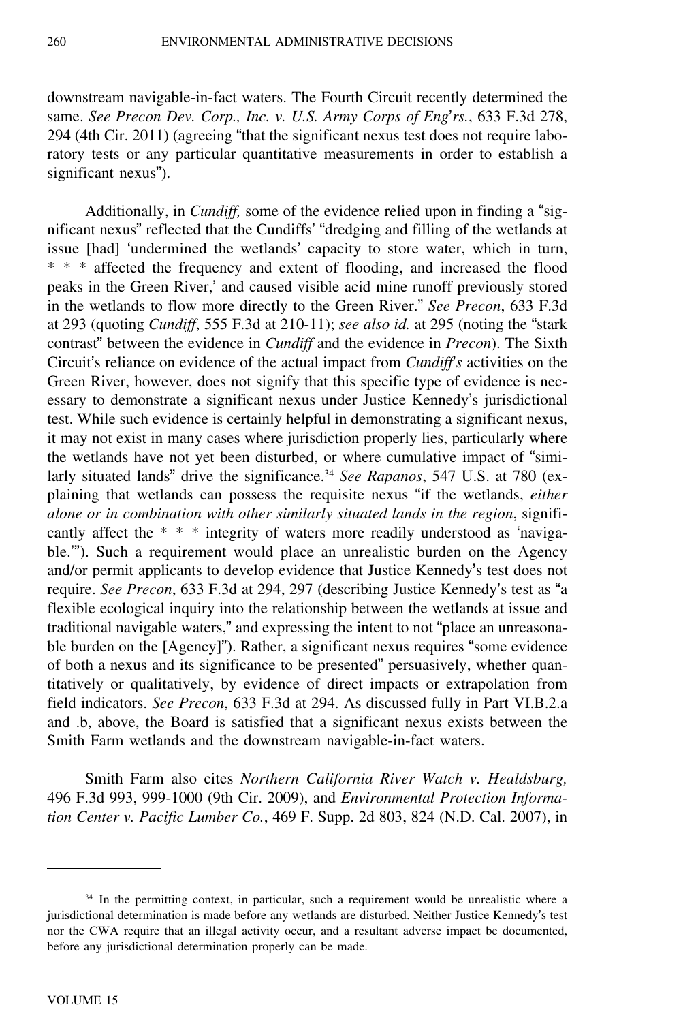downstream navigable-in-fact waters. The Fourth Circuit recently determined the same. *See Precon Dev. Corp., Inc. v. U.S. Army Corps of Eng*'*rs.*, 633 F.3d 278, 294 (4th Cir. 2011) (agreeing "that the significant nexus test does not require laboratory tests or any particular quantitative measurements in order to establish a significant nexus").

Additionally, in *Cundiff,* some of the evidence relied upon in finding a "significant nexus" reflected that the Cundiffs' "dredging and filling of the wetlands at issue [had] 'undermined the wetlands' capacity to store water, which in turn, \* \* \* affected the frequency and extent of flooding, and increased the flood peaks in the Green River,' and caused visible acid mine runoff previously stored in the wetlands to flow more directly to the Green River." *See Precon*, 633 F.3d at 293 (quoting *Cundiff*, 555 F.3d at 210-11); *see also id.* at 295 (noting the "stark contrast" between the evidence in *Cundiff* and the evidence in *Precon*). The Sixth Circuit's reliance on evidence of the actual impact from *Cundiff*'*s* activities on the Green River, however, does not signify that this specific type of evidence is necessary to demonstrate a significant nexus under Justice Kennedy's jurisdictional test. While such evidence is certainly helpful in demonstrating a significant nexus, it may not exist in many cases where jurisdiction properly lies, particularly where the wetlands have not yet been disturbed, or where cumulative impact of "similarly situated lands" drive the significance.<sup>34</sup> *See Rapanos*, 547 U.S. at 780 (explaining that wetlands can possess the requisite nexus "if the wetlands, *either alone or in combination with other similarly situated lands in the region*, significantly affect the \* \* \* integrity of waters more readily understood as 'navigable.'"). Such a requirement would place an unrealistic burden on the Agency and/or permit applicants to develop evidence that Justice Kennedy's test does not require. *See Precon*, 633 F.3d at 294, 297 (describing Justice Kennedy's test as "<sup>a</sup> flexible ecological inquiry into the relationship between the wetlands at issue and traditional navigable waters," and expressing the intent to not "place an unreasonable burden on the [Agency]"). Rather, a significant nexus requires "some evidence of both a nexus and its significance to be presented" persuasively, whether quantitatively or qualitatively, by evidence of direct impacts or extrapolation from field indicators. *See Precon*, 633 F.3d at 294. As discussed fully in Part VI.B.2.a and .b, above, the Board is satisfied that a significant nexus exists between the Smith Farm wetlands and the downstream navigable-in-fact waters.

Smith Farm also cites *Northern California River Watch v. Healdsburg,* 496 F.3d 993, 999-1000 (9th Cir. 2009), and *Environmental Protection Information Center v. Pacific Lumber Co.*, 469 F. Supp. 2d 803, 824 (N.D. Cal. 2007), in

<sup>&</sup>lt;sup>34</sup> In the permitting context, in particular, such a requirement would be unrealistic where a jurisdictional determination is made before any wetlands are disturbed. Neither Justice Kennedy's test nor the CWA require that an illegal activity occur, and a resultant adverse impact be documented, before any jurisdictional determination properly can be made.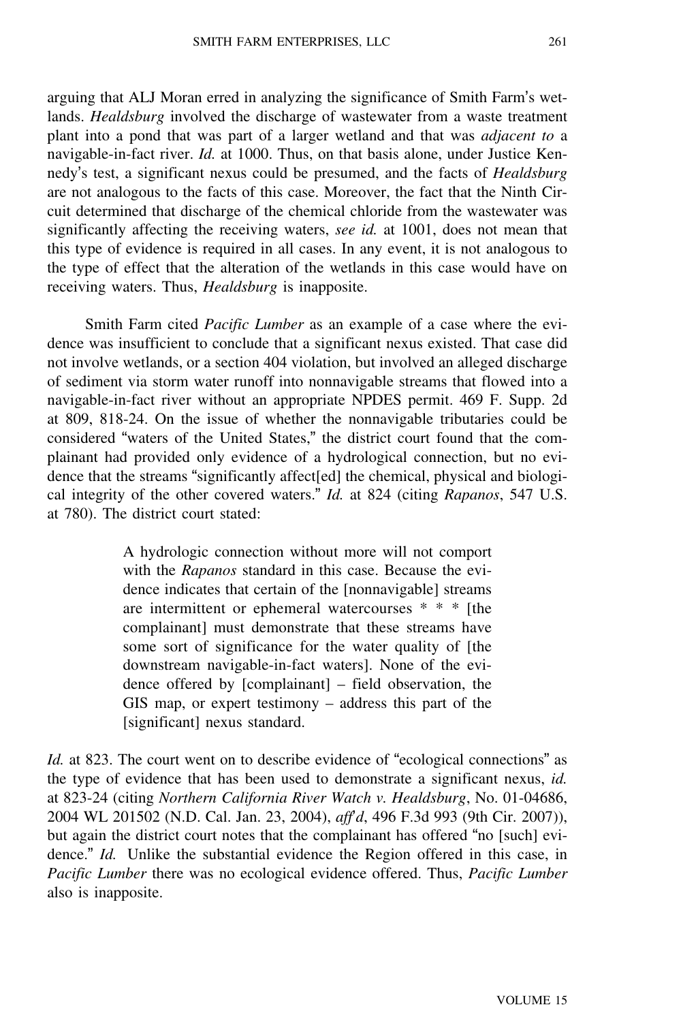arguing that ALJ Moran erred in analyzing the significance of Smith Farm's wetlands. *Healdsburg* involved the discharge of wastewater from a waste treatment plant into a pond that was part of a larger wetland and that was *adjacent to* <sup>a</sup> navigable-in-fact river. *Id.* at 1000. Thus, on that basis alone, under Justice Kennedy's test, a significant nexus could be presumed, and the facts of *Healdsburg* are not analogous to the facts of this case. Moreover, the fact that the Ninth Circuit determined that discharge of the chemical chloride from the wastewater was significantly affecting the receiving waters, *see id.* at 1001, does not mean that this type of evidence is required in all cases. In any event, it is not analogous to the type of effect that the alteration of the wetlands in this case would have on receiving waters. Thus, *Healdsburg* is inapposite.

Smith Farm cited *Pacific Lumber* as an example of a case where the evidence was insufficient to conclude that a significant nexus existed. That case did not involve wetlands, or a section 404 violation, but involved an alleged discharge of sediment via storm water runoff into nonnavigable streams that flowed into a navigable-in-fact river without an appropriate NPDES permit. 469 F. Supp. 2d at 809, 818-24. On the issue of whether the nonnavigable tributaries could be considered "waters of the United States," the district court found that the complainant had provided only evidence of a hydrological connection, but no evidence that the streams "significantly affect[ed] the chemical, physical and biological integrity of the other covered waters." *Id.* at 824 (citing *Rapanos*, 547 U.S. at 780). The district court stated:

> A hydrologic connection without more will not comport with the *Rapanos* standard in this case. Because the evidence indicates that certain of the [nonnavigable] streams are intermittent or ephemeral watercourses \* \* \* [the complainant] must demonstrate that these streams have some sort of significance for the water quality of [the downstream navigable-in-fact waters]. None of the evidence offered by [complainant] – field observation, the GIS map, or expert testimony – address this part of the [significant] nexus standard.

*Id.* at 823. The court went on to describe evidence of "ecological connections" as the type of evidence that has been used to demonstrate a significant nexus, *id.* at 823-24 (citing *Northern California River Watch v. Healdsburg*, No. 01-04686, 2004 WL 201502 (N.D. Cal. Jan. 23, 2004), *aff*'*d*, 496 F.3d 993 (9th Cir. 2007)), but again the district court notes that the complainant has offered "no [such] evidence." *Id.* Unlike the substantial evidence the Region offered in this case, in *Pacific Lumber* there was no ecological evidence offered. Thus, *Pacific Lumber* also is inapposite.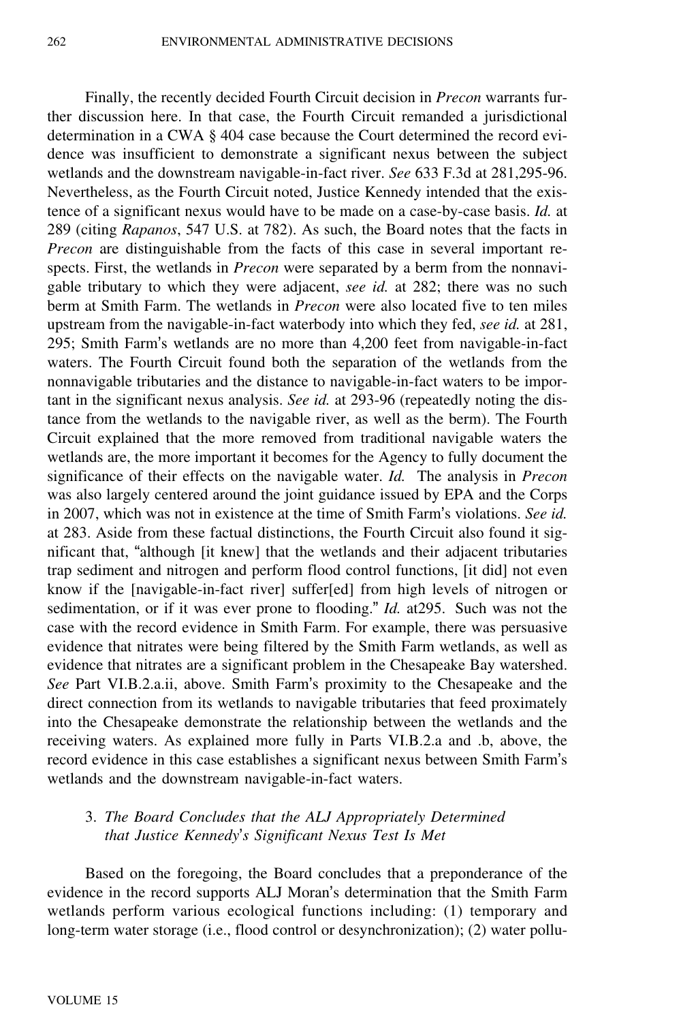Finally, the recently decided Fourth Circuit decision in *Precon* warrants further discussion here. In that case, the Fourth Circuit remanded a jurisdictional determination in a CWA § 404 case because the Court determined the record evidence was insufficient to demonstrate a significant nexus between the subject wetlands and the downstream navigable-in-fact river. *See* 633 F.3d at 281,295-96. Nevertheless, as the Fourth Circuit noted, Justice Kennedy intended that the existence of a significant nexus would have to be made on a case-by-case basis. *Id.* at 289 (citing *Rapanos*, 547 U.S. at 782). As such, the Board notes that the facts in *Precon* are distinguishable from the facts of this case in several important respects. First, the wetlands in *Precon* were separated by a berm from the nonnavigable tributary to which they were adjacent, *see id.* at 282; there was no such berm at Smith Farm. The wetlands in *Precon* were also located five to ten miles upstream from the navigable-in-fact waterbody into which they fed, *see id.* at 281, 295; Smith Farm's wetlands are no more than 4,200 feet from navigable-in-fact waters. The Fourth Circuit found both the separation of the wetlands from the nonnavigable tributaries and the distance to navigable-in-fact waters to be important in the significant nexus analysis. *See id.* at 293-96 (repeatedly noting the distance from the wetlands to the navigable river, as well as the berm). The Fourth Circuit explained that the more removed from traditional navigable waters the wetlands are, the more important it becomes for the Agency to fully document the significance of their effects on the navigable water. *Id.* The analysis in *Precon* was also largely centered around the joint guidance issued by EPA and the Corps in 2007, which was not in existence at the time of Smith Farm's violations. *See id.* at 283. Aside from these factual distinctions, the Fourth Circuit also found it significant that, "although [it knew] that the wetlands and their adjacent tributaries trap sediment and nitrogen and perform flood control functions, [it did] not even know if the [navigable-in-fact river] suffer[ed] from high levels of nitrogen or sedimentation, or if it was ever prone to flooding." *Id.* at295. Such was not the case with the record evidence in Smith Farm. For example, there was persuasive evidence that nitrates were being filtered by the Smith Farm wetlands, as well as evidence that nitrates are a significant problem in the Chesapeake Bay watershed. *See* Part VI.B.2.a.ii, above. Smith Farm's proximity to the Chesapeake and the direct connection from its wetlands to navigable tributaries that feed proximately into the Chesapeake demonstrate the relationship between the wetlands and the receiving waters. As explained more fully in Parts VI.B.2.a and .b, above, the record evidence in this case establishes a significant nexus between Smith Farm'<sup>s</sup> wetlands and the downstream navigable-in-fact waters.

### 3. *The Board Concludes that the ALJ Appropriately Determined that Justice Kennedy*'*s Significant Nexus Test Is Met*

Based on the foregoing, the Board concludes that a preponderance of the evidence in the record supports ALJ Moran's determination that the Smith Farm wetlands perform various ecological functions including: (1) temporary and long-term water storage (i.e., flood control or desynchronization); (2) water pollu-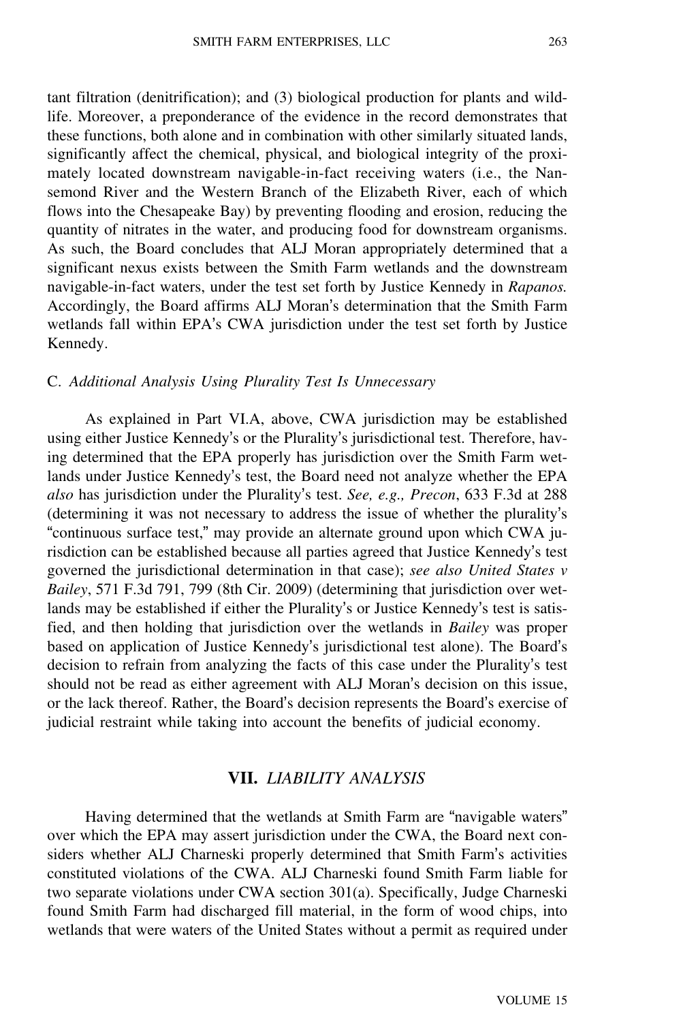tant filtration (denitrification); and (3) biological production for plants and wildlife. Moreover, a preponderance of the evidence in the record demonstrates that these functions, both alone and in combination with other similarly situated lands, significantly affect the chemical, physical, and biological integrity of the proximately located downstream navigable-in-fact receiving waters (i.e., the Nansemond River and the Western Branch of the Elizabeth River, each of which flows into the Chesapeake Bay) by preventing flooding and erosion, reducing the quantity of nitrates in the water, and producing food for downstream organisms. As such, the Board concludes that ALJ Moran appropriately determined that a significant nexus exists between the Smith Farm wetlands and the downstream navigable-in-fact waters, under the test set forth by Justice Kennedy in *Rapanos.* Accordingly, the Board affirms ALJ Moran's determination that the Smith Farm wetlands fall within EPA's CWA jurisdiction under the test set forth by Justice Kennedy.

#### C. *Additional Analysis Using Plurality Test Is Unnecessary*

As explained in Part VI.A, above, CWA jurisdiction may be established using either Justice Kennedy's or the Plurality's jurisdictional test. Therefore, having determined that the EPA properly has jurisdiction over the Smith Farm wetlands under Justice Kennedy's test, the Board need not analyze whether the EPA *also* has jurisdiction under the Plurality's test. *See, e.g., Precon*, 633 F.3d at 288 (determining it was not necessary to address the issue of whether the plurality'<sup>s</sup> "continuous surface test," may provide an alternate ground upon which CWA jurisdiction can be established because all parties agreed that Justice Kennedy's test governed the jurisdictional determination in that case); *see also United States v Bailey*, 571 F.3d 791, 799 (8th Cir. 2009) (determining that jurisdiction over wetlands may be established if either the Plurality's or Justice Kennedy's test is satisfied, and then holding that jurisdiction over the wetlands in *Bailey* was proper based on application of Justice Kennedy's jurisdictional test alone). The Board'<sup>s</sup> decision to refrain from analyzing the facts of this case under the Plurality's test should not be read as either agreement with ALJ Moran's decision on this issue, or the lack thereof. Rather, the Board's decision represents the Board's exercise of judicial restraint while taking into account the benefits of judicial economy.

### **VII.** *LIABILITY ANALYSIS*

Having determined that the wetlands at Smith Farm are "navigable waters" over which the EPA may assert jurisdiction under the CWA, the Board next considers whether ALJ Charneski properly determined that Smith Farm's activities constituted violations of the CWA. ALJ Charneski found Smith Farm liable for two separate violations under CWA section 301(a). Specifically, Judge Charneski found Smith Farm had discharged fill material, in the form of wood chips, into wetlands that were waters of the United States without a permit as required under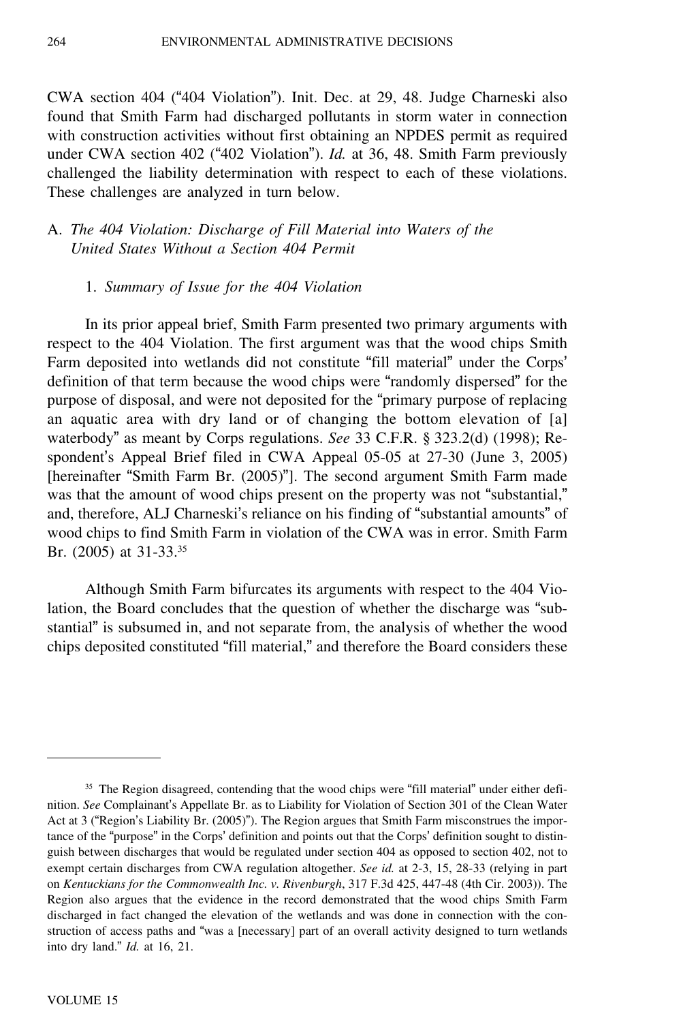CWA section 404 ("404 Violation"). Init. Dec. at 29, 48. Judge Charneski also found that Smith Farm had discharged pollutants in storm water in connection with construction activities without first obtaining an NPDES permit as required under CWA section 402 ("402 Violation"). *Id.* at 36, 48. Smith Farm previously challenged the liability determination with respect to each of these violations. These challenges are analyzed in turn below.

### A. *The 404 Violation: Discharge of Fill Material into Waters of the United States Without a Section 404 Permit*

#### 1. *Summary of Issue for the 404 Violation*

In its prior appeal brief, Smith Farm presented two primary arguments with respect to the 404 Violation. The first argument was that the wood chips Smith Farm deposited into wetlands did not constitute "fill material" under the Corps' definition of that term because the wood chips were "randomly dispersed" for the purpose of disposal, and were not deposited for the "primary purpose of replacing an aquatic area with dry land or of changing the bottom elevation of [a] waterbody" as meant by Corps regulations. *See* 33 C.F.R. § 323.2(d) (1998); Respondent's Appeal Brief filed in CWA Appeal 05-05 at 27-30 (June 3, 2005) [hereinafter "Smith Farm Br. (2005)"]. The second argument Smith Farm made was that the amount of wood chips present on the property was not "substantial," and, therefore, ALJ Charneski's reliance on his finding of "substantial amounts" of wood chips to find Smith Farm in violation of the CWA was in error. Smith Farm Br. (2005) at 31-33.<sup>35</sup>

Although Smith Farm bifurcates its arguments with respect to the 404 Violation, the Board concludes that the question of whether the discharge was "substantial" is subsumed in, and not separate from, the analysis of whether the wood chips deposited constituted "fill material," and therefore the Board considers these

<sup>&</sup>lt;sup>35</sup> The Region disagreed, contending that the wood chips were "fill material" under either definition. *See* Complainant's Appellate Br. as to Liability for Violation of Section 301 of the Clean Water Act at 3 ("Region's Liability Br. (2005)"). The Region argues that Smith Farm misconstrues the importance of the "purpose" in the Corps' definition and points out that the Corps' definition sought to distinguish between discharges that would be regulated under section 404 as opposed to section 402, not to exempt certain discharges from CWA regulation altogether. *See id.* at 2-3, 15, 28-33 (relying in part on *Kentuckians for the Commonwealth Inc. v. Rivenburgh*, 317 F.3d 425, 447-48 (4th Cir. 2003)). The Region also argues that the evidence in the record demonstrated that the wood chips Smith Farm discharged in fact changed the elevation of the wetlands and was done in connection with the construction of access paths and "was a [necessary] part of an overall activity designed to turn wetlands into dry land." *Id.* at 16, 21.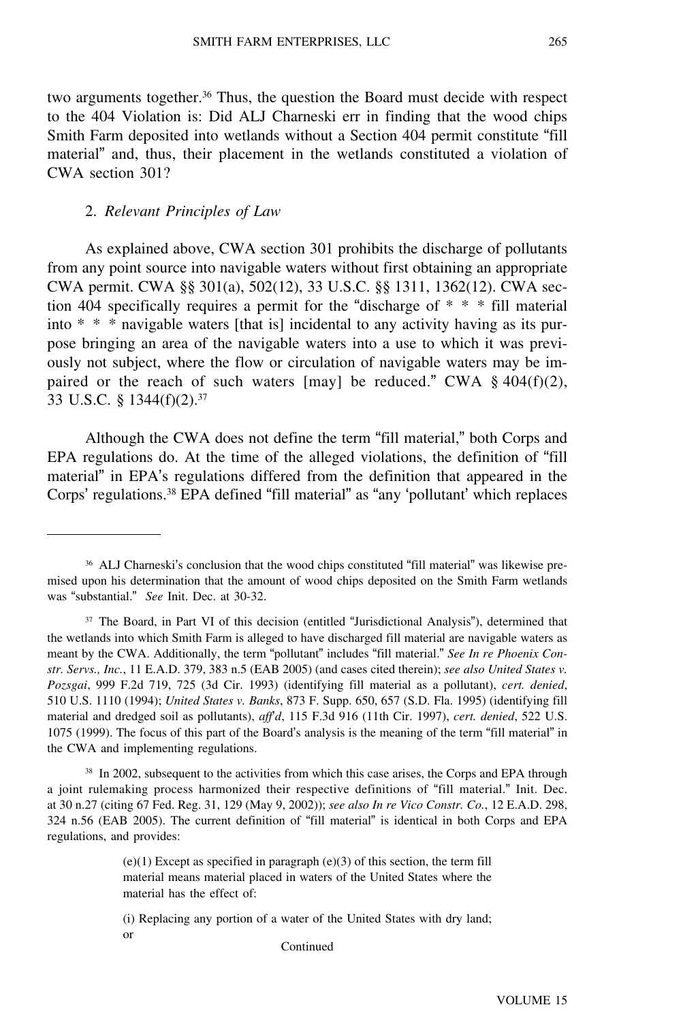two arguments together.<sup>36</sup> Thus, the question the Board must decide with respect to the 404 Violation is: Did ALJ Charneski err in finding that the wood chips Smith Farm deposited into wetlands without a Section 404 permit constitute "fill material" and, thus, their placement in the wetlands constituted a violation of CWA section 301?

#### 2. *Relevant Principles of Law*

As explained above, CWA section 301 prohibits the discharge of pollutants from any point source into navigable waters without first obtaining an appropriate CWA permit. CWA §§ 301(a), 502(12), 33 U.S.C. §§ 1311, 1362(12). CWA section 404 specifically requires a permit for the "discharge of \* \* \* fill material into \* \* \* navigable waters [that is] incidental to any activity having as its purpose bringing an area of the navigable waters into a use to which it was previously not subject, where the flow or circulation of navigable waters may be impaired or the reach of such waters [may] be reduced." CWA  $\S$  404(f)(2), 33 U.S.C. § 1344(f)(2).<sup>37</sup>

Although the CWA does not define the term "fill material," both Corps and EPA regulations do. At the time of the alleged violations, the definition of "fill material" in EPA's regulations differed from the definition that appeared in the Corps' regulations.<sup>38</sup> EPA defined "fill material" as "any 'pollutant' which replaces

<sup>38</sup> In 2002, subsequent to the activities from which this case arises, the Corps and EPA through a joint rulemaking process harmonized their respective definitions of "fill material." Init. Dec. at 30 n.27 (citing 67 Fed. Reg. 31, 129 (May 9, 2002)); *see also In re Vico Constr. Co.*, 12 E.A.D. 298, 324 n.56 (EAB 2005). The current definition of "fill material" is identical in both Corps and EPA regulations, and provides:

> $(e)(1)$  Except as specified in paragraph  $(e)(3)$  of this section, the term fill material means material placed in waters of the United States where the material has the effect of:

<sup>36</sup> ALJ Charneski's conclusion that the wood chips constituted "fill material" was likewise premised upon his determination that the amount of wood chips deposited on the Smith Farm wetlands was "substantial." *See* Init. Dec. at 30-32.

<sup>&</sup>lt;sup>37</sup> The Board, in Part VI of this decision (entitled "Jurisdictional Analysis"), determined that the wetlands into which Smith Farm is alleged to have discharged fill material are navigable waters as meant by the CWA. Additionally, the term "pollutant" includes "fill material." *See In re Phoenix Constr. Servs., Inc.*, 11 E.A.D. 379, 383 n.5 (EAB 2005) (and cases cited therein); *see also United States v. Pozsgai*, 999 F.2d 719, 725 (3d Cir. 1993) (identifying fill material as a pollutant), *cert. denied*, 510 U.S. 1110 (1994); *United States v. Banks*, 873 F. Supp. 650, 657 (S.D. Fla. 1995) (identifying fill material and dredged soil as pollutants), *aff*'*d*, 115 F.3d 916 (11th Cir. 1997), *cert. denied*, 522 U.S. 1075 (1999). The focus of this part of the Board's analysis is the meaning of the term "fill material" in the CWA and implementing regulations.

<sup>(</sup>i) Replacing any portion of a water of the United States with dry land; or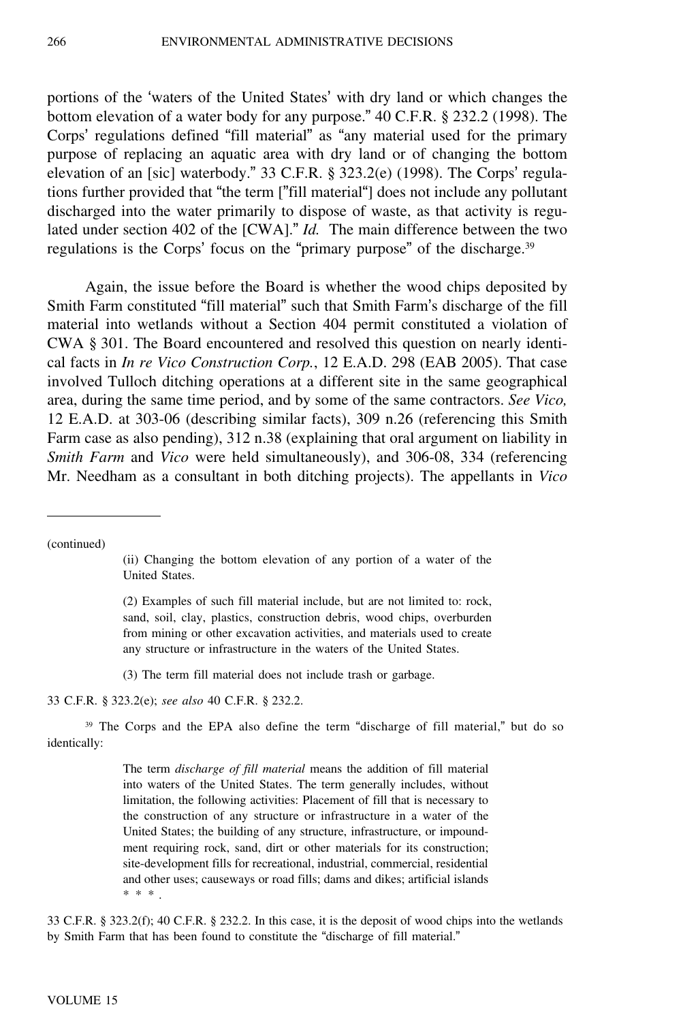portions of the 'waters of the United States' with dry land or which changes the bottom elevation of a water body for any purpose." 40 C.F.R. § 232.2 (1998). The Corps' regulations defined "fill material" as "any material used for the primary purpose of replacing an aquatic area with dry land or of changing the bottom elevation of an [sic] waterbody." 33 C.F.R. § 323.2(e) (1998). The Corps' regulations further provided that "the term ["fill material"] does not include any pollutant discharged into the water primarily to dispose of waste, as that activity is regulated under section 402 of the [CWA]." *Id.* The main difference between the two regulations is the Corps' focus on the "primary purpose" of the discharge.<sup>39</sup>

Again, the issue before the Board is whether the wood chips deposited by Smith Farm constituted "fill material" such that Smith Farm's discharge of the fill material into wetlands without a Section 404 permit constituted a violation of CWA § 301. The Board encountered and resolved this question on nearly identical facts in *In re Vico Construction Corp.*, 12 E.A.D. 298 (EAB 2005). That case involved Tulloch ditching operations at a different site in the same geographical area, during the same time period, and by some of the same contractors. *See Vico,* 12 E.A.D. at 303-06 (describing similar facts), 309 n.26 (referencing this Smith Farm case as also pending), 312 n.38 (explaining that oral argument on liability in *Smith Farm* and *Vico* were held simultaneously), and 306-08, 334 (referencing Mr. Needham as a consultant in both ditching projects). The appellants in *Vico*

(continued)

(ii) Changing the bottom elevation of any portion of a water of the United States.

(2) Examples of such fill material include, but are not limited to: rock, sand, soil, clay, plastics, construction debris, wood chips, overburden from mining or other excavation activities, and materials used to create any structure or infrastructure in the waters of the United States.

(3) The term fill material does not include trash or garbage.

33 C.F.R. § 323.2(e); *see also* 40 C.F.R. § 232.2.

<sup>39</sup> The Corps and the EPA also define the term "discharge of fill material," but do so identically:

> The term *discharge of fill material* means the addition of fill material into waters of the United States. The term generally includes, without limitation, the following activities: Placement of fill that is necessary to the construction of any structure or infrastructure in a water of the United States; the building of any structure, infrastructure, or impoundment requiring rock, sand, dirt or other materials for its construction; site-development fills for recreational, industrial, commercial, residential and other uses; causeways or road fills; dams and dikes; artificial islands \* \* \* .

33 C.F.R. § 323.2(f); 40 C.F.R. § 232.2. In this case, it is the deposit of wood chips into the wetlands by Smith Farm that has been found to constitute the "discharge of fill material."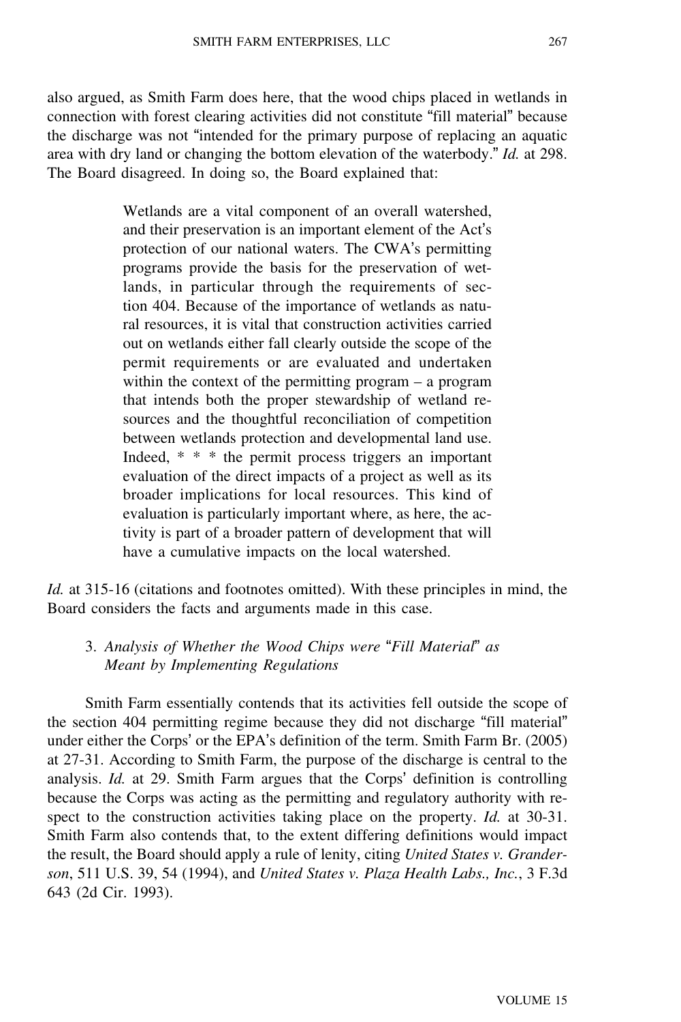also argued, as Smith Farm does here, that the wood chips placed in wetlands in connection with forest clearing activities did not constitute "fill material" because the discharge was not "intended for the primary purpose of replacing an aquatic area with dry land or changing the bottom elevation of the waterbody." *Id.* at 298. The Board disagreed. In doing so, the Board explained that:

> Wetlands are a vital component of an overall watershed, and their preservation is an important element of the Act'<sup>s</sup> protection of our national waters. The CWA's permitting programs provide the basis for the preservation of wetlands, in particular through the requirements of section 404. Because of the importance of wetlands as natural resources, it is vital that construction activities carried out on wetlands either fall clearly outside the scope of the permit requirements or are evaluated and undertaken within the context of the permitting program – a program that intends both the proper stewardship of wetland resources and the thoughtful reconciliation of competition between wetlands protection and developmental land use. Indeed, \* \* \* the permit process triggers an important evaluation of the direct impacts of a project as well as its broader implications for local resources. This kind of evaluation is particularly important where, as here, the activity is part of a broader pattern of development that will have a cumulative impacts on the local watershed.

*Id.* at 315-16 (citations and footnotes omitted). With these principles in mind, the Board considers the facts and arguments made in this case.

# 3. *Analysis of Whether the Wood Chips were* "*Fill Material*" *as Meant by Implementing Regulations*

Smith Farm essentially contends that its activities fell outside the scope of the section 404 permitting regime because they did not discharge "fill material" under either the Corps' or the EPA's definition of the term. Smith Farm Br. (2005) at 27-31. According to Smith Farm, the purpose of the discharge is central to the analysis. *Id.* at 29. Smith Farm argues that the Corps' definition is controlling because the Corps was acting as the permitting and regulatory authority with respect to the construction activities taking place on the property. *Id.* at 30-31. Smith Farm also contends that, to the extent differing definitions would impact the result, the Board should apply a rule of lenity, citing *United States v. Granderson*, 511 U.S. 39, 54 (1994), and *United States v. Plaza Health Labs., Inc.*, 3 F.3d 643 (2d Cir. 1993).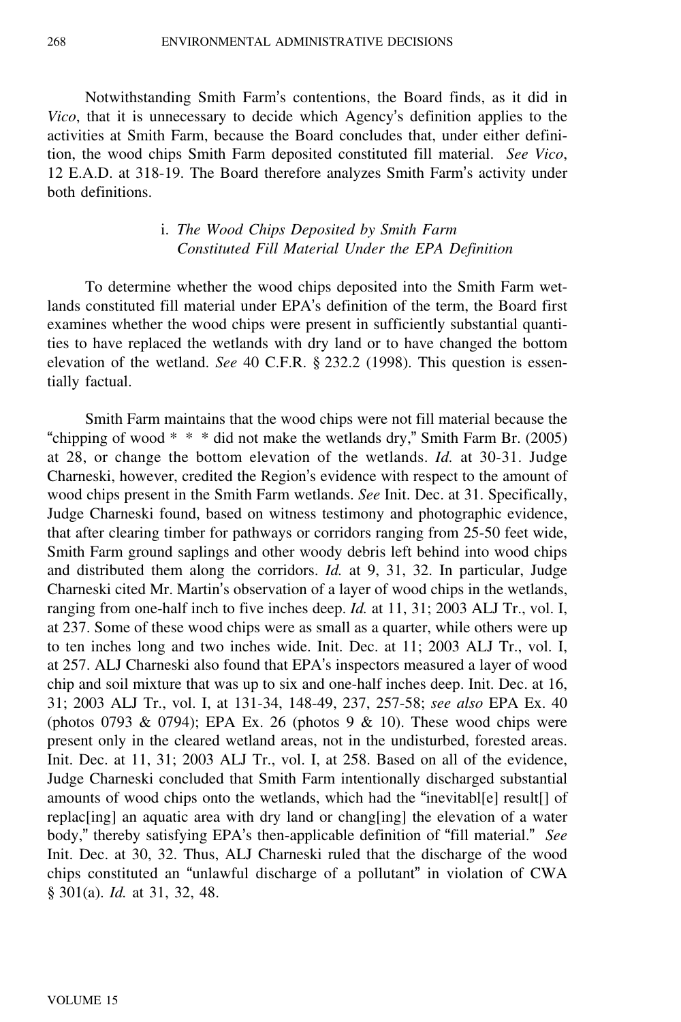Notwithstanding Smith Farm's contentions, the Board finds, as it did in *Vico*, that it is unnecessary to decide which Agency's definition applies to the activities at Smith Farm, because the Board concludes that, under either definition, the wood chips Smith Farm deposited constituted fill material. *See Vico*, 12 E.A.D. at 318-19. The Board therefore analyzes Smith Farm's activity under both definitions.

### i. *The Wood Chips Deposited by Smith Farm Constituted Fill Material Under the EPA Definition*

To determine whether the wood chips deposited into the Smith Farm wetlands constituted fill material under EPA's definition of the term, the Board first examines whether the wood chips were present in sufficiently substantial quantities to have replaced the wetlands with dry land or to have changed the bottom elevation of the wetland. *See* 40 C.F.R. § 232.2 (1998). This question is essentially factual.

Smith Farm maintains that the wood chips were not fill material because the "chipping of wood  $* * *$  did not make the wetlands dry," Smith Farm Br. (2005) at 28, or change the bottom elevation of the wetlands. *Id.* at 30-31. Judge Charneski, however, credited the Region's evidence with respect to the amount of wood chips present in the Smith Farm wetlands. *See* Init. Dec. at 31. Specifically, Judge Charneski found, based on witness testimony and photographic evidence, that after clearing timber for pathways or corridors ranging from 25-50 feet wide, Smith Farm ground saplings and other woody debris left behind into wood chips and distributed them along the corridors. *Id.* at 9, 31, 32. In particular, Judge Charneski cited Mr. Martin's observation of a layer of wood chips in the wetlands, ranging from one-half inch to five inches deep. *Id.* at 11, 31; 2003 ALJ Tr., vol. I, at 237. Some of these wood chips were as small as a quarter, while others were up to ten inches long and two inches wide. Init. Dec. at 11; 2003 ALJ Tr., vol. I, at 257. ALJ Charneski also found that EPA's inspectors measured a layer of wood chip and soil mixture that was up to six and one-half inches deep. Init. Dec. at 16, 31; 2003 ALJ Tr., vol. I, at 131-34, 148-49, 237, 257-58; *see also* EPA Ex. 40 (photos 0793 & 0794); EPA Ex. 26 (photos 9 & 10). These wood chips were present only in the cleared wetland areas, not in the undisturbed, forested areas. Init. Dec. at 11, 31; 2003 ALJ Tr., vol. I, at 258. Based on all of the evidence, Judge Charneski concluded that Smith Farm intentionally discharged substantial amounts of wood chips onto the wetlands, which had the "inevitabl[e] result[] of replac[ing] an aquatic area with dry land or chang[ing] the elevation of a water body," thereby satisfying EPA's then-applicable definition of "fill material." *See* Init. Dec. at 30, 32. Thus, ALJ Charneski ruled that the discharge of the wood chips constituted an "unlawful discharge of a pollutant" in violation of CWA § 301(a). *Id.* at 31, 32, 48.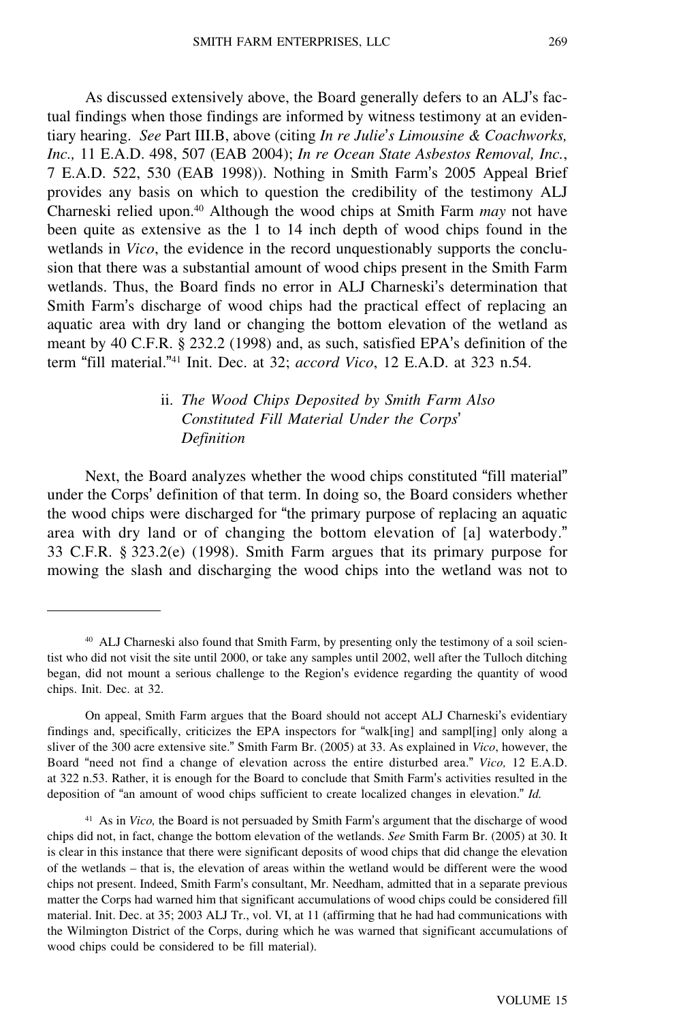As discussed extensively above, the Board generally defers to an ALJ's factual findings when those findings are informed by witness testimony at an evidentiary hearing. *See* Part III.B, above (citing *In re Julie*'*s Limousine & Coachworks, Inc.,* 11 E.A.D. 498, 507 (EAB 2004); *In re Ocean State Asbestos Removal, Inc.*, 7 E.A.D. 522, 530 (EAB 1998)). Nothing in Smith Farm's 2005 Appeal Brief provides any basis on which to question the credibility of the testimony ALJ Charneski relied upon.<sup>40</sup> Although the wood chips at Smith Farm *may* not have been quite as extensive as the 1 to 14 inch depth of wood chips found in the wetlands in *Vico*, the evidence in the record unquestionably supports the conclusion that there was a substantial amount of wood chips present in the Smith Farm wetlands. Thus, the Board finds no error in ALJ Charneski's determination that Smith Farm's discharge of wood chips had the practical effect of replacing an aquatic area with dry land or changing the bottom elevation of the wetland as meant by 40 C.F.R. § 232.2 (1998) and, as such, satisfied EPA's definition of the term "fill material."<sup>41</sup> Init. Dec. at 32; *accord Vico*, 12 E.A.D. at 323 n.54.

# ii. *The Wood Chips Deposited by Smith Farm Also Constituted Fill Material Under the Corps*' *Definition*

Next, the Board analyzes whether the wood chips constituted "fill material" under the Corps' definition of that term. In doing so, the Board considers whether the wood chips were discharged for "the primary purpose of replacing an aquatic area with dry land or of changing the bottom elevation of [a] waterbody." 33 C.F.R. § 323.2(e) (1998). Smith Farm argues that its primary purpose for mowing the slash and discharging the wood chips into the wetland was not to

<sup>&</sup>lt;sup>40</sup> ALJ Charneski also found that Smith Farm, by presenting only the testimony of a soil scientist who did not visit the site until 2000, or take any samples until 2002, well after the Tulloch ditching began, did not mount a serious challenge to the Region's evidence regarding the quantity of wood chips. Init. Dec. at 32.

On appeal, Smith Farm argues that the Board should not accept ALJ Charneski's evidentiary findings and, specifically, criticizes the EPA inspectors for "walk[ing] and sampl[ing] only along a sliver of the 300 acre extensive site." Smith Farm Br. (2005) at 33. As explained in *Vico*, however, the Board "need not find a change of elevation across the entire disturbed area." *Vico,* 12 E.A.D. at 322 n.53. Rather, it is enough for the Board to conclude that Smith Farm's activities resulted in the deposition of "an amount of wood chips sufficient to create localized changes in elevation." *Id.*

<sup>41</sup> As in *Vico,* the Board is not persuaded by Smith Farm's argument that the discharge of wood chips did not, in fact, change the bottom elevation of the wetlands. *See* Smith Farm Br. (2005) at 30. It is clear in this instance that there were significant deposits of wood chips that did change the elevation of the wetlands – that is, the elevation of areas within the wetland would be different were the wood chips not present. Indeed, Smith Farm's consultant, Mr. Needham, admitted that in a separate previous matter the Corps had warned him that significant accumulations of wood chips could be considered fill material. Init. Dec. at 35; 2003 ALJ Tr., vol. VI, at 11 (affirming that he had had communications with the Wilmington District of the Corps, during which he was warned that significant accumulations of wood chips could be considered to be fill material).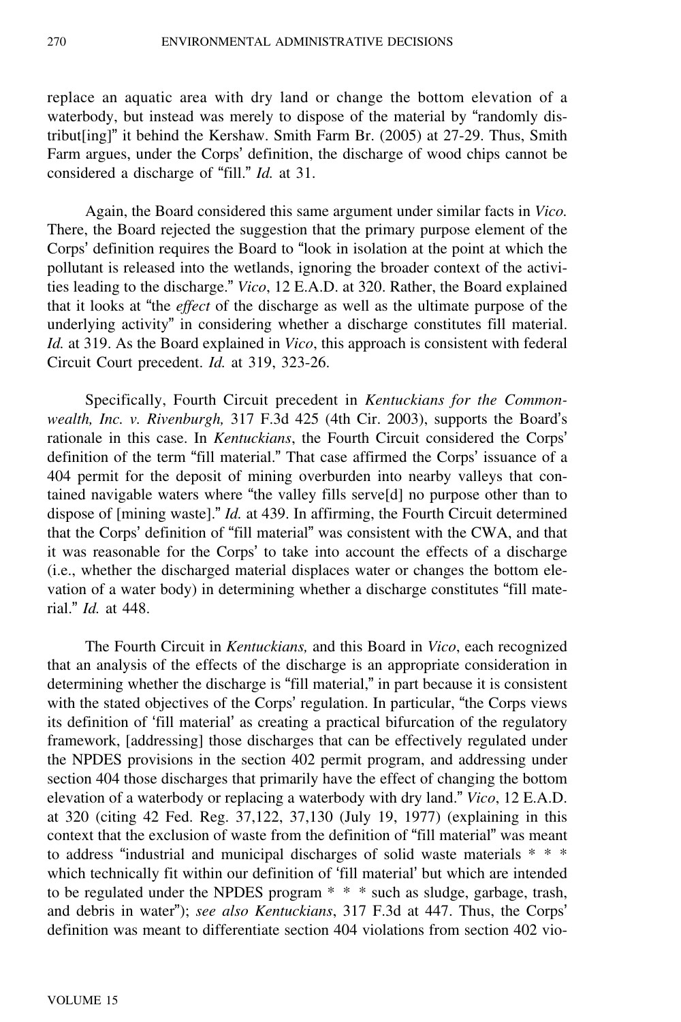replace an aquatic area with dry land or change the bottom elevation of a waterbody, but instead was merely to dispose of the material by "randomly distribut[ing]" it behind the Kershaw. Smith Farm Br. (2005) at 27-29. Thus, Smith Farm argues, under the Corps' definition, the discharge of wood chips cannot be considered a discharge of "fill." *Id.* at 31.

Again, the Board considered this same argument under similar facts in *Vico.* There, the Board rejected the suggestion that the primary purpose element of the Corps' definition requires the Board to "look in isolation at the point at which the pollutant is released into the wetlands, ignoring the broader context of the activities leading to the discharge." *Vico*, 12 E.A.D. at 320. Rather, the Board explained that it looks at "the *effect* of the discharge as well as the ultimate purpose of the underlying activity" in considering whether a discharge constitutes fill material. *Id.* at 319. As the Board explained in *Vico*, this approach is consistent with federal Circuit Court precedent. *Id.* at 319, 323-26.

Specifically, Fourth Circuit precedent in *Kentuckians for the Commonwealth, Inc. v. Rivenburgh,* 317 F.3d 425 (4th Cir. 2003), supports the Board'<sup>s</sup> rationale in this case. In *Kentuckians*, the Fourth Circuit considered the Corps' definition of the term "fill material." That case affirmed the Corps' issuance of a 404 permit for the deposit of mining overburden into nearby valleys that contained navigable waters where "the valley fills serve[d] no purpose other than to dispose of [mining waste]." *Id.* at 439. In affirming, the Fourth Circuit determined that the Corps' definition of "fill material" was consistent with the CWA, and that it was reasonable for the Corps' to take into account the effects of a discharge (i.e., whether the discharged material displaces water or changes the bottom elevation of a water body) in determining whether a discharge constitutes "fill material." *Id.* at 448.

The Fourth Circuit in *Kentuckians,* and this Board in *Vico*, each recognized that an analysis of the effects of the discharge is an appropriate consideration in determining whether the discharge is "fill material," in part because it is consistent with the stated objectives of the Corps' regulation. In particular, "the Corps views its definition of 'fill material' as creating a practical bifurcation of the regulatory framework, [addressing] those discharges that can be effectively regulated under the NPDES provisions in the section 402 permit program, and addressing under section 404 those discharges that primarily have the effect of changing the bottom elevation of a waterbody or replacing a waterbody with dry land." *Vico*, 12 E.A.D. at 320 (citing 42 Fed. Reg. 37,122, 37,130 (July 19, 1977) (explaining in this context that the exclusion of waste from the definition of "fill material" was meant to address "industrial and municipal discharges of solid waste materials \* \* \* which technically fit within our definition of 'fill material' but which are intended to be regulated under the NPDES program \* \* \* such as sludge, garbage, trash, and debris in water"); *see also Kentuckians*, 317 F.3d at 447. Thus, the Corps' definition was meant to differentiate section 404 violations from section 402 vio-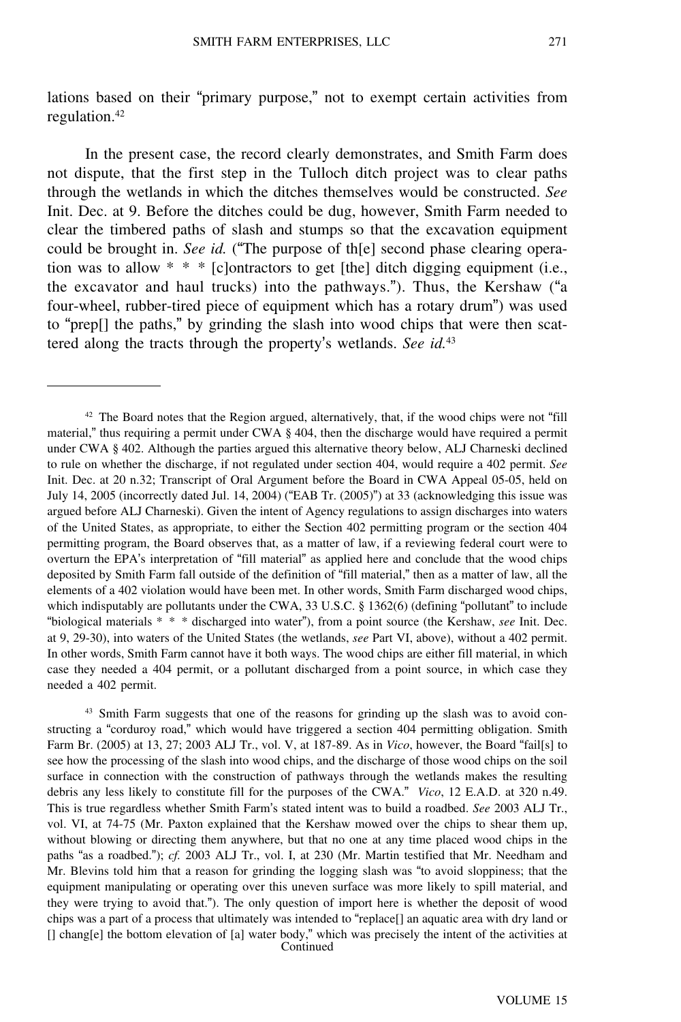lations based on their "primary purpose," not to exempt certain activities from regulation.<sup>42</sup>

In the present case, the record clearly demonstrates, and Smith Farm does not dispute, that the first step in the Tulloch ditch project was to clear paths through the wetlands in which the ditches themselves would be constructed. *See* Init. Dec. at 9. Before the ditches could be dug, however, Smith Farm needed to clear the timbered paths of slash and stumps so that the excavation equipment could be brought in. *See id.* ("The purpose of th[e] second phase clearing operation was to allow  $* * * [c]$  ontractors to get [the] ditch digging equipment (i.e., the excavator and haul trucks) into the pathways."). Thus, the Kershaw ("<sup>a</sup> four-wheel, rubber-tired piece of equipment which has a rotary drum") was used to "prep[] the paths," by grinding the slash into wood chips that were then scattered along the tracts through the property's wetlands. *See id.*<sup>43</sup>

<sup>43</sup> Smith Farm suggests that one of the reasons for grinding up the slash was to avoid constructing a "corduroy road," which would have triggered a section 404 permitting obligation. Smith Farm Br. (2005) at 13, 27; 2003 ALJ Tr., vol. V, at 187-89. As in *Vico*, however, the Board "fail[s] to see how the processing of the slash into wood chips, and the discharge of those wood chips on the soil surface in connection with the construction of pathways through the wetlands makes the resulting debris any less likely to constitute fill for the purposes of the CWA." *Vico*, 12 E.A.D. at 320 n.49. This is true regardless whether Smith Farm's stated intent was to build a roadbed. *See* 2003 ALJ Tr., vol. VI, at 74-75 (Mr. Paxton explained that the Kershaw mowed over the chips to shear them up, without blowing or directing them anywhere, but that no one at any time placed wood chips in the paths "as a roadbed."); *cf.* 2003 ALJ Tr., vol. I, at 230 (Mr. Martin testified that Mr. Needham and Mr. Blevins told him that a reason for grinding the logging slash was "to avoid sloppiness; that the equipment manipulating or operating over this uneven surface was more likely to spill material, and they were trying to avoid that."). The only question of import here is whether the deposit of wood chips was a part of a process that ultimately was intended to "replace[] an aquatic area with dry land or [] chang[e] the bottom elevation of [a] water body," which was precisely the intent of the activities at Continued

<sup>42</sup> The Board notes that the Region argued, alternatively, that, if the wood chips were not "fill material," thus requiring a permit under CWA § 404, then the discharge would have required a permit under CWA § 402. Although the parties argued this alternative theory below, ALJ Charneski declined to rule on whether the discharge, if not regulated under section 404, would require a 402 permit. *See* Init. Dec. at 20 n.32; Transcript of Oral Argument before the Board in CWA Appeal 05-05, held on July 14, 2005 (incorrectly dated Jul. 14, 2004) ("EAB Tr. (2005)") at 33 (acknowledging this issue was argued before ALJ Charneski). Given the intent of Agency regulations to assign discharges into waters of the United States, as appropriate, to either the Section 402 permitting program or the section 404 permitting program, the Board observes that, as a matter of law, if a reviewing federal court were to overturn the EPA's interpretation of "fill material" as applied here and conclude that the wood chips deposited by Smith Farm fall outside of the definition of "fill material," then as a matter of law, all the elements of a 402 violation would have been met. In other words, Smith Farm discharged wood chips, which indisputably are pollutants under the CWA, 33 U.S.C. § 1362(6) (defining "pollutant" to include "biological materials \* \* \* discharged into water"), from a point source (the Kershaw, *see* Init. Dec. at 9, 29-30), into waters of the United States (the wetlands, *see* Part VI, above), without a 402 permit. In other words, Smith Farm cannot have it both ways. The wood chips are either fill material, in which case they needed a 404 permit, or a pollutant discharged from a point source, in which case they needed a 402 permit.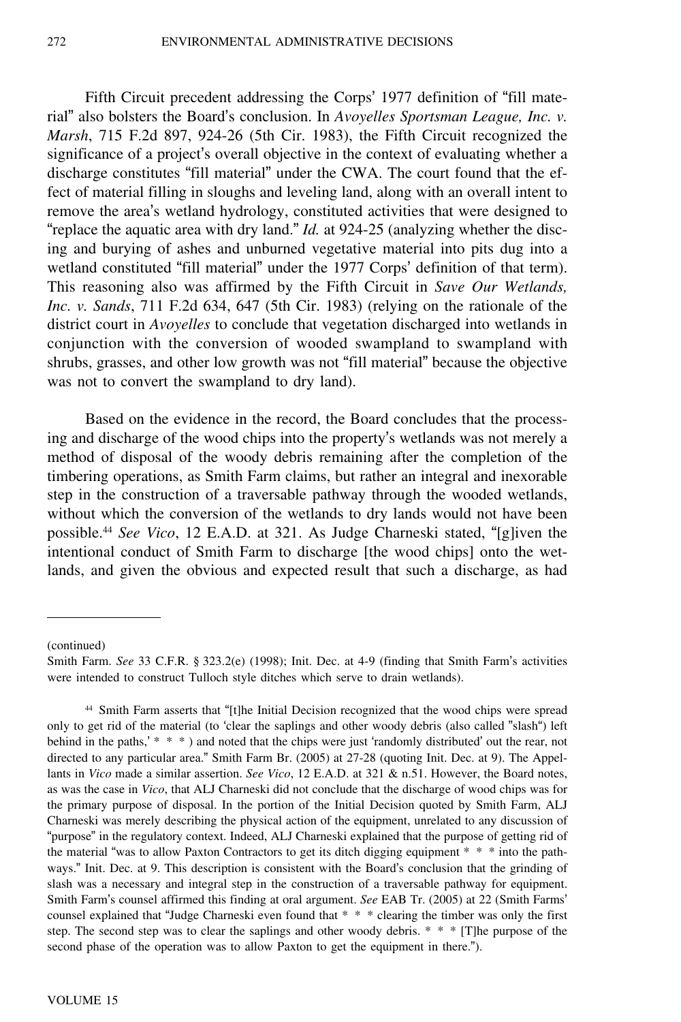Fifth Circuit precedent addressing the Corps' 1977 definition of "fill material" also bolsters the Board's conclusion. In *Avoyelles Sportsman League, Inc. v. Marsh*, 715 F.2d 897, 924-26 (5th Cir. 1983), the Fifth Circuit recognized the significance of a project's overall objective in the context of evaluating whether a discharge constitutes "fill material" under the CWA. The court found that the effect of material filling in sloughs and leveling land, along with an overall intent to remove the area's wetland hydrology, constituted activities that were designed to "replace the aquatic area with dry land." *Id.* at 924-25 (analyzing whether the discing and burying of ashes and unburned vegetative material into pits dug into a wetland constituted "fill material" under the 1977 Corps' definition of that term). This reasoning also was affirmed by the Fifth Circuit in *Save Our Wetlands, Inc. v. Sands*, 711 F.2d 634, 647 (5th Cir. 1983) (relying on the rationale of the district court in *Avoyelles* to conclude that vegetation discharged into wetlands in conjunction with the conversion of wooded swampland to swampland with shrubs, grasses, and other low growth was not "fill material" because the objective was not to convert the swampland to dry land).

Based on the evidence in the record, the Board concludes that the processing and discharge of the wood chips into the property's wetlands was not merely a method of disposal of the woody debris remaining after the completion of the timbering operations, as Smith Farm claims, but rather an integral and inexorable step in the construction of a traversable pathway through the wooded wetlands, without which the conversion of the wetlands to dry lands would not have been possible.<sup>44</sup> *See Vico*, 12 E.A.D. at 321. As Judge Charneski stated, "[g]iven the intentional conduct of Smith Farm to discharge [the wood chips] onto the wetlands, and given the obvious and expected result that such a discharge, as had

(continued)

Smith Farm. *See* 33 C.F.R. § 323.2(e) (1998); Init. Dec. at 4-9 (finding that Smith Farm's activities were intended to construct Tulloch style ditches which serve to drain wetlands).

<sup>44</sup> Smith Farm asserts that "[t]he Initial Decision recognized that the wood chips were spread only to get rid of the material (to 'clear the saplings and other woody debris (also called "slash") left behind in the paths,' \* \* \*) and noted that the chips were just 'randomly distributed' out the rear, not directed to any particular area." Smith Farm Br. (2005) at 27-28 (quoting Init. Dec. at 9). The Appellants in *Vico* made a similar assertion. *See Vico*, 12 E.A.D. at 321 & n.51. However, the Board notes, as was the case in *Vico*, that ALJ Charneski did not conclude that the discharge of wood chips was for the primary purpose of disposal. In the portion of the Initial Decision quoted by Smith Farm, ALJ Charneski was merely describing the physical action of the equipment, unrelated to any discussion of "purpose" in the regulatory context. Indeed, ALJ Charneski explained that the purpose of getting rid of the material "was to allow Paxton Contractors to get its ditch digging equipment \* \* \* into the pathways." Init. Dec. at 9. This description is consistent with the Board's conclusion that the grinding of slash was a necessary and integral step in the construction of a traversable pathway for equipment. Smith Farm's counsel affirmed this finding at oral argument. *See* EAB Tr. (2005) at 22 (Smith Farms' counsel explained that "Judge Charneski even found that \* \* \* clearing the timber was only the first step. The second step was to clear the saplings and other woody debris. \* \* \* [T]he purpose of the second phase of the operation was to allow Paxton to get the equipment in there.").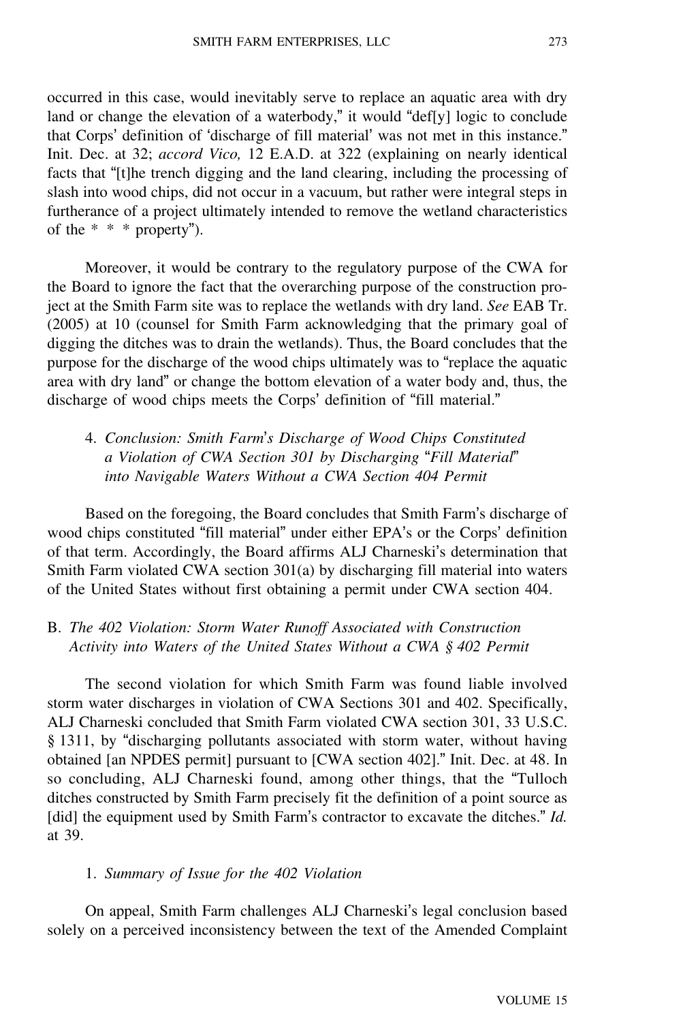occurred in this case, would inevitably serve to replace an aquatic area with dry land or change the elevation of a waterbody," it would "def[y] logic to conclude that Corps' definition of 'discharge of fill material' was not met in this instance." Init. Dec. at 32; *accord Vico,* 12 E.A.D. at 322 (explaining on nearly identical facts that "[t]he trench digging and the land clearing, including the processing of slash into wood chips, did not occur in a vacuum, but rather were integral steps in furtherance of a project ultimately intended to remove the wetland characteristics of the  $* * *$  property").

Moreover, it would be contrary to the regulatory purpose of the CWA for the Board to ignore the fact that the overarching purpose of the construction project at the Smith Farm site was to replace the wetlands with dry land. *See* EAB Tr. (2005) at 10 (counsel for Smith Farm acknowledging that the primary goal of digging the ditches was to drain the wetlands). Thus, the Board concludes that the purpose for the discharge of the wood chips ultimately was to "replace the aquatic area with dry land" or change the bottom elevation of a water body and, thus, the discharge of wood chips meets the Corps' definition of "fill material."

4. *Conclusion: Smith Farm*'*s Discharge of Wood Chips Constituted a Violation of CWA Section 301 by Discharging* "*Fill Material*" *into Navigable Waters Without a CWA Section 404 Permit*

Based on the foregoing, the Board concludes that Smith Farm's discharge of wood chips constituted "fill material" under either EPA's or the Corps' definition of that term. Accordingly, the Board affirms ALJ Charneski's determination that Smith Farm violated CWA section 301(a) by discharging fill material into waters of the United States without first obtaining a permit under CWA section 404.

# B. *The 402 Violation: Storm Water Runoff Associated with Construction Activity into Waters of the United States Without a CWA § 402 Permit*

The second violation for which Smith Farm was found liable involved storm water discharges in violation of CWA Sections 301 and 402. Specifically, ALJ Charneski concluded that Smith Farm violated CWA section 301, 33 U.S.C. § 1311, by "discharging pollutants associated with storm water, without having obtained [an NPDES permit] pursuant to [CWA section 402]." Init. Dec. at 48. In so concluding, ALJ Charneski found, among other things, that the "Tulloch ditches constructed by Smith Farm precisely fit the definition of a point source as [did] the equipment used by Smith Farm's contractor to excavate the ditches." *Id.* at 39.

### 1. *Summary of Issue for the 402 Violation*

On appeal, Smith Farm challenges ALJ Charneski's legal conclusion based solely on a perceived inconsistency between the text of the Amended Complaint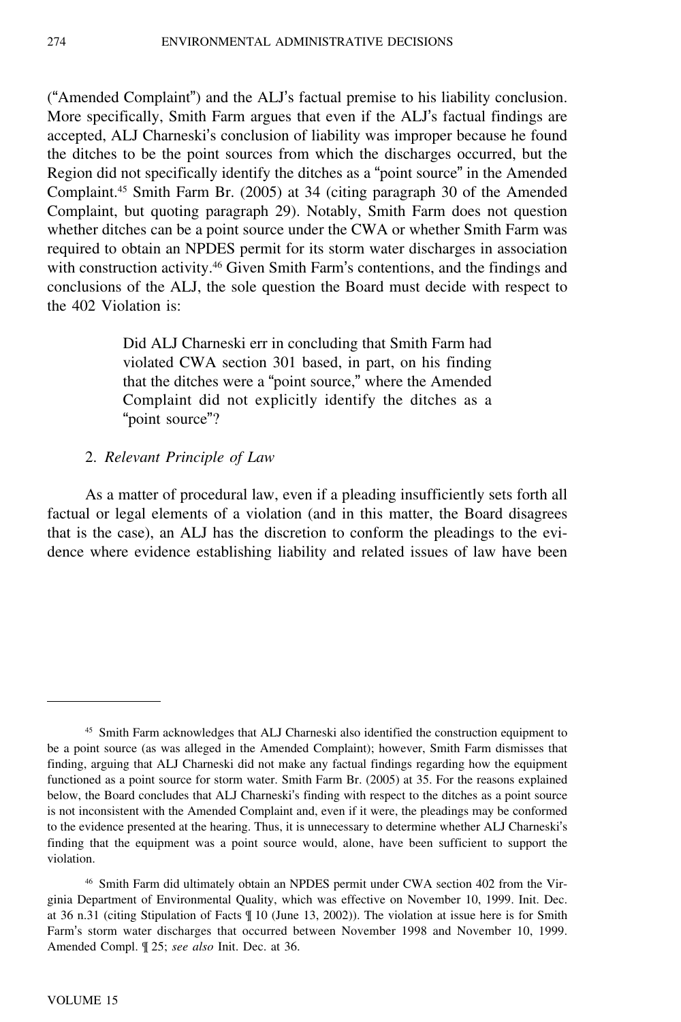("Amended Complaint") and the ALJ's factual premise to his liability conclusion. More specifically, Smith Farm argues that even if the ALJ's factual findings are accepted, ALJ Charneski's conclusion of liability was improper because he found the ditches to be the point sources from which the discharges occurred, but the Region did not specifically identify the ditches as a "point source" in the Amended Complaint.<sup>45</sup> Smith Farm Br. (2005) at 34 (citing paragraph 30 of the Amended Complaint, but quoting paragraph 29). Notably, Smith Farm does not question whether ditches can be a point source under the CWA or whether Smith Farm was required to obtain an NPDES permit for its storm water discharges in association with construction activity.<sup>46</sup> Given Smith Farm's contentions, and the findings and conclusions of the ALJ, the sole question the Board must decide with respect to the 402 Violation is:

> Did ALJ Charneski err in concluding that Smith Farm had violated CWA section 301 based, in part, on his finding that the ditches were a "point source," where the Amended Complaint did not explicitly identify the ditches as a "point source"?

### 2. *Relevant Principle of Law*

As a matter of procedural law, even if a pleading insufficiently sets forth all factual or legal elements of a violation (and in this matter, the Board disagrees that is the case), an ALJ has the discretion to conform the pleadings to the evidence where evidence establishing liability and related issues of law have been

<sup>46</sup> Smith Farm did ultimately obtain an NPDES permit under CWA section 402 from the Virginia Department of Environmental Quality, which was effective on November 10, 1999. Init. Dec. at 36 n.31 (citing Stipulation of Facts ¶ 10 (June 13, 2002)). The violation at issue here is for Smith Farm's storm water discharges that occurred between November 1998 and November 10, 1999. Amended Compl. ¶ 25; *see also* Init. Dec. at 36.

<sup>45</sup> Smith Farm acknowledges that ALJ Charneski also identified the construction equipment to be a point source (as was alleged in the Amended Complaint); however, Smith Farm dismisses that finding, arguing that ALJ Charneski did not make any factual findings regarding how the equipment functioned as a point source for storm water. Smith Farm Br. (2005) at 35. For the reasons explained below, the Board concludes that ALJ Charneski's finding with respect to the ditches as a point source is not inconsistent with the Amended Complaint and, even if it were, the pleadings may be conformed to the evidence presented at the hearing. Thus, it is unnecessary to determine whether ALJ Charneski'<sup>s</sup> finding that the equipment was a point source would, alone, have been sufficient to support the violation.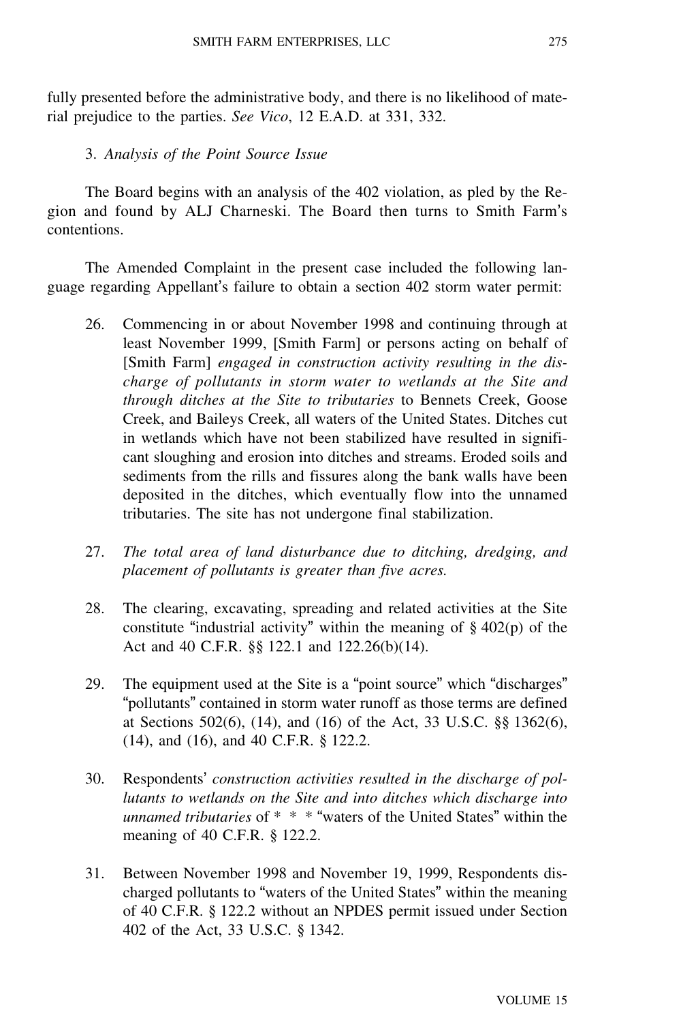fully presented before the administrative body, and there is no likelihood of material prejudice to the parties. *See Vico*, 12 E.A.D. at 331, 332.

### 3. *Analysis of the Point Source Issue*

The Board begins with an analysis of the 402 violation, as pled by the Region and found by ALJ Charneski. The Board then turns to Smith Farm'<sup>s</sup> contentions.

The Amended Complaint in the present case included the following language regarding Appellant's failure to obtain a section 402 storm water permit:

- 26. Commencing in or about November 1998 and continuing through at least November 1999, [Smith Farm] or persons acting on behalf of [Smith Farm] *engaged in construction activity resulting in the discharge of pollutants in storm water to wetlands at the Site and through ditches at the Site to tributaries* to Bennets Creek, Goose Creek, and Baileys Creek, all waters of the United States. Ditches cut in wetlands which have not been stabilized have resulted in significant sloughing and erosion into ditches and streams. Eroded soils and sediments from the rills and fissures along the bank walls have been deposited in the ditches, which eventually flow into the unnamed tributaries. The site has not undergone final stabilization.
- 27. *The total area of land disturbance due to ditching, dredging, and placement of pollutants is greater than five acres.*
- 28. The clearing, excavating, spreading and related activities at the Site constitute "industrial activity" within the meaning of  $\S$  402(p) of the Act and 40 C.F.R. §§ 122.1 and 122.26(b)(14).
- 29. The equipment used at the Site is a "point source" which "discharges" "pollutants" contained in storm water runoff as those terms are defined at Sections 502(6), (14), and (16) of the Act, 33 U.S.C. §§ 1362(6), (14), and (16), and 40 C.F.R. § 122.2.
- 30. Respondents' *construction activities resulted in the discharge of pollutants to wetlands on the Site and into ditches which discharge into unnamed tributaries* of \* \* \* "waters of the United States" within the meaning of 40 C.F.R. § 122.2.
- 31. Between November 1998 and November 19, 1999, Respondents discharged pollutants to "waters of the United States" within the meaning of 40 C.F.R. § 122.2 without an NPDES permit issued under Section 402 of the Act, 33 U.S.C. § 1342.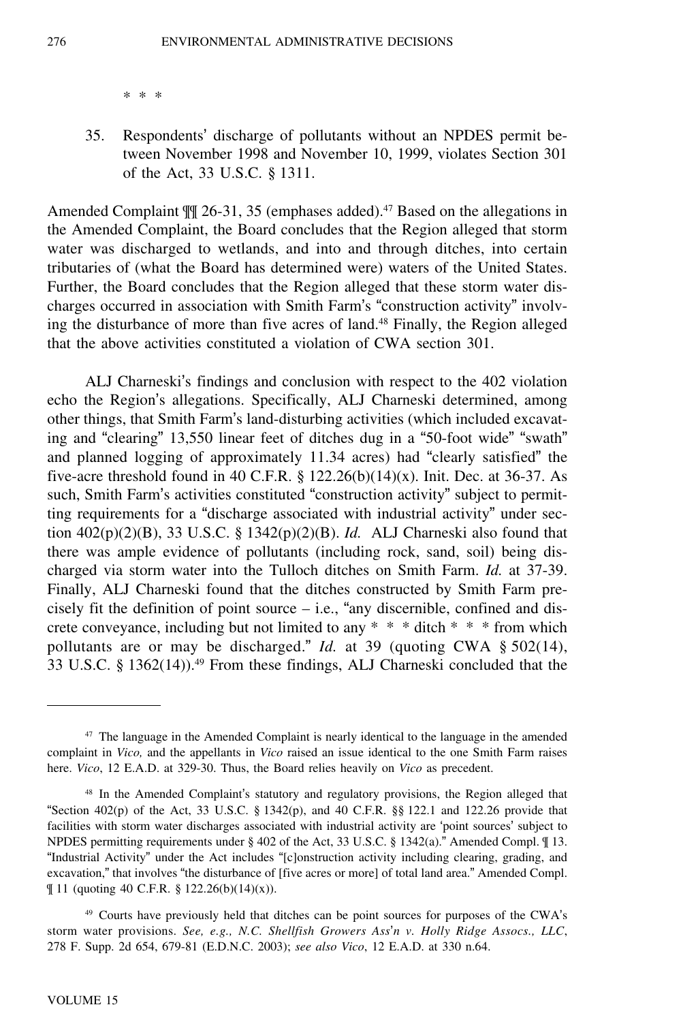\* \* \*

35. Respondents' discharge of pollutants without an NPDES permit between November 1998 and November 10, 1999, violates Section 301 of the Act, 33 U.S.C. § 1311.

Amended Complaint  $\mathbb{II}$  26-31, 35 (emphases added).<sup>47</sup> Based on the allegations in the Amended Complaint, the Board concludes that the Region alleged that storm water was discharged to wetlands, and into and through ditches, into certain tributaries of (what the Board has determined were) waters of the United States. Further, the Board concludes that the Region alleged that these storm water discharges occurred in association with Smith Farm's "construction activity" involving the disturbance of more than five acres of land.<sup>48</sup> Finally, the Region alleged that the above activities constituted a violation of CWA section 301.

ALJ Charneski's findings and conclusion with respect to the 402 violation echo the Region's allegations. Specifically, ALJ Charneski determined, among other things, that Smith Farm's land-disturbing activities (which included excavating and "clearing" 13,550 linear feet of ditches dug in a "50-foot wide" "swath" and planned logging of approximately 11.34 acres) had "clearly satisfied" the five-acre threshold found in 40 C.F.R. §  $122.26(b)(14)(x)$ . Init. Dec. at 36-37. As such, Smith Farm's activities constituted "construction activity" subject to permitting requirements for a "discharge associated with industrial activity" under section 402(p)(2)(B), 33 U.S.C. § 1342(p)(2)(B). *Id.* ALJ Charneski also found that there was ample evidence of pollutants (including rock, sand, soil) being discharged via storm water into the Tulloch ditches on Smith Farm. *Id.* at 37-39. Finally, ALJ Charneski found that the ditches constructed by Smith Farm precisely fit the definition of point source  $-$  i.e., "any discernible, confined and discrete conveyance, including but not limited to any \* \* \* ditch \* \* \* from which pollutants are or may be discharged." *Id.* at 39 (quoting CWA § 502(14), 33 U.S.C. § 1362(14)).<sup>49</sup> From these findings, ALJ Charneski concluded that the

<sup>47</sup> The language in the Amended Complaint is nearly identical to the language in the amended complaint in *Vico,* and the appellants in *Vico* raised an issue identical to the one Smith Farm raises here. *Vico*, 12 E.A.D. at 329-30. Thus, the Board relies heavily on *Vico* as precedent.

<sup>48</sup> In the Amended Complaint's statutory and regulatory provisions, the Region alleged that "Section  $402(p)$  of the Act, 33 U.S.C. § 1342(p), and 40 C.F.R. §§ 122.1 and 122.26 provide that facilities with storm water discharges associated with industrial activity are 'point sources' subject to NPDES permitting requirements under § 402 of the Act, 33 U.S.C. § 1342(a)." Amended Compl. ¶ 13. "Industrial Activity" under the Act includes "[c]onstruction activity including clearing, grading, and excavation," that involves "the disturbance of [five acres or more] of total land area." Amended Compl. ¶ 11 (quoting 40 C.F.R. § 122.26(b)(14)(x)).

<sup>49</sup> Courts have previously held that ditches can be point sources for purposes of the CWA'<sup>s</sup> storm water provisions. *See, e.g., N.C. Shellfish Growers Ass*'*n v. Holly Ridge Assocs., LLC*, 278 F. Supp. 2d 654, 679-81 (E.D.N.C. 2003); *see also Vico*, 12 E.A.D. at 330 n.64.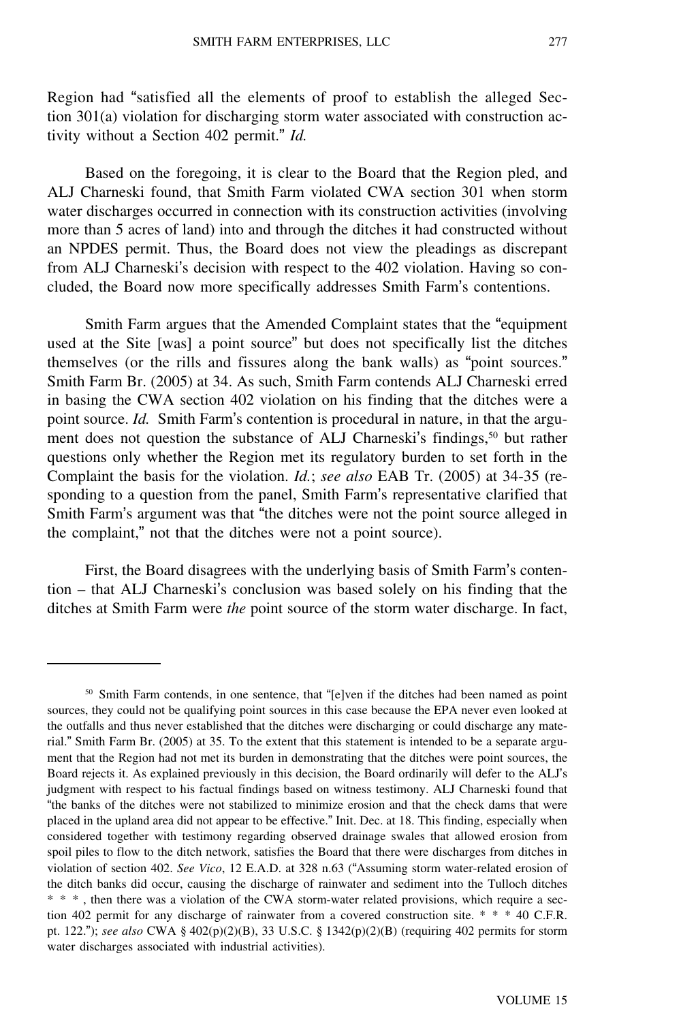Region had "satisfied all the elements of proof to establish the alleged Section 301(a) violation for discharging storm water associated with construction activity without a Section 402 permit." *Id.*

Based on the foregoing, it is clear to the Board that the Region pled, and ALJ Charneski found, that Smith Farm violated CWA section 301 when storm water discharges occurred in connection with its construction activities (involving more than 5 acres of land) into and through the ditches it had constructed without an NPDES permit. Thus, the Board does not view the pleadings as discrepant from ALJ Charneski's decision with respect to the 402 violation. Having so concluded, the Board now more specifically addresses Smith Farm's contentions.

Smith Farm argues that the Amended Complaint states that the "equipment used at the Site [was] a point source" but does not specifically list the ditches themselves (or the rills and fissures along the bank walls) as "point sources." Smith Farm Br. (2005) at 34. As such, Smith Farm contends ALJ Charneski erred in basing the CWA section 402 violation on his finding that the ditches were a point source. *Id.* Smith Farm's contention is procedural in nature, in that the argument does not question the substance of ALJ Charneski's findings,<sup>50</sup> but rather questions only whether the Region met its regulatory burden to set forth in the Complaint the basis for the violation. *Id.*; *see also* EAB Tr. (2005) at 34-35 (responding to a question from the panel, Smith Farm's representative clarified that Smith Farm's argument was that "the ditches were not the point source alleged in the complaint," not that the ditches were not a point source).

First, the Board disagrees with the underlying basis of Smith Farm's contention – that ALJ Charneski's conclusion was based solely on his finding that the ditches at Smith Farm were *the* point source of the storm water discharge. In fact,

<sup>50</sup> Smith Farm contends, in one sentence, that "[e]ven if the ditches had been named as point sources, they could not be qualifying point sources in this case because the EPA never even looked at the outfalls and thus never established that the ditches were discharging or could discharge any material." Smith Farm Br. (2005) at 35. To the extent that this statement is intended to be a separate argument that the Region had not met its burden in demonstrating that the ditches were point sources, the Board rejects it. As explained previously in this decision, the Board ordinarily will defer to the ALJ'<sup>s</sup> judgment with respect to his factual findings based on witness testimony. ALJ Charneski found that "the banks of the ditches were not stabilized to minimize erosion and that the check dams that were placed in the upland area did not appear to be effective." Init. Dec. at 18. This finding, especially when considered together with testimony regarding observed drainage swales that allowed erosion from spoil piles to flow to the ditch network, satisfies the Board that there were discharges from ditches in violation of section 402. *See Vico*, 12 E.A.D. at 328 n.63 ("Assuming storm water-related erosion of the ditch banks did occur, causing the discharge of rainwater and sediment into the Tulloch ditches \* \* \* , then there was a violation of the CWA storm-water related provisions, which require a section 402 permit for any discharge of rainwater from a covered construction site. \* \* \* 40 C.F.R. pt. 122."); *see also* CWA § 402(p)(2)(B), 33 U.S.C. § 1342(p)(2)(B) (requiring 402 permits for storm water discharges associated with industrial activities).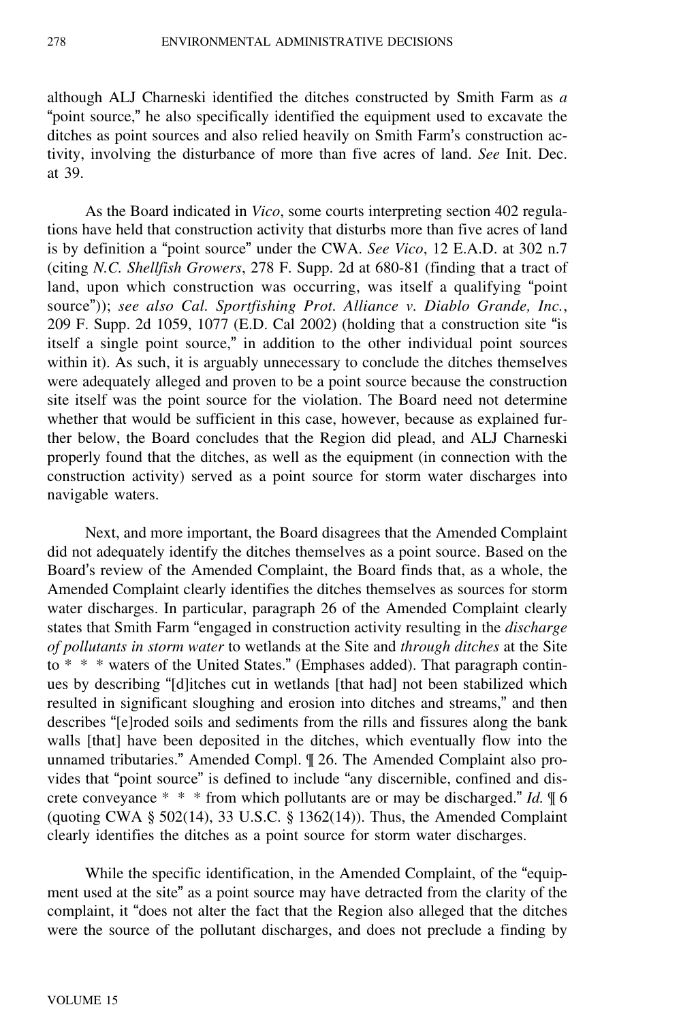although ALJ Charneski identified the ditches constructed by Smith Farm as *<sup>a</sup>* "point source," he also specifically identified the equipment used to excavate the ditches as point sources and also relied heavily on Smith Farm's construction activity, involving the disturbance of more than five acres of land. *See* Init. Dec. at 39.

As the Board indicated in *Vico*, some courts interpreting section 402 regulations have held that construction activity that disturbs more than five acres of land is by definition a "point source" under the CWA. *See Vico*, 12 E.A.D. at 302 n.7 (citing *N.C. Shellfish Growers*, 278 F. Supp. 2d at 680-81 (finding that a tract of land, upon which construction was occurring, was itself a qualifying "point source")); *see also Cal. Sportfishing Prot. Alliance v. Diablo Grande, Inc.*, 209 F. Supp. 2d 1059, 1077 (E.D. Cal 2002) (holding that a construction site "is itself a single point source," in addition to the other individual point sources within it). As such, it is arguably unnecessary to conclude the ditches themselves were adequately alleged and proven to be a point source because the construction site itself was the point source for the violation. The Board need not determine whether that would be sufficient in this case, however, because as explained further below, the Board concludes that the Region did plead, and ALJ Charneski properly found that the ditches, as well as the equipment (in connection with the construction activity) served as a point source for storm water discharges into navigable waters.

Next, and more important, the Board disagrees that the Amended Complaint did not adequately identify the ditches themselves as a point source. Based on the Board's review of the Amended Complaint, the Board finds that, as a whole, the Amended Complaint clearly identifies the ditches themselves as sources for storm water discharges. In particular, paragraph 26 of the Amended Complaint clearly states that Smith Farm "engaged in construction activity resulting in the *discharge of pollutants in storm water* to wetlands at the Site and *through ditches* at the Site to \* \* \* waters of the United States." (Emphases added). That paragraph continues by describing "[d]itches cut in wetlands [that had] not been stabilized which resulted in significant sloughing and erosion into ditches and streams," and then describes "[e]roded soils and sediments from the rills and fissures along the bank walls [that] have been deposited in the ditches, which eventually flow into the unnamed tributaries." Amended Compl. ¶ 26. The Amended Complaint also provides that "point source" is defined to include "any discernible, confined and discrete conveyance \* \* \* from which pollutants are or may be discharged." *Id.* ¶ 6 (quoting CWA  $\S$  502(14), 33 U.S.C.  $\S$  1362(14)). Thus, the Amended Complaint clearly identifies the ditches as a point source for storm water discharges.

While the specific identification, in the Amended Complaint, of the "equipment used at the site" as a point source may have detracted from the clarity of the complaint, it "does not alter the fact that the Region also alleged that the ditches were the source of the pollutant discharges, and does not preclude a finding by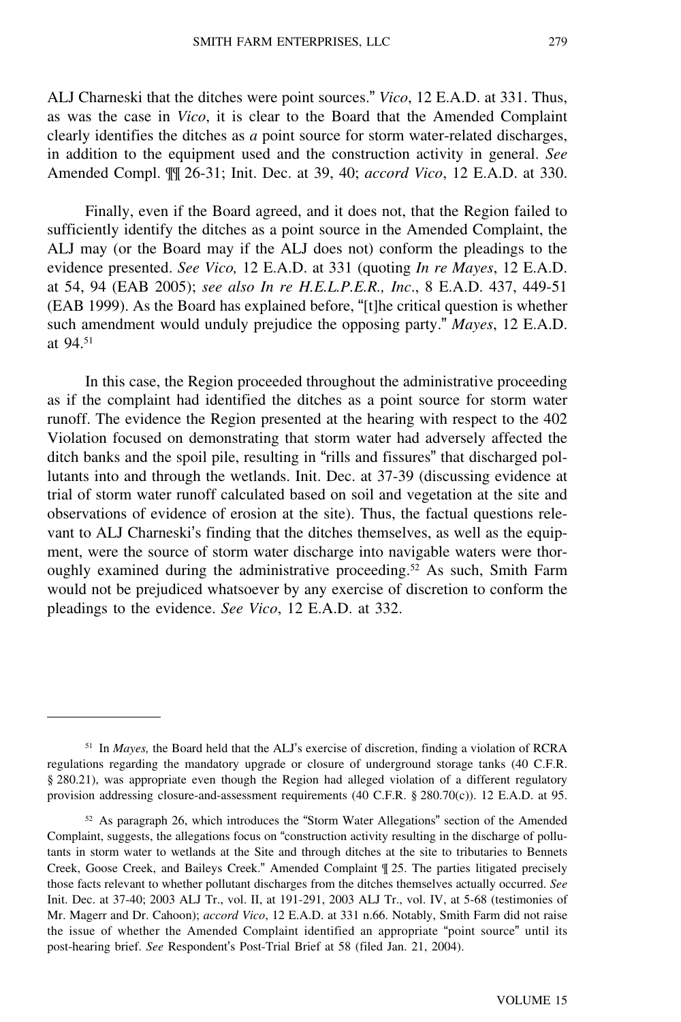ALJ Charneski that the ditches were point sources." *Vico*, 12 E.A.D. at 331. Thus, as was the case in *Vico*, it is clear to the Board that the Amended Complaint clearly identifies the ditches as *a* point source for storm water-related discharges, in addition to the equipment used and the construction activity in general. *See* Amended Compl. ¶¶ 26-31; Init. Dec. at 39, 40; *accord Vico*, 12 E.A.D. at 330.

Finally, even if the Board agreed, and it does not, that the Region failed to sufficiently identify the ditches as a point source in the Amended Complaint, the ALJ may (or the Board may if the ALJ does not) conform the pleadings to the evidence presented. *See Vico,* 12 E.A.D. at 331 (quoting *In re Mayes*, 12 E.A.D. at 54, 94 (EAB 2005); *see also In re H.E.L.P.E.R., Inc*., 8 E.A.D. 437, 449-51 (EAB 1999). As the Board has explained before, "[t]he critical question is whether such amendment would unduly prejudice the opposing party." *Mayes*, 12 E.A.D. at 94.<sup>51</sup>

In this case, the Region proceeded throughout the administrative proceeding as if the complaint had identified the ditches as a point source for storm water runoff. The evidence the Region presented at the hearing with respect to the 402 Violation focused on demonstrating that storm water had adversely affected the ditch banks and the spoil pile, resulting in "rills and fissures" that discharged pollutants into and through the wetlands. Init. Dec. at 37-39 (discussing evidence at trial of storm water runoff calculated based on soil and vegetation at the site and observations of evidence of erosion at the site). Thus, the factual questions relevant to ALJ Charneski's finding that the ditches themselves, as well as the equipment, were the source of storm water discharge into navigable waters were thoroughly examined during the administrative proceeding.<sup>52</sup> As such, Smith Farm would not be prejudiced whatsoever by any exercise of discretion to conform the pleadings to the evidence. *See Vico*, 12 E.A.D. at 332.

<sup>51</sup> In *Mayes,* the Board held that the ALJ's exercise of discretion, finding a violation of RCRA regulations regarding the mandatory upgrade or closure of underground storage tanks (40 C.F.R. § 280.21), was appropriate even though the Region had alleged violation of a different regulatory provision addressing closure-and-assessment requirements (40 C.F.R. § 280.70(c)). 12 E.A.D. at 95.

 $52$  As paragraph 26, which introduces the "Storm Water Allegations" section of the Amended Complaint, suggests, the allegations focus on "construction activity resulting in the discharge of pollutants in storm water to wetlands at the Site and through ditches at the site to tributaries to Bennets Creek, Goose Creek, and Baileys Creek." Amended Complaint ¶ 25. The parties litigated precisely those facts relevant to whether pollutant discharges from the ditches themselves actually occurred. *See* Init. Dec. at 37-40; 2003 ALJ Tr., vol. II, at 191-291, 2003 ALJ Tr., vol. IV, at 5-68 (testimonies of Mr. Magerr and Dr. Cahoon); *accord Vico*, 12 E.A.D. at 331 n.66. Notably, Smith Farm did not raise the issue of whether the Amended Complaint identified an appropriate "point source" until its post-hearing brief. *See* Respondent's Post-Trial Brief at 58 (filed Jan. 21, 2004).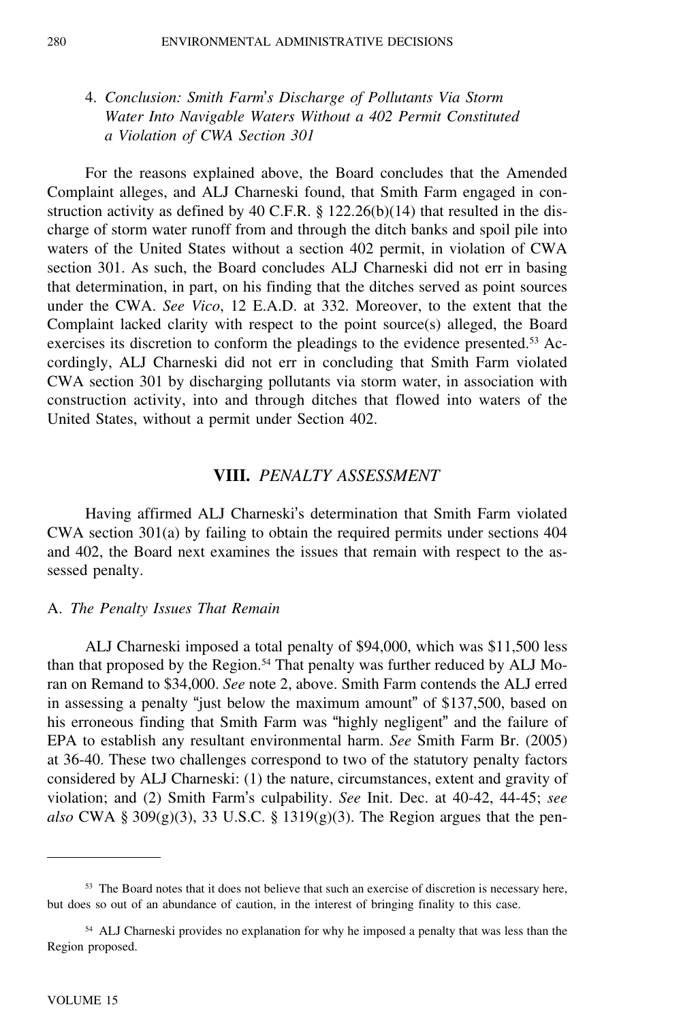# 4. *Conclusion: Smith Farm*'*s Discharge of Pollutants Via Storm Water Into Navigable Waters Without a 402 Permit Constituted a Violation of CWA Section 301*

For the reasons explained above, the Board concludes that the Amended Complaint alleges, and ALJ Charneski found, that Smith Farm engaged in construction activity as defined by 40 C.F.R. § 122.26(b)(14) that resulted in the discharge of storm water runoff from and through the ditch banks and spoil pile into waters of the United States without a section 402 permit, in violation of CWA section 301. As such, the Board concludes ALJ Charneski did not err in basing that determination, in part, on his finding that the ditches served as point sources under the CWA. *See Vico*, 12 E.A.D. at 332. Moreover, to the extent that the Complaint lacked clarity with respect to the point source(s) alleged, the Board exercises its discretion to conform the pleadings to the evidence presented.<sup>53</sup> Accordingly, ALJ Charneski did not err in concluding that Smith Farm violated CWA section 301 by discharging pollutants via storm water, in association with construction activity, into and through ditches that flowed into waters of the United States, without a permit under Section 402.

# **VIII.** *PENALTY ASSESSMENT*

Having affirmed ALJ Charneski's determination that Smith Farm violated CWA section 301(a) by failing to obtain the required permits under sections 404 and 402, the Board next examines the issues that remain with respect to the assessed penalty.

### A. *The Penalty Issues That Remain*

ALJ Charneski imposed a total penalty of \$94,000, which was \$11,500 less than that proposed by the Region.<sup>54</sup> That penalty was further reduced by ALJ Moran on Remand to \$34,000. *See* note 2, above. Smith Farm contends the ALJ erred in assessing a penalty "just below the maximum amount" of \$137,500, based on his erroneous finding that Smith Farm was "highly negligent" and the failure of EPA to establish any resultant environmental harm. *See* Smith Farm Br. (2005) at 36-40. These two challenges correspond to two of the statutory penalty factors considered by ALJ Charneski: (1) the nature, circumstances, extent and gravity of violation; and (2) Smith Farm's culpability. *See* Init. Dec. at 40-42, 44-45; *see* also CWA § 309 $(g)(3)$ , 33 U.S.C. § 1319 $(g)(3)$ . The Region argues that the pen-

<sup>&</sup>lt;sup>53</sup> The Board notes that it does not believe that such an exercise of discretion is necessary here, but does so out of an abundance of caution, in the interest of bringing finality to this case.

<sup>54</sup> ALJ Charneski provides no explanation for why he imposed a penalty that was less than the Region proposed.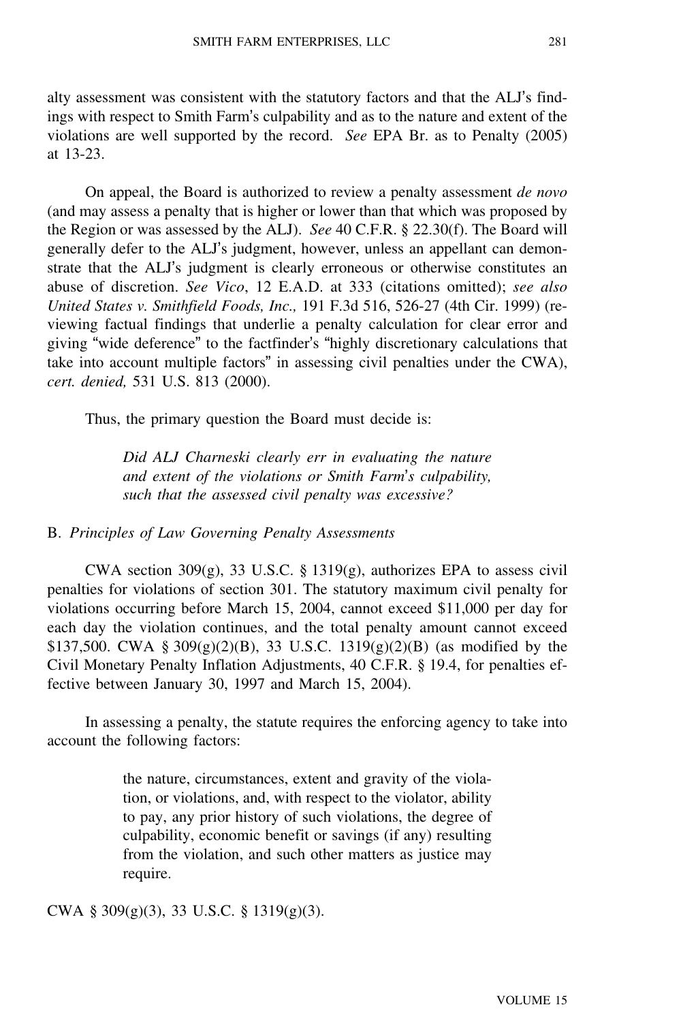alty assessment was consistent with the statutory factors and that the ALJ's findings with respect to Smith Farm's culpability and as to the nature and extent of the violations are well supported by the record. *See* EPA Br. as to Penalty (2005) at 13-23.

On appeal, the Board is authorized to review a penalty assessment *de novo* (and may assess a penalty that is higher or lower than that which was proposed by the Region or was assessed by the ALJ). *See* 40 C.F.R. § 22.30(f). The Board will generally defer to the ALJ's judgment, however, unless an appellant can demonstrate that the ALJ's judgment is clearly erroneous or otherwise constitutes an abuse of discretion. *See Vico*, 12 E.A.D. at 333 (citations omitted); *see also United States v. Smithfield Foods, Inc.,* 191 F.3d 516, 526-27 (4th Cir. 1999) (reviewing factual findings that underlie a penalty calculation for clear error and giving "wide deference" to the factfinder's "highly discretionary calculations that take into account multiple factors" in assessing civil penalties under the CWA), *cert. denied,* 531 U.S. 813 (2000).

Thus, the primary question the Board must decide is:

*Did ALJ Charneski clearly err in evaluating the nature and extent of the violations or Smith Farm*'*s culpability, such that the assessed civil penalty was excessive?*

### B. *Principles of Law Governing Penalty Assessments*

CWA section 309 $(g)$ , 33 U.S.C. § 1319 $(g)$ , authorizes EPA to assess civil penalties for violations of section 301. The statutory maximum civil penalty for violations occurring before March 15, 2004, cannot exceed \$11,000 per day for each day the violation continues, and the total penalty amount cannot exceed \$137,500. CWA §  $309(g)(2)(B)$ , 33 U.S.C. 1319(g)(2)(B) (as modified by the Civil Monetary Penalty Inflation Adjustments, 40 C.F.R. § 19.4, for penalties effective between January 30, 1997 and March 15, 2004).

In assessing a penalty, the statute requires the enforcing agency to take into account the following factors:

> the nature, circumstances, extent and gravity of the violation, or violations, and, with respect to the violator, ability to pay, any prior history of such violations, the degree of culpability, economic benefit or savings (if any) resulting from the violation, and such other matters as justice may require.

CWA § 309(g)(3), 33 U.S.C. § 1319(g)(3).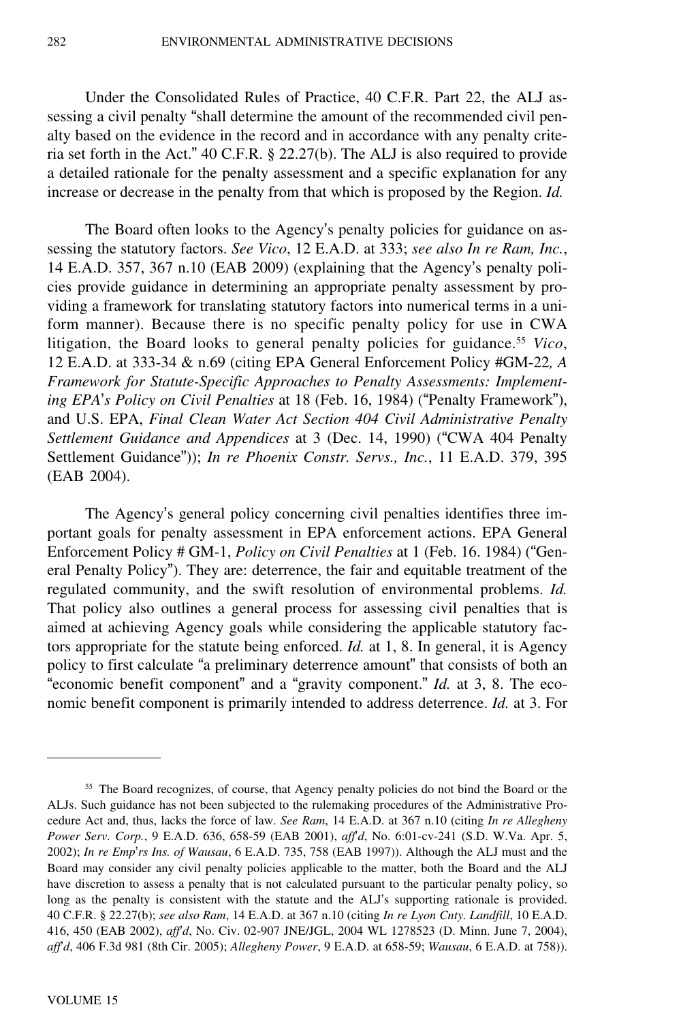Under the Consolidated Rules of Practice, 40 C.F.R. Part 22, the ALJ assessing a civil penalty "shall determine the amount of the recommended civil penalty based on the evidence in the record and in accordance with any penalty criteria set forth in the Act." 40 C.F.R. § 22.27(b). The ALJ is also required to provide a detailed rationale for the penalty assessment and a specific explanation for any increase or decrease in the penalty from that which is proposed by the Region. *Id.*

The Board often looks to the Agency's penalty policies for guidance on assessing the statutory factors. *See Vico*, 12 E.A.D. at 333; *see also In re Ram, Inc.*, 14 E.A.D. 357, 367 n.10 (EAB 2009) (explaining that the Agency's penalty policies provide guidance in determining an appropriate penalty assessment by providing a framework for translating statutory factors into numerical terms in a uniform manner). Because there is no specific penalty policy for use in CWA litigation, the Board looks to general penalty policies for guidance.<sup>55</sup> *Vico*, 12 E.A.D. at 333-34 & n.69 (citing EPA General Enforcement Policy #GM-22*, A Framework for Statute-Specific Approaches to Penalty Assessments: Implementing EPA*'*s Policy on Civil Penalties* at 18 (Feb. 16, 1984) ("Penalty Framework"), and U.S. EPA, *Final Clean Water Act Section 404 Civil Administrative Penalty Settlement Guidance and Appendices* at 3 (Dec. 14, 1990) ("CWA 404 Penalty Settlement Guidance")); *In re Phoenix Constr. Servs., Inc.*, 11 E.A.D. 379, 395 (EAB 2004).

The Agency's general policy concerning civil penalties identifies three important goals for penalty assessment in EPA enforcement actions. EPA General Enforcement Policy # GM-1, *Policy on Civil Penalties* at 1 (Feb. 16. 1984) ("General Penalty Policy"). They are: deterrence, the fair and equitable treatment of the regulated community, and the swift resolution of environmental problems. *Id.* That policy also outlines a general process for assessing civil penalties that is aimed at achieving Agency goals while considering the applicable statutory factors appropriate for the statute being enforced. *Id.* at 1, 8. In general, it is Agency policy to first calculate "a preliminary deterrence amount" that consists of both an "economic benefit component" and a "gravity component." *Id.* at 3, 8. The economic benefit component is primarily intended to address deterrence. *Id.* at 3. For

<sup>&</sup>lt;sup>55</sup> The Board recognizes, of course, that Agency penalty policies do not bind the Board or the ALJs. Such guidance has not been subjected to the rulemaking procedures of the Administrative Procedure Act and, thus, lacks the force of law. *See Ram*, 14 E.A.D. at 367 n.10 (citing *In re Allegheny Power Serv. Corp.*, 9 E.A.D. 636, 658-59 (EAB 2001), *aff*'*d*, No. 6:01-cv-241 (S.D. W.Va. Apr. 5, 2002); *In re Emp*'*rs Ins. of Wausau*, 6 E.A.D. 735, 758 (EAB 1997)). Although the ALJ must and the Board may consider any civil penalty policies applicable to the matter, both the Board and the ALJ have discretion to assess a penalty that is not calculated pursuant to the particular penalty policy, so long as the penalty is consistent with the statute and the ALJ's supporting rationale is provided. 40 C.F.R. § 22.27(b); *see also Ram*, 14 E.A.D. at 367 n.10 (citing *In re Lyon Cnty. Landfill*, 10 E.A.D. 416, 450 (EAB 2002), *aff*'*d*, No. Civ. 02-907 JNE/JGL, 2004 WL 1278523 (D. Minn. June 7, 2004), *aff*'*d*, 406 F.3d 981 (8th Cir. 2005); *Allegheny Power*, 9 E.A.D. at 658-59; *Wausau*, 6 E.A.D. at 758)).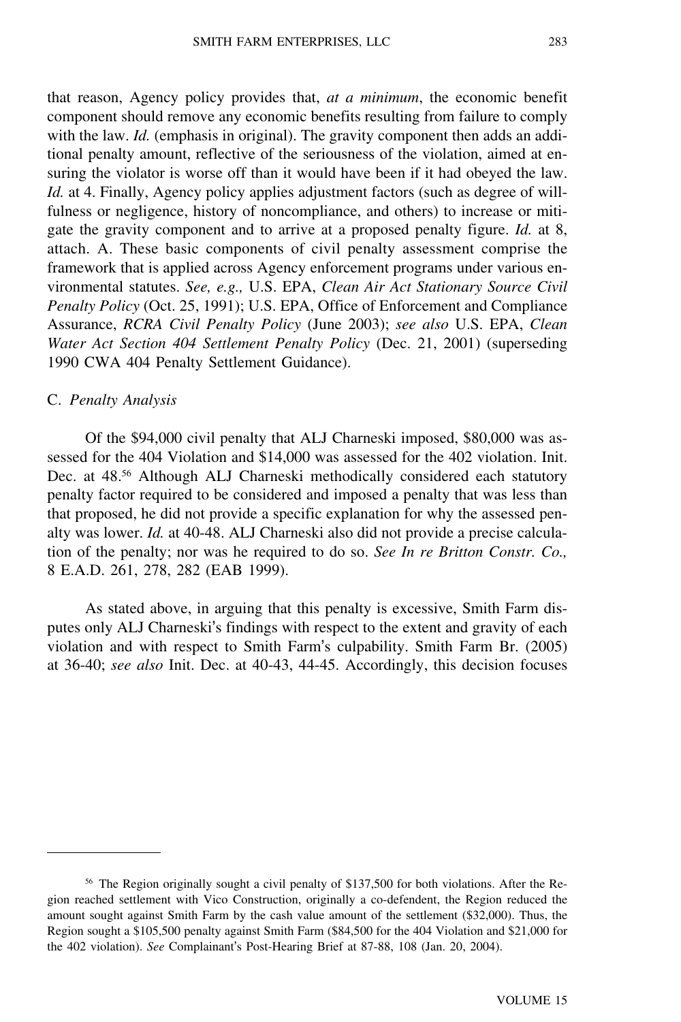that reason, Agency policy provides that, *at a minimum*, the economic benefit component should remove any economic benefits resulting from failure to comply with the law. *Id.* (emphasis in original). The gravity component then adds an additional penalty amount, reflective of the seriousness of the violation, aimed at ensuring the violator is worse off than it would have been if it had obeyed the law. *Id.* at 4. Finally, Agency policy applies adjustment factors (such as degree of willfulness or negligence, history of noncompliance, and others) to increase or mitigate the gravity component and to arrive at a proposed penalty figure. *Id.* at 8, attach. A. These basic components of civil penalty assessment comprise the framework that is applied across Agency enforcement programs under various environmental statutes. *See, e.g.,* U.S. EPA, *Clean Air Act Stationary Source Civil Penalty Policy* (Oct. 25, 1991); U.S. EPA, Office of Enforcement and Compliance Assurance, *RCRA Civil Penalty Policy* (June 2003); *see also* U.S. EPA, *Clean Water Act Section 404 Settlement Penalty Policy* (Dec. 21, 2001) (superseding 1990 CWA 404 Penalty Settlement Guidance).

#### C. *Penalty Analysis*

Of the \$94,000 civil penalty that ALJ Charneski imposed, \$80,000 was assessed for the 404 Violation and \$14,000 was assessed for the 402 violation. Init. Dec. at 48.<sup>56</sup> Although ALJ Charneski methodically considered each statutory penalty factor required to be considered and imposed a penalty that was less than that proposed, he did not provide a specific explanation for why the assessed penalty was lower. *Id.* at 40-48. ALJ Charneski also did not provide a precise calculation of the penalty; nor was he required to do so. *See In re Britton Constr. Co.,* 8 E.A.D. 261, 278, 282 (EAB 1999).

As stated above, in arguing that this penalty is excessive, Smith Farm disputes only ALJ Charneski's findings with respect to the extent and gravity of each violation and with respect to Smith Farm's culpability. Smith Farm Br. (2005) at 36-40; *see also* Init. Dec. at 40-43, 44-45. Accordingly, this decision focuses

<sup>56</sup> The Region originally sought a civil penalty of \$137,500 for both violations. After the Region reached settlement with Vico Construction, originally a co-defendent, the Region reduced the amount sought against Smith Farm by the cash value amount of the settlement (\$32,000). Thus, the Region sought a \$105,500 penalty against Smith Farm (\$84,500 for the 404 Violation and \$21,000 for the 402 violation). *See* Complainant's Post-Hearing Brief at 87-88, 108 (Jan. 20, 2004).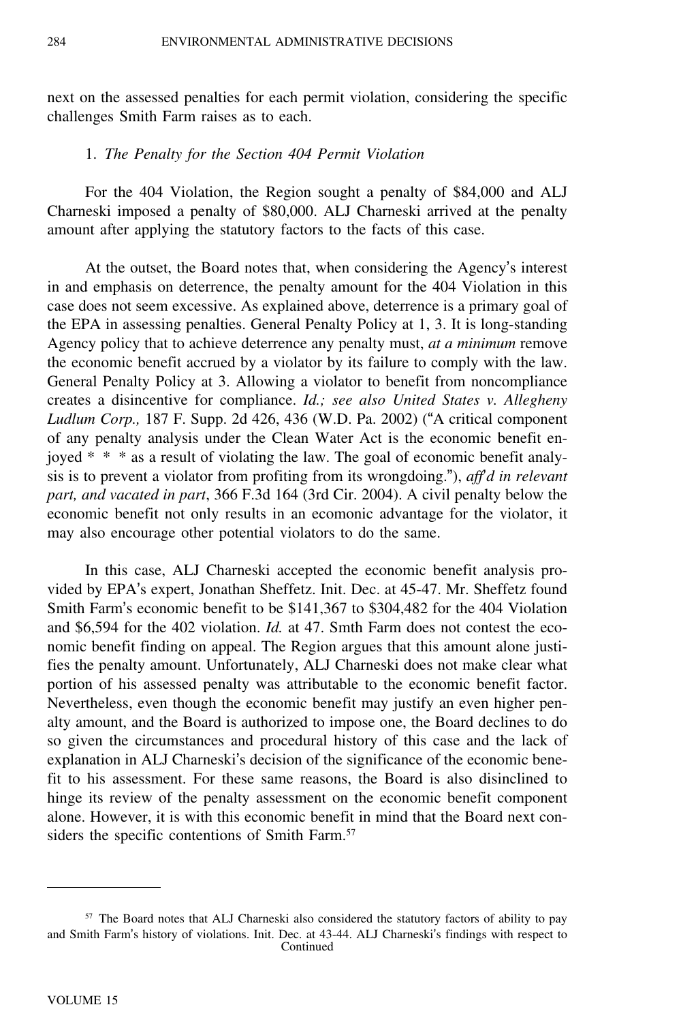next on the assessed penalties for each permit violation, considering the specific challenges Smith Farm raises as to each.

#### 1. *The Penalty for the Section 404 Permit Violation*

For the 404 Violation, the Region sought a penalty of \$84,000 and ALJ Charneski imposed a penalty of \$80,000. ALJ Charneski arrived at the penalty amount after applying the statutory factors to the facts of this case.

At the outset, the Board notes that, when considering the Agency's interest in and emphasis on deterrence, the penalty amount for the 404 Violation in this case does not seem excessive. As explained above, deterrence is a primary goal of the EPA in assessing penalties. General Penalty Policy at 1, 3. It is long-standing Agency policy that to achieve deterrence any penalty must, *at a minimum* remove the economic benefit accrued by a violator by its failure to comply with the law. General Penalty Policy at 3. Allowing a violator to benefit from noncompliance creates a disincentive for compliance. *Id.; see also United States v. Allegheny Ludlum Corp.,* 187 F. Supp. 2d 426, 436 (W.D. Pa. 2002) ("A critical component of any penalty analysis under the Clean Water Act is the economic benefit enjoyed \* \* \* as a result of violating the law. The goal of economic benefit analysis is to prevent a violator from profiting from its wrongdoing."), *aff*'*d in relevant part, and vacated in part*, 366 F.3d 164 (3rd Cir. 2004). A civil penalty below the economic benefit not only results in an ecomonic advantage for the violator, it may also encourage other potential violators to do the same.

In this case, ALJ Charneski accepted the economic benefit analysis provided by EPA's expert, Jonathan Sheffetz. Init. Dec. at 45-47. Mr. Sheffetz found Smith Farm's economic benefit to be \$141,367 to \$304,482 for the 404 Violation and \$6,594 for the 402 violation. *Id.* at 47. Smth Farm does not contest the economic benefit finding on appeal. The Region argues that this amount alone justifies the penalty amount. Unfortunately, ALJ Charneski does not make clear what portion of his assessed penalty was attributable to the economic benefit factor. Nevertheless, even though the economic benefit may justify an even higher penalty amount, and the Board is authorized to impose one, the Board declines to do so given the circumstances and procedural history of this case and the lack of explanation in ALJ Charneski's decision of the significance of the economic benefit to his assessment. For these same reasons, the Board is also disinclined to hinge its review of the penalty assessment on the economic benefit component alone. However, it is with this economic benefit in mind that the Board next considers the specific contentions of Smith Farm.<sup>57</sup>

<sup>&</sup>lt;sup>57</sup> The Board notes that ALJ Charneski also considered the statutory factors of ability to pay and Smith Farm's history of violations. Init. Dec. at 43-44. ALJ Charneski's findings with respect to Continued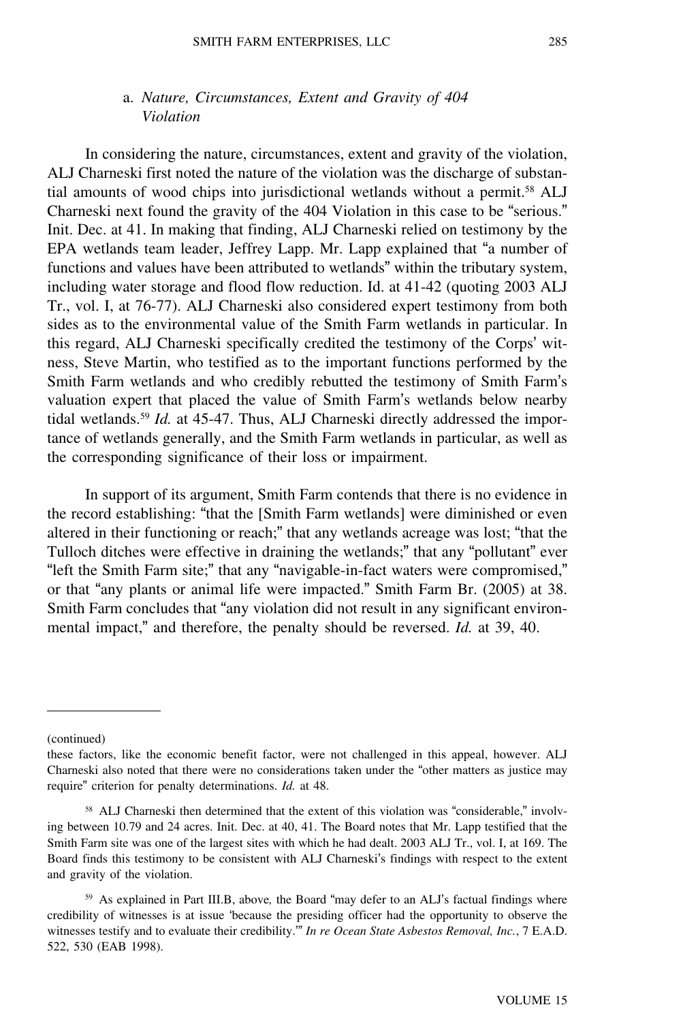## a. *Nature, Circumstances, Extent and Gravity of 404 Violation*

In considering the nature, circumstances, extent and gravity of the violation, ALJ Charneski first noted the nature of the violation was the discharge of substantial amounts of wood chips into jurisdictional wetlands without a permit.<sup>58</sup> ALJ Charneski next found the gravity of the 404 Violation in this case to be "serious." Init. Dec. at 41. In making that finding, ALJ Charneski relied on testimony by the EPA wetlands team leader, Jeffrey Lapp. Mr. Lapp explained that "a number of functions and values have been attributed to wetlands" within the tributary system, including water storage and flood flow reduction. Id. at 41-42 (quoting 2003 ALJ Tr., vol. I, at 76-77). ALJ Charneski also considered expert testimony from both sides as to the environmental value of the Smith Farm wetlands in particular. In this regard, ALJ Charneski specifically credited the testimony of the Corps' witness, Steve Martin, who testified as to the important functions performed by the Smith Farm wetlands and who credibly rebutted the testimony of Smith Farm'<sup>s</sup> valuation expert that placed the value of Smith Farm's wetlands below nearby tidal wetlands.<sup>59</sup> *Id.* at 45-47. Thus, ALJ Charneski directly addressed the importance of wetlands generally, and the Smith Farm wetlands in particular, as well as the corresponding significance of their loss or impairment.

In support of its argument, Smith Farm contends that there is no evidence in the record establishing: "that the [Smith Farm wetlands] were diminished or even altered in their functioning or reach;" that any wetlands acreage was lost; "that the Tulloch ditches were effective in draining the wetlands;" that any "pollutant" ever "left the Smith Farm site;" that any "navigable-in-fact waters were compromised," or that "any plants or animal life were impacted." Smith Farm Br. (2005) at 38. Smith Farm concludes that "any violation did not result in any significant environmental impact," and therefore, the penalty should be reversed. *Id.* at 39, 40.

<sup>(</sup>continued)

these factors, like the economic benefit factor, were not challenged in this appeal, however. ALJ Charneski also noted that there were no considerations taken under the "other matters as justice may require" criterion for penalty determinations. *Id.* at 48.

<sup>58</sup> ALJ Charneski then determined that the extent of this violation was "considerable," involving between 10.79 and 24 acres. Init. Dec. at 40, 41. The Board notes that Mr. Lapp testified that the Smith Farm site was one of the largest sites with which he had dealt. 2003 ALJ Tr., vol. I, at 169. The Board finds this testimony to be consistent with ALJ Charneski's findings with respect to the extent and gravity of the violation.

<sup>59</sup> As explained in Part III.B, above*,* the Board "may defer to an ALJ's factual findings where credibility of witnesses is at issue 'because the presiding officer had the opportunity to observe the witnesses testify and to evaluate their credibility.'" *In re Ocean State Asbestos Removal, Inc.*, 7 E.A.D. 522, 530 (EAB 1998).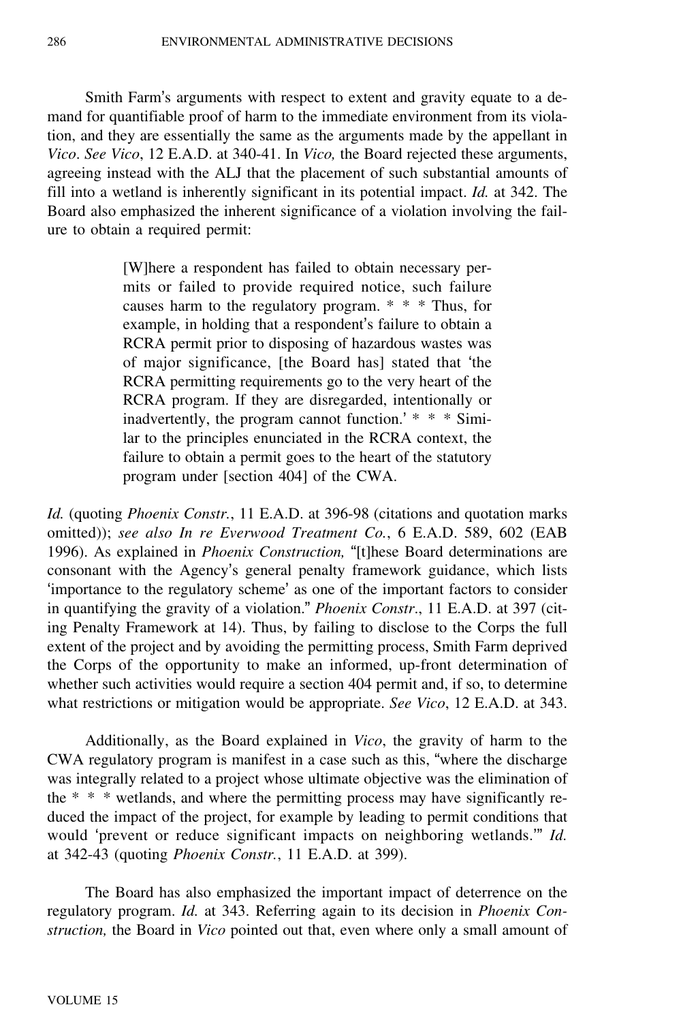Smith Farm's arguments with respect to extent and gravity equate to a demand for quantifiable proof of harm to the immediate environment from its violation, and they are essentially the same as the arguments made by the appellant in *Vico*. *See Vico*, 12 E.A.D. at 340-41. In *Vico,* the Board rejected these arguments, agreeing instead with the ALJ that the placement of such substantial amounts of fill into a wetland is inherently significant in its potential impact. *Id.* at 342. The Board also emphasized the inherent significance of a violation involving the failure to obtain a required permit:

> [W]here a respondent has failed to obtain necessary permits or failed to provide required notice, such failure causes harm to the regulatory program. \* \* \* Thus, for example, in holding that a respondent's failure to obtain a RCRA permit prior to disposing of hazardous wastes was of major significance, [the Board has] stated that 'the RCRA permitting requirements go to the very heart of the RCRA program. If they are disregarded, intentionally or inadvertently, the program cannot function.' \* \* \* Similar to the principles enunciated in the RCRA context, the failure to obtain a permit goes to the heart of the statutory program under [section 404] of the CWA.

*Id.* (quoting *Phoenix Constr.*, 11 E.A.D. at 396-98 (citations and quotation marks omitted)); *see also In re Everwood Treatment Co.*, 6 E.A.D. 589, 602 (EAB 1996). As explained in *Phoenix Construction,* "[t]hese Board determinations are consonant with the Agency's general penalty framework guidance, which lists 'importance to the regulatory scheme' as one of the important factors to consider in quantifying the gravity of a violation." *Phoenix Constr*., 11 E.A.D. at 397 (citing Penalty Framework at 14). Thus, by failing to disclose to the Corps the full extent of the project and by avoiding the permitting process, Smith Farm deprived the Corps of the opportunity to make an informed, up-front determination of whether such activities would require a section 404 permit and, if so, to determine what restrictions or mitigation would be appropriate. *See Vico*, 12 E.A.D. at 343.

Additionally, as the Board explained in *Vico*, the gravity of harm to the CWA regulatory program is manifest in a case such as this, "where the discharge was integrally related to a project whose ultimate objective was the elimination of the \* \* \* wetlands, and where the permitting process may have significantly reduced the impact of the project, for example by leading to permit conditions that would 'prevent or reduce significant impacts on neighboring wetlands.'" *Id.* at 342-43 (quoting *Phoenix Constr.*, 11 E.A.D. at 399).

The Board has also emphasized the important impact of deterrence on the regulatory program. *Id.* at 343. Referring again to its decision in *Phoenix Construction,* the Board in *Vico* pointed out that, even where only a small amount of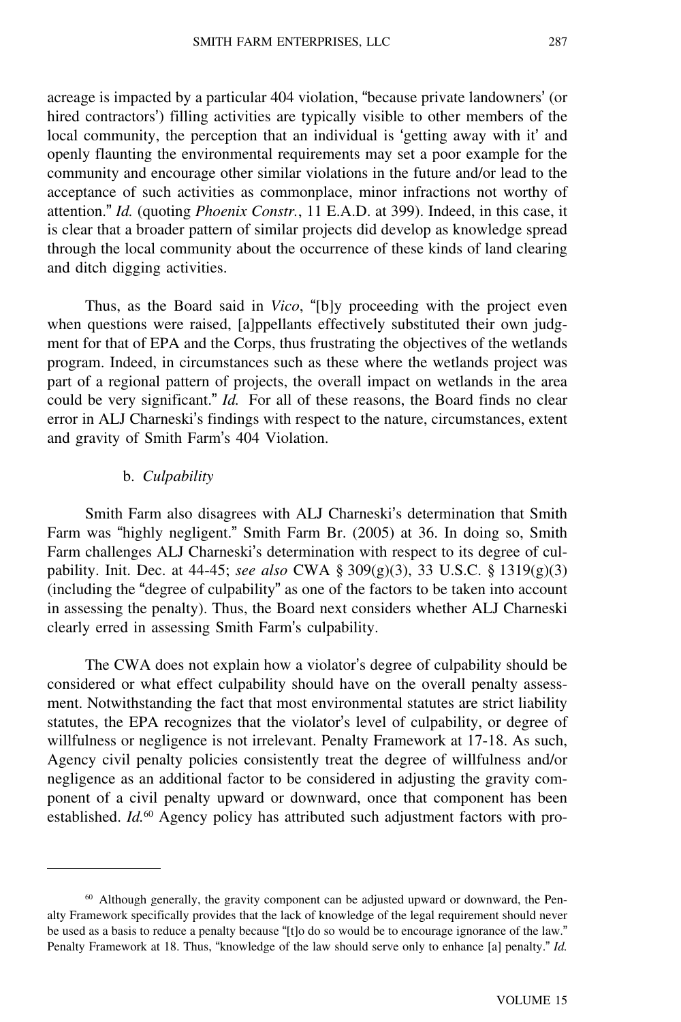acreage is impacted by a particular 404 violation, "because private landowners' (or hired contractors') filling activities are typically visible to other members of the local community, the perception that an individual is 'getting away with it' and openly flaunting the environmental requirements may set a poor example for the community and encourage other similar violations in the future and/or lead to the acceptance of such activities as commonplace, minor infractions not worthy of attention." *Id.* (quoting *Phoenix Constr.*, 11 E.A.D. at 399). Indeed, in this case, it is clear that a broader pattern of similar projects did develop as knowledge spread through the local community about the occurrence of these kinds of land clearing and ditch digging activities.

Thus, as the Board said in *Vico*, "[b]y proceeding with the project even when questions were raised, [a]ppellants effectively substituted their own judgment for that of EPA and the Corps, thus frustrating the objectives of the wetlands program. Indeed, in circumstances such as these where the wetlands project was part of a regional pattern of projects, the overall impact on wetlands in the area could be very significant." *Id.* For all of these reasons, the Board finds no clear error in ALJ Charneski's findings with respect to the nature, circumstances, extent and gravity of Smith Farm's 404 Violation.

#### b. *Culpability*

Smith Farm also disagrees with ALJ Charneski's determination that Smith Farm was "highly negligent." Smith Farm Br. (2005) at 36. In doing so, Smith Farm challenges ALJ Charneski's determination with respect to its degree of culpability. Init. Dec. at 44-45; *see also* CWA § 309(g)(3), 33 U.S.C. § 1319(g)(3) (including the "degree of culpability" as one of the factors to be taken into account in assessing the penalty). Thus, the Board next considers whether ALJ Charneski clearly erred in assessing Smith Farm's culpability.

The CWA does not explain how a violator's degree of culpability should be considered or what effect culpability should have on the overall penalty assessment. Notwithstanding the fact that most environmental statutes are strict liability statutes, the EPA recognizes that the violator's level of culpability, or degree of willfulness or negligence is not irrelevant. Penalty Framework at 17-18. As such, Agency civil penalty policies consistently treat the degree of willfulness and/or negligence as an additional factor to be considered in adjusting the gravity component of a civil penalty upward or downward, once that component has been established. *Id.*60 Agency policy has attributed such adjustment factors with pro-

<sup>60</sup> Although generally, the gravity component can be adjusted upward or downward, the Penalty Framework specifically provides that the lack of knowledge of the legal requirement should never be used as a basis to reduce a penalty because "[t]o do so would be to encourage ignorance of the law." Penalty Framework at 18. Thus, "knowledge of the law should serve only to enhance [a] penalty." *Id.*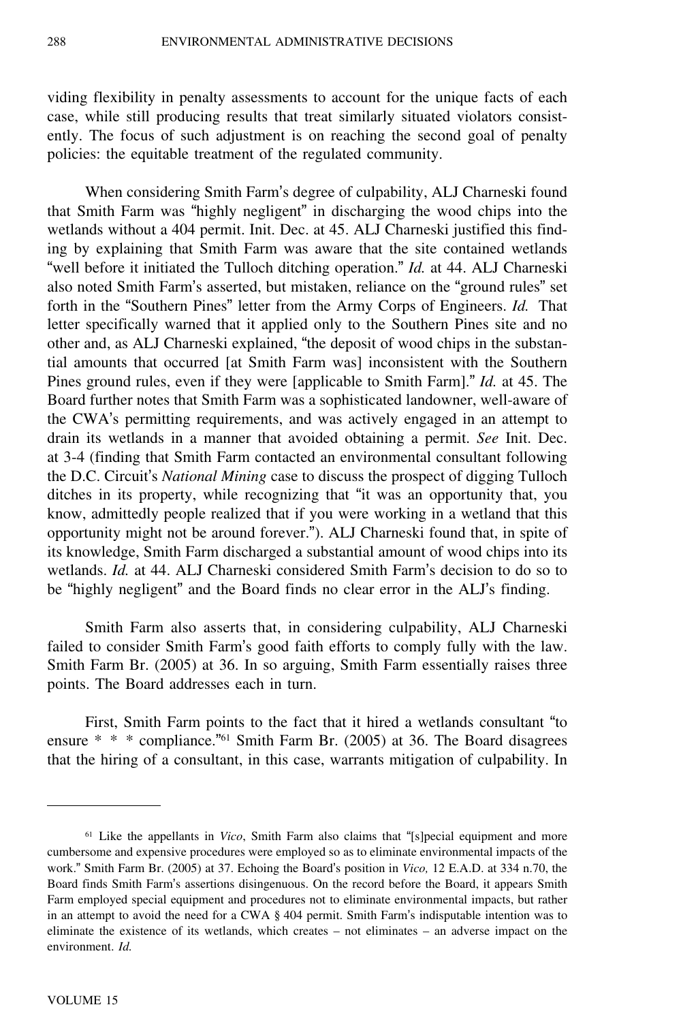viding flexibility in penalty assessments to account for the unique facts of each case, while still producing results that treat similarly situated violators consistently. The focus of such adjustment is on reaching the second goal of penalty policies: the equitable treatment of the regulated community.

When considering Smith Farm's degree of culpability, ALJ Charneski found that Smith Farm was "highly negligent" in discharging the wood chips into the wetlands without a 404 permit. Init. Dec. at 45. ALJ Charneski justified this finding by explaining that Smith Farm was aware that the site contained wetlands "well before it initiated the Tulloch ditching operation." *Id.* at 44. ALJ Charneski also noted Smith Farm's asserted, but mistaken, reliance on the "ground rules" set forth in the "Southern Pines" letter from the Army Corps of Engineers. *Id.* That letter specifically warned that it applied only to the Southern Pines site and no other and, as ALJ Charneski explained, "the deposit of wood chips in the substantial amounts that occurred [at Smith Farm was] inconsistent with the Southern Pines ground rules, even if they were [applicable to Smith Farm]." *Id.* at 45. The Board further notes that Smith Farm was a sophisticated landowner, well-aware of the CWA's permitting requirements, and was actively engaged in an attempt to drain its wetlands in a manner that avoided obtaining a permit. *See* Init. Dec. at 3-4 (finding that Smith Farm contacted an environmental consultant following the D.C. Circuit's *National Mining* case to discuss the prospect of digging Tulloch ditches in its property, while recognizing that "it was an opportunity that, you know, admittedly people realized that if you were working in a wetland that this opportunity might not be around forever."). ALJ Charneski found that, in spite of its knowledge, Smith Farm discharged a substantial amount of wood chips into its wetlands. *Id.* at 44. ALJ Charneski considered Smith Farm's decision to do so to be "highly negligent" and the Board finds no clear error in the ALJ's finding.

Smith Farm also asserts that, in considering culpability, ALJ Charneski failed to consider Smith Farm's good faith efforts to comply fully with the law. Smith Farm Br. (2005) at 36. In so arguing, Smith Farm essentially raises three points. The Board addresses each in turn.

First, Smith Farm points to the fact that it hired a wetlands consultant "to ensure \* \* \* compliance."<sup>61</sup> Smith Farm Br. (2005) at 36. The Board disagrees that the hiring of a consultant, in this case, warrants mitigation of culpability. In

<sup>61</sup> Like the appellants in *Vico*, Smith Farm also claims that "[s]pecial equipment and more cumbersome and expensive procedures were employed so as to eliminate environmental impacts of the work." Smith Farm Br. (2005) at 37. Echoing the Board's position in *Vico,* 12 E.A.D. at 334 n.70, the Board finds Smith Farm's assertions disingenuous. On the record before the Board, it appears Smith Farm employed special equipment and procedures not to eliminate environmental impacts, but rather in an attempt to avoid the need for a CWA § 404 permit. Smith Farm's indisputable intention was to eliminate the existence of its wetlands, which creates – not eliminates – an adverse impact on the environment. *Id.*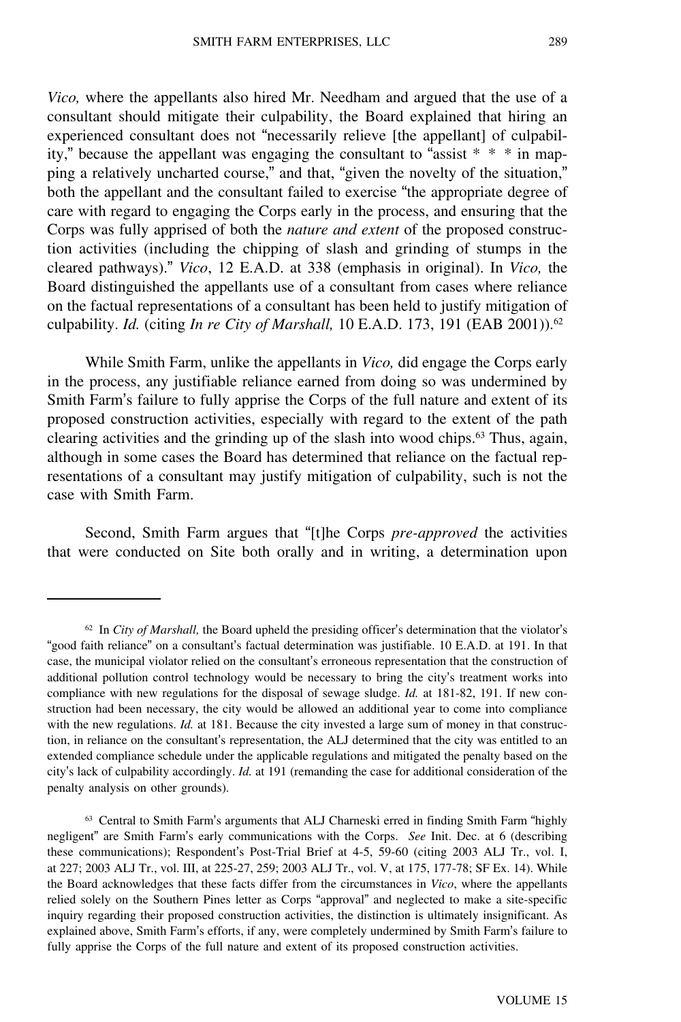*Vico,* where the appellants also hired Mr. Needham and argued that the use of a consultant should mitigate their culpability, the Board explained that hiring an experienced consultant does not "necessarily relieve [the appellant] of culpability," because the appellant was engaging the consultant to "assist  $* * * in map$ ping a relatively uncharted course," and that, "given the novelty of the situation," both the appellant and the consultant failed to exercise "the appropriate degree of care with regard to engaging the Corps early in the process, and ensuring that the Corps was fully apprised of both the *nature and extent* of the proposed construction activities (including the chipping of slash and grinding of stumps in the cleared pathways)." *Vico*, 12 E.A.D. at 338 (emphasis in original). In *Vico,* the Board distinguished the appellants use of a consultant from cases where reliance on the factual representations of a consultant has been held to justify mitigation of culpability. *Id.* (citing *In re City of Marshall,* 10 E.A.D. 173, 191 (EAB 2001)).<sup>62</sup>

While Smith Farm, unlike the appellants in *Vico,* did engage the Corps early in the process, any justifiable reliance earned from doing so was undermined by Smith Farm's failure to fully apprise the Corps of the full nature and extent of its proposed construction activities, especially with regard to the extent of the path clearing activities and the grinding up of the slash into wood chips.<sup>63</sup> Thus, again, although in some cases the Board has determined that reliance on the factual representations of a consultant may justify mitigation of culpability, such is not the case with Smith Farm.

Second, Smith Farm argues that "[t]he Corps *pre-approved* the activities that were conducted on Site both orally and in writing, a determination upon

<sup>62</sup> In *City of Marshall,* the Board upheld the presiding officer's determination that the violator'<sup>s</sup> "good faith reliance" on a consultant's factual determination was justifiable. 10 E.A.D. at 191. In that case, the municipal violator relied on the consultant's erroneous representation that the construction of additional pollution control technology would be necessary to bring the city's treatment works into compliance with new regulations for the disposal of sewage sludge. *Id.* at 181-82, 191. If new construction had been necessary, the city would be allowed an additional year to come into compliance with the new regulations. *Id.* at 181. Because the city invested a large sum of money in that construction, in reliance on the consultant's representation, the ALJ determined that the city was entitled to an extended compliance schedule under the applicable regulations and mitigated the penalty based on the city's lack of culpability accordingly. *Id.* at 191 (remanding the case for additional consideration of the penalty analysis on other grounds).

<sup>&</sup>lt;sup>63</sup> Central to Smith Farm's arguments that ALJ Charneski erred in finding Smith Farm "highly negligent" are Smith Farm's early communications with the Corps. *See* Init. Dec. at 6 (describing these communications); Respondent's Post-Trial Brief at 4-5, 59-60 (citing 2003 ALJ Tr., vol. I, at 227; 2003 ALJ Tr., vol. III, at 225-27, 259; 2003 ALJ Tr., vol. V, at 175, 177-78; SF Ex. 14). While the Board acknowledges that these facts differ from the circumstances in *Vico*, where the appellants relied solely on the Southern Pines letter as Corps "approval" and neglected to make a site-specific inquiry regarding their proposed construction activities, the distinction is ultimately insignificant. As explained above, Smith Farm's efforts, if any, were completely undermined by Smith Farm's failure to fully apprise the Corps of the full nature and extent of its proposed construction activities.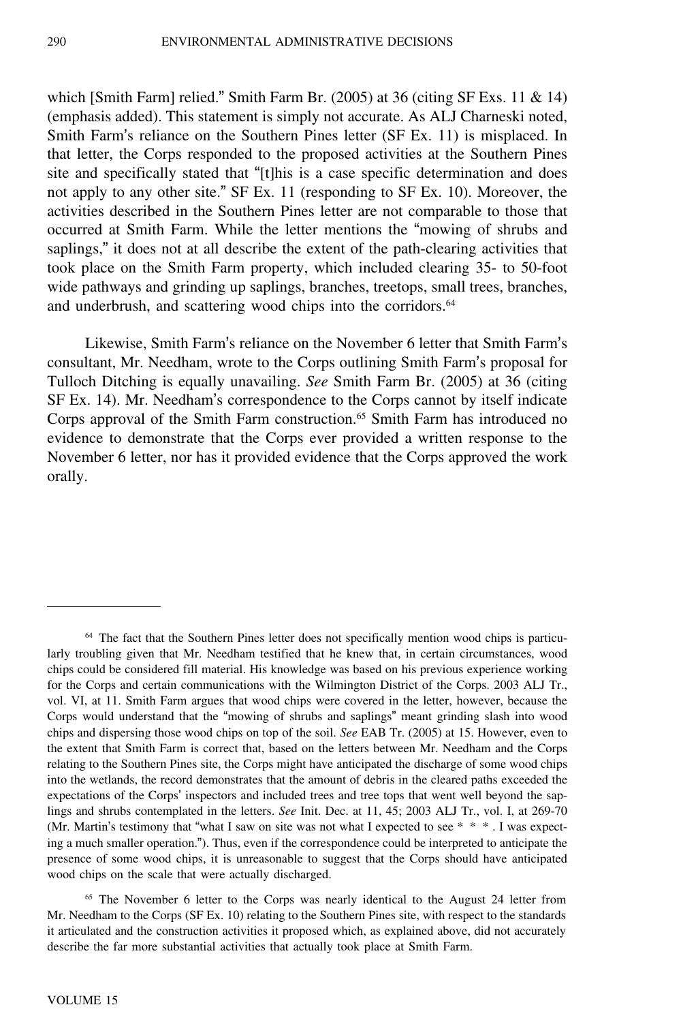which [Smith Farm] relied." Smith Farm Br.  $(2005)$  at 36 (citing SF Exs. 11 & 14) (emphasis added). This statement is simply not accurate. As ALJ Charneski noted, Smith Farm's reliance on the Southern Pines letter (SF Ex. 11) is misplaced. In that letter, the Corps responded to the proposed activities at the Southern Pines site and specifically stated that "[t]his is a case specific determination and does not apply to any other site." SF Ex. 11 (responding to SF Ex. 10). Moreover, the activities described in the Southern Pines letter are not comparable to those that occurred at Smith Farm. While the letter mentions the "mowing of shrubs and saplings," it does not at all describe the extent of the path-clearing activities that took place on the Smith Farm property, which included clearing 35- to 50-foot wide pathways and grinding up saplings, branches, treetops, small trees, branches, and underbrush, and scattering wood chips into the corridors.<sup>64</sup>

Likewise, Smith Farm's reliance on the November 6 letter that Smith Farm'<sup>s</sup> consultant, Mr. Needham, wrote to the Corps outlining Smith Farm's proposal for Tulloch Ditching is equally unavailing. *See* Smith Farm Br. (2005) at 36 (citing SF Ex. 14). Mr. Needham's correspondence to the Corps cannot by itself indicate Corps approval of the Smith Farm construction.<sup>65</sup> Smith Farm has introduced no evidence to demonstrate that the Corps ever provided a written response to the November 6 letter, nor has it provided evidence that the Corps approved the work orally.

<sup>65</sup> The November 6 letter to the Corps was nearly identical to the August 24 letter from Mr. Needham to the Corps (SF Ex. 10) relating to the Southern Pines site, with respect to the standards it articulated and the construction activities it proposed which, as explained above, did not accurately describe the far more substantial activities that actually took place at Smith Farm.

<sup>&</sup>lt;sup>64</sup> The fact that the Southern Pines letter does not specifically mention wood chips is particularly troubling given that Mr. Needham testified that he knew that, in certain circumstances, wood chips could be considered fill material. His knowledge was based on his previous experience working for the Corps and certain communications with the Wilmington District of the Corps. 2003 ALJ Tr., vol. VI, at 11. Smith Farm argues that wood chips were covered in the letter, however, because the Corps would understand that the "mowing of shrubs and saplings" meant grinding slash into wood chips and dispersing those wood chips on top of the soil. *See* EAB Tr. (2005) at 15. However, even to the extent that Smith Farm is correct that, based on the letters between Mr. Needham and the Corps relating to the Southern Pines site, the Corps might have anticipated the discharge of some wood chips into the wetlands, the record demonstrates that the amount of debris in the cleared paths exceeded the expectations of the Corps' inspectors and included trees and tree tops that went well beyond the saplings and shrubs contemplated in the letters. *See* Init. Dec. at 11, 45; 2003 ALJ Tr., vol. I, at 269-70 (Mr. Martin's testimony that "what I saw on site was not what I expected to see \* \* \* . I was expecting a much smaller operation."). Thus, even if the correspondence could be interpreted to anticipate the presence of some wood chips, it is unreasonable to suggest that the Corps should have anticipated wood chips on the scale that were actually discharged.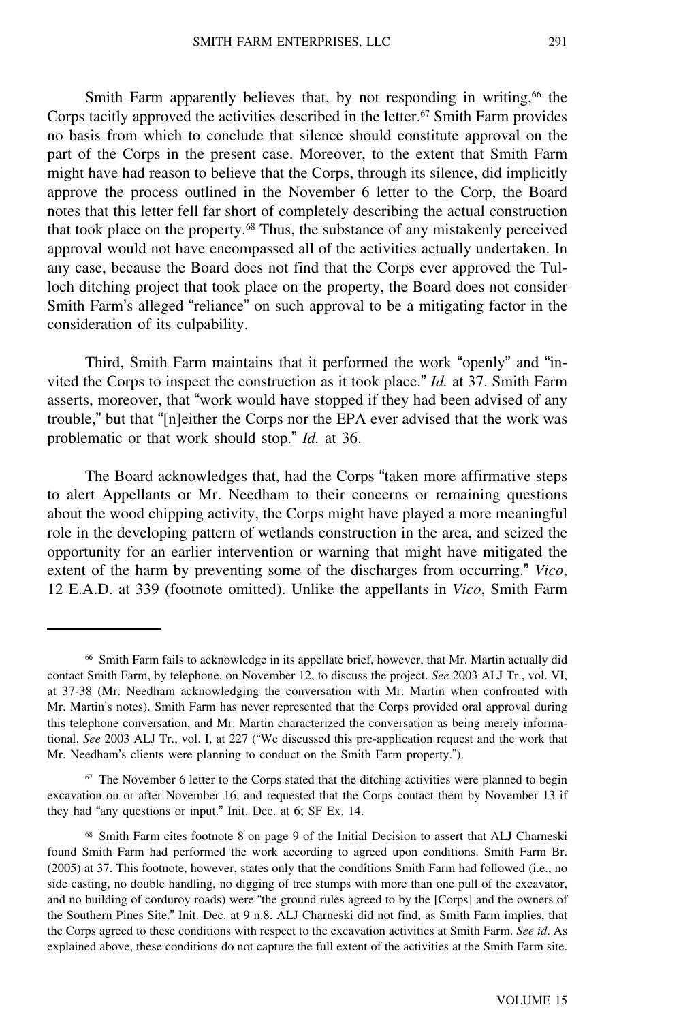Smith Farm apparently believes that, by not responding in writing,<sup>66</sup> the Corps tacitly approved the activities described in the letter.<sup>67</sup> Smith Farm provides no basis from which to conclude that silence should constitute approval on the part of the Corps in the present case. Moreover, to the extent that Smith Farm might have had reason to believe that the Corps, through its silence, did implicitly approve the process outlined in the November 6 letter to the Corp, the Board notes that this letter fell far short of completely describing the actual construction that took place on the property.<sup>68</sup> Thus, the substance of any mistakenly perceived approval would not have encompassed all of the activities actually undertaken. In any case, because the Board does not find that the Corps ever approved the Tulloch ditching project that took place on the property, the Board does not consider Smith Farm's alleged "reliance" on such approval to be a mitigating factor in the consideration of its culpability.

Third, Smith Farm maintains that it performed the work "openly" and "invited the Corps to inspect the construction as it took place." *Id.* at 37. Smith Farm asserts, moreover, that "work would have stopped if they had been advised of any trouble," but that "[n]either the Corps nor the EPA ever advised that the work was problematic or that work should stop." *Id.* at 36.

The Board acknowledges that, had the Corps "taken more affirmative steps to alert Appellants or Mr. Needham to their concerns or remaining questions about the wood chipping activity, the Corps might have played a more meaningful role in the developing pattern of wetlands construction in the area, and seized the opportunity for an earlier intervention or warning that might have mitigated the extent of the harm by preventing some of the discharges from occurring." *Vico*, 12 E.A.D. at 339 (footnote omitted). Unlike the appellants in *Vico*, Smith Farm

<sup>66</sup> Smith Farm fails to acknowledge in its appellate brief, however, that Mr. Martin actually did contact Smith Farm, by telephone, on November 12, to discuss the project. *See* 2003 ALJ Tr., vol. VI, at 37-38 (Mr. Needham acknowledging the conversation with Mr. Martin when confronted with Mr. Martin's notes). Smith Farm has never represented that the Corps provided oral approval during this telephone conversation, and Mr. Martin characterized the conversation as being merely informational. *See* 2003 ALJ Tr., vol. I, at 227 ("We discussed this pre-application request and the work that Mr. Needham's clients were planning to conduct on the Smith Farm property.").

<sup>&</sup>lt;sup>67</sup> The November 6 letter to the Corps stated that the ditching activities were planned to begin excavation on or after November 16, and requested that the Corps contact them by November 13 if they had "any questions or input." Init. Dec. at 6; SF Ex. 14.

<sup>68</sup> Smith Farm cites footnote 8 on page 9 of the Initial Decision to assert that ALJ Charneski found Smith Farm had performed the work according to agreed upon conditions. Smith Farm Br. (2005) at 37. This footnote, however, states only that the conditions Smith Farm had followed (i.e., no side casting, no double handling, no digging of tree stumps with more than one pull of the excavator, and no building of corduroy roads) were "the ground rules agreed to by the [Corps] and the owners of the Southern Pines Site." Init. Dec. at 9 n.8. ALJ Charneski did not find, as Smith Farm implies, that the Corps agreed to these conditions with respect to the excavation activities at Smith Farm. *See id*. As explained above, these conditions do not capture the full extent of the activities at the Smith Farm site.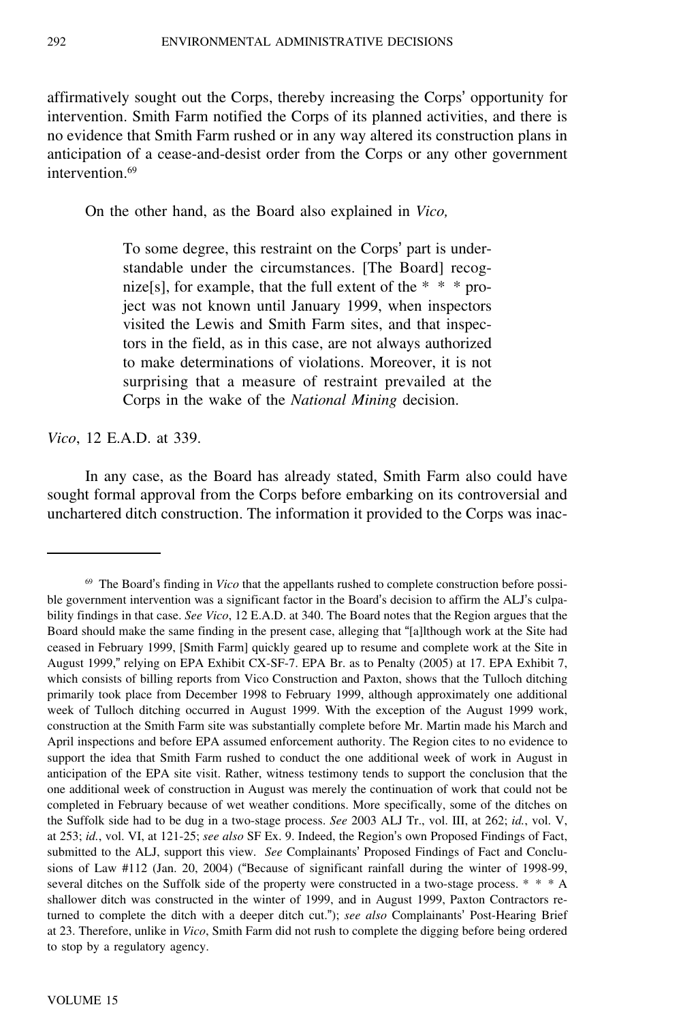affirmatively sought out the Corps, thereby increasing the Corps' opportunity for intervention. Smith Farm notified the Corps of its planned activities, and there is no evidence that Smith Farm rushed or in any way altered its construction plans in anticipation of a cease-and-desist order from the Corps or any other government intervention.<sup>69</sup>

On the other hand, as the Board also explained in *Vico,*

To some degree, this restraint on the Corps' part is understandable under the circumstances. [The Board] recognize<sup>[s]</sup>, for example, that the full extent of the  $* * *$  project was not known until January 1999, when inspectors visited the Lewis and Smith Farm sites, and that inspectors in the field, as in this case, are not always authorized to make determinations of violations. Moreover, it is not surprising that a measure of restraint prevailed at the Corps in the wake of the *National Mining* decision.

*Vico*, 12 E.A.D. at 339.

In any case, as the Board has already stated, Smith Farm also could have sought formal approval from the Corps before embarking on its controversial and unchartered ditch construction. The information it provided to the Corps was inac-

<sup>69</sup> The Board's finding in *Vico* that the appellants rushed to complete construction before possible government intervention was a significant factor in the Board's decision to affirm the ALJ's culpability findings in that case. *See Vico*, 12 E.A.D. at 340. The Board notes that the Region argues that the Board should make the same finding in the present case, alleging that "[a]lthough work at the Site had ceased in February 1999, [Smith Farm] quickly geared up to resume and complete work at the Site in August 1999," relying on EPA Exhibit CX-SF-7. EPA Br. as to Penalty (2005) at 17. EPA Exhibit 7, which consists of billing reports from Vico Construction and Paxton, shows that the Tulloch ditching primarily took place from December 1998 to February 1999, although approximately one additional week of Tulloch ditching occurred in August 1999. With the exception of the August 1999 work, construction at the Smith Farm site was substantially complete before Mr. Martin made his March and April inspections and before EPA assumed enforcement authority. The Region cites to no evidence to support the idea that Smith Farm rushed to conduct the one additional week of work in August in anticipation of the EPA site visit. Rather, witness testimony tends to support the conclusion that the one additional week of construction in August was merely the continuation of work that could not be completed in February because of wet weather conditions. More specifically, some of the ditches on the Suffolk side had to be dug in a two-stage process. *See* 2003 ALJ Tr., vol. III, at 262; *id.*, vol. V, at 253; *id.*, vol. VI, at 121-25; *see also* SF Ex. 9. Indeed, the Region's own Proposed Findings of Fact, submitted to the ALJ, support this view. *See* Complainants' Proposed Findings of Fact and Conclusions of Law #112 (Jan. 20, 2004) ("Because of significant rainfall during the winter of 1998-99, several ditches on the Suffolk side of the property were constructed in a two-stage process. \* \* \* A shallower ditch was constructed in the winter of 1999, and in August 1999, Paxton Contractors returned to complete the ditch with a deeper ditch cut."); *see also* Complainants' Post-Hearing Brief at 23. Therefore, unlike in *Vico*, Smith Farm did not rush to complete the digging before being ordered to stop by a regulatory agency.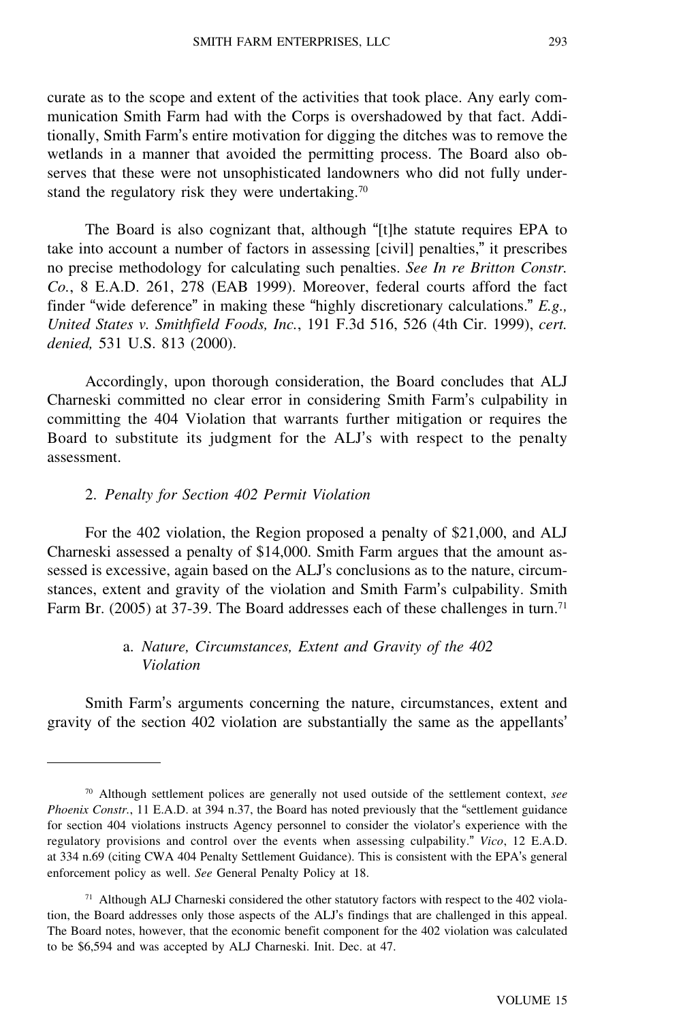curate as to the scope and extent of the activities that took place. Any early communication Smith Farm had with the Corps is overshadowed by that fact. Additionally, Smith Farm's entire motivation for digging the ditches was to remove the wetlands in a manner that avoided the permitting process. The Board also observes that these were not unsophisticated landowners who did not fully understand the regulatory risk they were undertaking.<sup>70</sup>

The Board is also cognizant that, although "[t]he statute requires EPA to take into account a number of factors in assessing [civil] penalties," it prescribes no precise methodology for calculating such penalties. *See In re Britton Constr. Co.*, 8 E.A.D. 261, 278 (EAB 1999). Moreover, federal courts afford the fact finder "wide deference" in making these "highly discretionary calculations." *E.g., United States v. Smithfield Foods, Inc.*, 191 F.3d 516, 526 (4th Cir. 1999), *cert. denied,* 531 U.S. 813 (2000).

Accordingly, upon thorough consideration, the Board concludes that ALJ Charneski committed no clear error in considering Smith Farm's culpability in committing the 404 Violation that warrants further mitigation or requires the Board to substitute its judgment for the ALJ's with respect to the penalty assessment.

#### 2. *Penalty for Section 402 Permit Violation*

For the 402 violation, the Region proposed a penalty of \$21,000, and ALJ Charneski assessed a penalty of \$14,000. Smith Farm argues that the amount assessed is excessive, again based on the ALJ's conclusions as to the nature, circumstances, extent and gravity of the violation and Smith Farm's culpability. Smith Farm Br. (2005) at 37-39. The Board addresses each of these challenges in turn.<sup>71</sup>

# a. *Nature, Circumstances, Extent and Gravity of the 402 Violation*

Smith Farm's arguments concerning the nature, circumstances, extent and gravity of the section 402 violation are substantially the same as the appellants'

<sup>70</sup> Although settlement polices are generally not used outside of the settlement context, *see Phoenix Constr.*, 11 E.A.D. at 394 n.37, the Board has noted previously that the "settlement guidance for section 404 violations instructs Agency personnel to consider the violator's experience with the regulatory provisions and control over the events when assessing culpability." *Vico*, 12 E.A.D. at 334 n.69 (citing CWA 404 Penalty Settlement Guidance). This is consistent with the EPA's general enforcement policy as well. *See* General Penalty Policy at 18.

<sup>71</sup> Although ALJ Charneski considered the other statutory factors with respect to the 402 violation, the Board addresses only those aspects of the ALJ's findings that are challenged in this appeal. The Board notes, however, that the economic benefit component for the 402 violation was calculated to be \$6,594 and was accepted by ALJ Charneski. Init. Dec. at 47.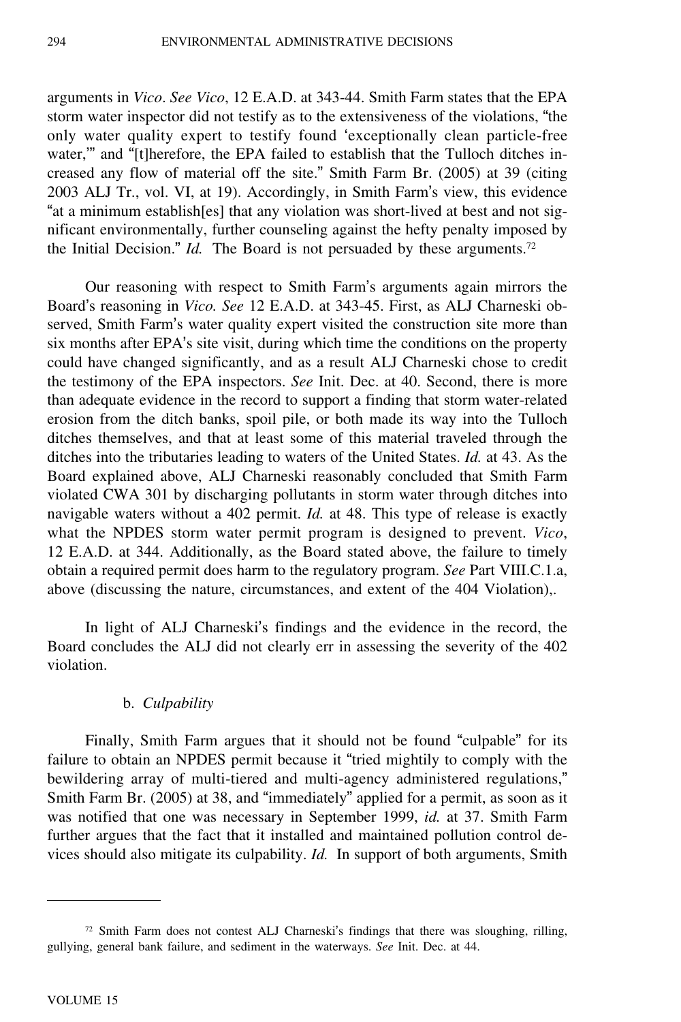arguments in *Vico*. *See Vico*, 12 E.A.D. at 343-44. Smith Farm states that the EPA storm water inspector did not testify as to the extensiveness of the violations, "the only water quality expert to testify found 'exceptionally clean particle-free water,'" and "[t]herefore, the EPA failed to establish that the Tulloch ditches increased any flow of material off the site." Smith Farm Br. (2005) at 39 (citing 2003 ALJ Tr., vol. VI, at 19). Accordingly, in Smith Farm's view, this evidence "at a minimum establish[es] that any violation was short-lived at best and not significant environmentally, further counseling against the hefty penalty imposed by the Initial Decision." *Id.* The Board is not persuaded by these arguments.<sup>72</sup>

Our reasoning with respect to Smith Farm's arguments again mirrors the Board's reasoning in *Vico. See* 12 E.A.D. at 343-45. First, as ALJ Charneski observed, Smith Farm's water quality expert visited the construction site more than six months after EPA's site visit, during which time the conditions on the property could have changed significantly, and as a result ALJ Charneski chose to credit the testimony of the EPA inspectors. *See* Init. Dec. at 40. Second, there is more than adequate evidence in the record to support a finding that storm water-related erosion from the ditch banks, spoil pile, or both made its way into the Tulloch ditches themselves, and that at least some of this material traveled through the ditches into the tributaries leading to waters of the United States. *Id.* at 43. As the Board explained above, ALJ Charneski reasonably concluded that Smith Farm violated CWA 301 by discharging pollutants in storm water through ditches into navigable waters without a 402 permit. *Id.* at 48. This type of release is exactly what the NPDES storm water permit program is designed to prevent. *Vico*, 12 E.A.D. at 344. Additionally, as the Board stated above, the failure to timely obtain a required permit does harm to the regulatory program. *See* Part VIII.C.1.a, above (discussing the nature, circumstances, and extent of the 404 Violation),.

In light of ALJ Charneski's findings and the evidence in the record, the Board concludes the ALJ did not clearly err in assessing the severity of the 402 violation.

## b. *Culpability*

Finally, Smith Farm argues that it should not be found "culpable" for its failure to obtain an NPDES permit because it "tried mightily to comply with the bewildering array of multi-tiered and multi-agency administered regulations," Smith Farm Br. (2005) at 38, and "immediately" applied for a permit, as soon as it was notified that one was necessary in September 1999, *id.* at 37. Smith Farm further argues that the fact that it installed and maintained pollution control devices should also mitigate its culpability. *Id.* In support of both arguments, Smith

 $72$  Smith Farm does not contest ALJ Charneski's findings that there was sloughing, rilling, gullying, general bank failure, and sediment in the waterways. *See* Init. Dec. at 44.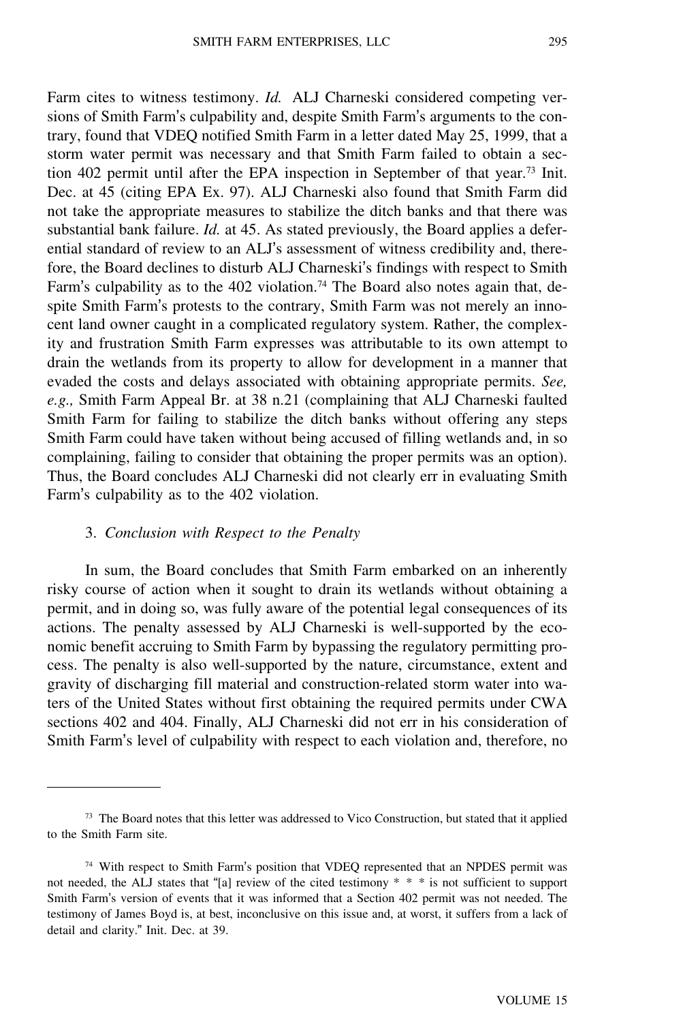Farm cites to witness testimony. *Id.* ALJ Charneski considered competing versions of Smith Farm's culpability and, despite Smith Farm's arguments to the contrary, found that VDEQ notified Smith Farm in a letter dated May 25, 1999, that a storm water permit was necessary and that Smith Farm failed to obtain a section 402 permit until after the EPA inspection in September of that year.<sup>73</sup> Init. Dec. at 45 (citing EPA Ex. 97). ALJ Charneski also found that Smith Farm did not take the appropriate measures to stabilize the ditch banks and that there was substantial bank failure. *Id.* at 45. As stated previously, the Board applies a deferential standard of review to an ALJ's assessment of witness credibility and, therefore, the Board declines to disturb ALJ Charneski's findings with respect to Smith Farm's culpability as to the 402 violation.<sup>74</sup> The Board also notes again that, despite Smith Farm's protests to the contrary, Smith Farm was not merely an innocent land owner caught in a complicated regulatory system. Rather, the complexity and frustration Smith Farm expresses was attributable to its own attempt to drain the wetlands from its property to allow for development in a manner that evaded the costs and delays associated with obtaining appropriate permits. *See, e.g.,* Smith Farm Appeal Br. at 38 n.21 (complaining that ALJ Charneski faulted Smith Farm for failing to stabilize the ditch banks without offering any steps Smith Farm could have taken without being accused of filling wetlands and, in so complaining, failing to consider that obtaining the proper permits was an option). Thus, the Board concludes ALJ Charneski did not clearly err in evaluating Smith Farm's culpability as to the 402 violation.

## 3. *Conclusion with Respect to the Penalty*

In sum, the Board concludes that Smith Farm embarked on an inherently risky course of action when it sought to drain its wetlands without obtaining a permit, and in doing so, was fully aware of the potential legal consequences of its actions. The penalty assessed by ALJ Charneski is well-supported by the economic benefit accruing to Smith Farm by bypassing the regulatory permitting process. The penalty is also well-supported by the nature, circumstance, extent and gravity of discharging fill material and construction-related storm water into waters of the United States without first obtaining the required permits under CWA sections 402 and 404. Finally, ALJ Charneski did not err in his consideration of Smith Farm's level of culpability with respect to each violation and, therefore, no

<sup>73</sup> The Board notes that this letter was addressed to Vico Construction, but stated that it applied to the Smith Farm site.

<sup>&</sup>lt;sup>74</sup> With respect to Smith Farm's position that VDEQ represented that an NPDES permit was not needed, the ALJ states that "[a] review of the cited testimony \* \* \* is not sufficient to support Smith Farm's version of events that it was informed that a Section 402 permit was not needed. The testimony of James Boyd is, at best, inconclusive on this issue and, at worst, it suffers from a lack of detail and clarity." Init. Dec. at 39.